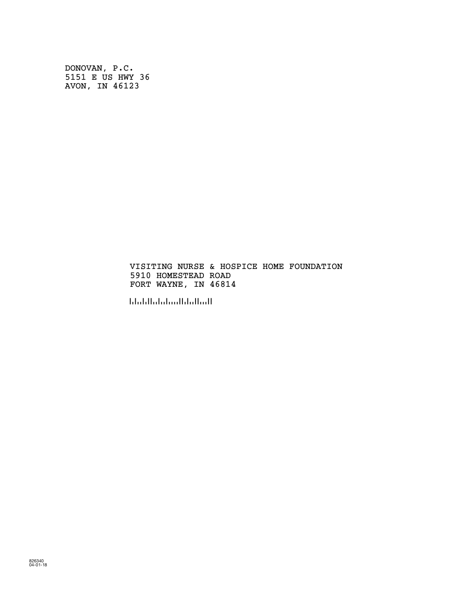DONOVAN, P.C. 5151 E US HWY 36 AVON, IN 46123

> VISITING NURSE & HOSPICE HOME FOUNDATION 5910 HOMESTEAD ROAD FORT WAYNE, IN 46814

!468147!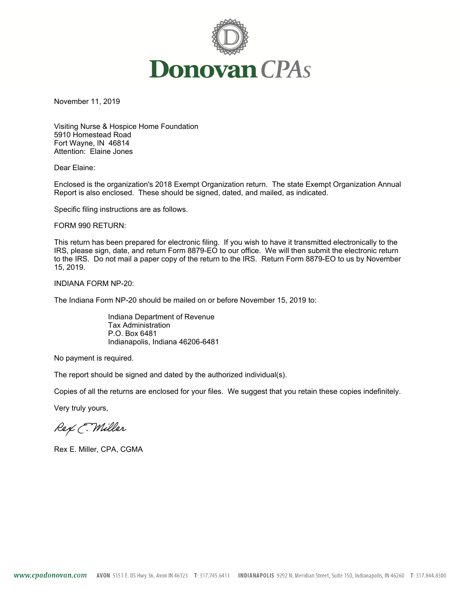

November 11, 2019

Visiting Nurse & Hospice Home Foundation 5910 Homestead Road Fort Wayne, IN 46814 Attention: Elaine Jones

Dear Elaine:

Enclosed is the organization's 2018 Exempt Organization return. The state Exempt Organization Annual Report is also enclosed. These should be signed, dated, and mailed, as indicated.

Specific filing instructions are as follows.

FORM 990 RETURN:

This return has been prepared for electronic filing. If you wish to have it transmitted electronically to the IRS, please sign, date, and return Form 8879-EO to our office. We will then submit the electronic return to the IRS. Do not mail a paper copy of the return to the IRS. Return Form 8879-EO to us by November 15, 2019.

INDIANA FORM NP-20:

The Indiana Form NP-20 should be mailed on or before November 15, 2019 to:

Indiana Department of Revenue Tax Administration P.O. Box 6481 Indianapolis, Indiana 46206-6481

No payment is required.

The report should be signed and dated by the authorized individual(s).

Copies of all the returns are enclosed for your files. We suggest that you retain these copies indefinitely.

Very truly yours,

Rex E. Miller

Rex E. Miller, CPA, CGMA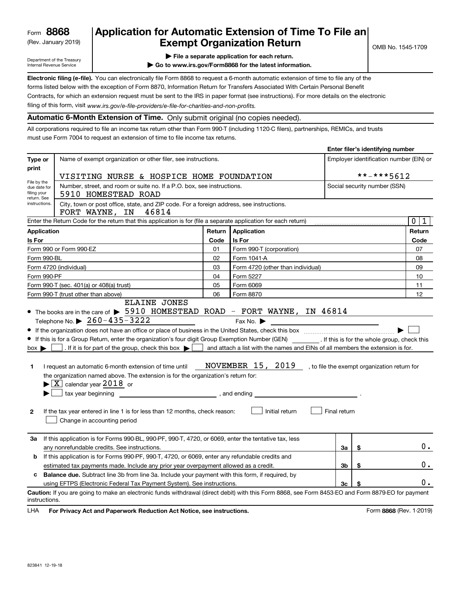(Rev. January 2019)

### **Application for Automatic Extension of Time To File an Exempt Organization Return**

Department of the Treasury Internal Revenue Service

**| File a separate application for each return.**

**| Go to www.irs.gov/Form8868 for the latest information.**

**Electronic filing (e-file).**  You can electronically file Form 8868 to request a 6-month automatic extension of time to file any of the filing of this form, visit www.irs.gov/e-file-providers/e-file-for-charities-and-non-profits. forms listed below with the exception of Form 8870, Information Return for Transfers Associated With Certain Personal Benefit Contracts, for which an extension request must be sent to the IRS in paper format (see instructions). For more details on the electronic

**Automatic 6-Month Extension of Time.** Only submit original (no copies needed).

All corporations required to file an income tax return other than Form 990-T (including 1120-C filers), partnerships, REMICs, and trusts must use Form 7004 to request an extension of time to file income tax returns.

|                                                                               |                                                                                                                                                                                                                                                                                                                                                                                                                                                                                                                                                                                                                                                                                                                                                                                                                                                                                                                                                                                                                           | Enter filer's identifying number        |                                   |                              |    |                             |  |
|-------------------------------------------------------------------------------|---------------------------------------------------------------------------------------------------------------------------------------------------------------------------------------------------------------------------------------------------------------------------------------------------------------------------------------------------------------------------------------------------------------------------------------------------------------------------------------------------------------------------------------------------------------------------------------------------------------------------------------------------------------------------------------------------------------------------------------------------------------------------------------------------------------------------------------------------------------------------------------------------------------------------------------------------------------------------------------------------------------------------|-----------------------------------------|-----------------------------------|------------------------------|----|-----------------------------|--|
| Type or<br>print                                                              | Name of exempt organization or other filer, see instructions.                                                                                                                                                                                                                                                                                                                                                                                                                                                                                                                                                                                                                                                                                                                                                                                                                                                                                                                                                             | Employer identification number (EIN) or |                                   |                              |    |                             |  |
|                                                                               | VISITING NURSE & HOSPICE HOME FOUNDATION                                                                                                                                                                                                                                                                                                                                                                                                                                                                                                                                                                                                                                                                                                                                                                                                                                                                                                                                                                                  |                                         |                                   | **-***5612                   |    |                             |  |
| File by the<br>due date for<br>filing your<br>return. See                     | Number, street, and room or suite no. If a P.O. box, see instructions.<br>5910 HOMESTEAD ROAD                                                                                                                                                                                                                                                                                                                                                                                                                                                                                                                                                                                                                                                                                                                                                                                                                                                                                                                             |                                         |                                   | Social security number (SSN) |    |                             |  |
| instructions.                                                                 | City, town or post office, state, and ZIP code. For a foreign address, see instructions.<br>46814<br>FORT WAYNE, IN                                                                                                                                                                                                                                                                                                                                                                                                                                                                                                                                                                                                                                                                                                                                                                                                                                                                                                       |                                         |                                   |                              |    |                             |  |
|                                                                               | Enter the Return Code for the return that this application is for (file a separate application for each return)                                                                                                                                                                                                                                                                                                                                                                                                                                                                                                                                                                                                                                                                                                                                                                                                                                                                                                           |                                         |                                   |                              |    | $\mathbf 0$<br>$\mathbf{1}$ |  |
| <b>Application</b>                                                            |                                                                                                                                                                                                                                                                                                                                                                                                                                                                                                                                                                                                                                                                                                                                                                                                                                                                                                                                                                                                                           | Return                                  | Application                       |                              |    | Return                      |  |
| Is For                                                                        |                                                                                                                                                                                                                                                                                                                                                                                                                                                                                                                                                                                                                                                                                                                                                                                                                                                                                                                                                                                                                           | Code                                    | Is For                            |                              |    | Code                        |  |
|                                                                               | Form 990 or Form 990-EZ                                                                                                                                                                                                                                                                                                                                                                                                                                                                                                                                                                                                                                                                                                                                                                                                                                                                                                                                                                                                   | 01                                      | Form 990-T (corporation)          |                              |    | 07                          |  |
| Form 990-BL                                                                   |                                                                                                                                                                                                                                                                                                                                                                                                                                                                                                                                                                                                                                                                                                                                                                                                                                                                                                                                                                                                                           | 02                                      | Form 1041-A                       |                              |    | 08                          |  |
|                                                                               | Form 4720 (individual)                                                                                                                                                                                                                                                                                                                                                                                                                                                                                                                                                                                                                                                                                                                                                                                                                                                                                                                                                                                                    | 03                                      | Form 4720 (other than individual) |                              |    | 09                          |  |
| Form 990-PF                                                                   |                                                                                                                                                                                                                                                                                                                                                                                                                                                                                                                                                                                                                                                                                                                                                                                                                                                                                                                                                                                                                           | 04                                      | Form 5227                         |                              |    | 10                          |  |
|                                                                               | Form 990-T (sec. 401(a) or 408(a) trust)                                                                                                                                                                                                                                                                                                                                                                                                                                                                                                                                                                                                                                                                                                                                                                                                                                                                                                                                                                                  | 05                                      | Form 6069                         |                              |    | 11                          |  |
| 06<br>Form 8870<br>Form 990-T (trust other than above)<br><b>ELAINE JONES</b> |                                                                                                                                                                                                                                                                                                                                                                                                                                                                                                                                                                                                                                                                                                                                                                                                                                                                                                                                                                                                                           |                                         |                                   | 12                           |    |                             |  |
| 1<br>$\mathbf{2}$                                                             | • The books are in the care of $\triangleright$ 5910 HOMESTEAD ROAD - FORT WAYNE, IN 46814<br>Telephone No. $\triangleright$ 260-435-3222<br>Fax No. $\blacktriangleright$<br>If this is for a Group Return, enter the organization's four digit Group Exemption Number (GEN) _________. If this is for the whole group, check this<br>. If it is for part of the group, check this box $\blacktriangleright$<br>and attach a list with the names and EINs of all members the extension is for.<br>$box \blacktriangleright$<br>NOVEMBER $15$ , $20\underline{19}$ , to file the exempt organization return for<br>I request an automatic 6-month extension of time until<br>the organization named above. The extension is for the organization's return for:<br>$\blacktriangleright$ $\boxed{\text{X}}$ calendar year 2018 or<br>tax year beginning tax year beginning<br>Initial return<br>Final return<br>If the tax year entered in line 1 is for less than 12 months, check reason:<br>Change in accounting period |                                         |                                   |                              |    |                             |  |
| За                                                                            | If this application is for Forms 990-BL, 990-PF, 990-T, 4720, or 6069, enter the tentative tax, less<br>any nonrefundable credits. See instructions.                                                                                                                                                                                                                                                                                                                                                                                                                                                                                                                                                                                                                                                                                                                                                                                                                                                                      |                                         |                                   | За                           | \$ | 0.                          |  |
| b                                                                             | If this application is for Forms 990-PF, 990-T, 4720, or 6069, enter any refundable credits and<br>estimated tax payments made. Include any prior year overpayment allowed as a credit.                                                                                                                                                                                                                                                                                                                                                                                                                                                                                                                                                                                                                                                                                                                                                                                                                                   |                                         |                                   | 3b                           | \$ | 0.                          |  |
| c                                                                             | <b>Balance due.</b> Subtract line 3b from line 3a. Include your payment with this form, if required, by                                                                                                                                                                                                                                                                                                                                                                                                                                                                                                                                                                                                                                                                                                                                                                                                                                                                                                                   |                                         |                                   |                              |    |                             |  |
|                                                                               | using EFTPS (Electronic Federal Tax Payment System). See instructions.                                                                                                                                                                                                                                                                                                                                                                                                                                                                                                                                                                                                                                                                                                                                                                                                                                                                                                                                                    |                                         |                                   | 3 <sub>c</sub>               | \$ | 0.                          |  |
| instructions.                                                                 | Caution: If you are going to make an electronic funds withdrawal (direct debit) with this Form 8868, see Form 8453-EO and Form 8879-EO for payment                                                                                                                                                                                                                                                                                                                                                                                                                                                                                                                                                                                                                                                                                                                                                                                                                                                                        |                                         |                                   |                              |    |                             |  |

**HA** For Privacy Act and Paperwork Reduction Act Notice, see instructions. **But a struction of the Community Community** Form 8868 (Rev. 1-2019) LHA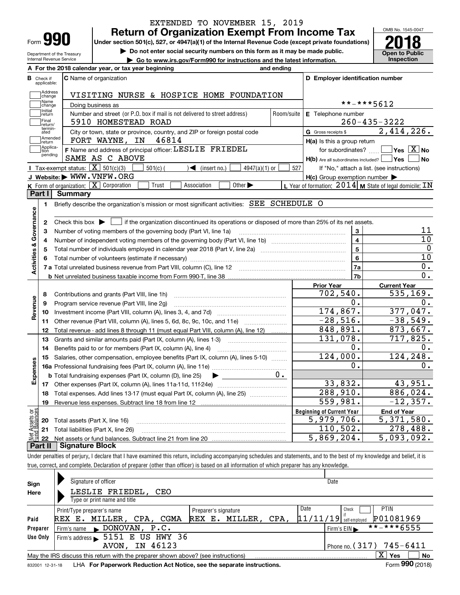| Form |  |
|------|--|

Department of the Treasury Internal Revenue Service

### **Return of Organization Exempt From Income Tax** EXTENDED TO NOVEMBER 15, 2019

Under section 501(c), 527, or 4947(a)(1) of the Internal Revenue Code (except private foundations) **2018** 

**| Do not enter social security numbers on this form as it may be made public.**

**| Go to www.irs.gov/Form990 for instructions and the latest information. Inspection**



|                         |                         | A For the 2018 calendar year, or tax year beginning                                                                                                 | and ending |                                                     |                                                           |  |  |  |  |
|-------------------------|-------------------------|-----------------------------------------------------------------------------------------------------------------------------------------------------|------------|-----------------------------------------------------|-----------------------------------------------------------|--|--|--|--|
| В                       | Check if<br>applicable: | <b>C</b> Name of organization                                                                                                                       |            | D Employer identification number                    |                                                           |  |  |  |  |
|                         | Address<br>change       | VISITING NURSE & HOSPICE HOME FOUNDATION                                                                                                            |            |                                                     |                                                           |  |  |  |  |
|                         | Name<br>change          | Doing business as                                                                                                                                   |            | **-***5612                                          |                                                           |  |  |  |  |
|                         | Initial<br>return       | Number and street (or P.O. box if mail is not delivered to street address)                                                                          | Room/suite | E Telephone number                                  |                                                           |  |  |  |  |
|                         | Final<br>return/        | 5910 HOMESTEAD ROAD                                                                                                                                 |            |                                                     | $260 - 435 - 3222$                                        |  |  |  |  |
|                         | termin-<br>ated         | City or town, state or province, country, and ZIP or foreign postal code                                                                            |            | <b>G</b> Gross receipts \$                          | 2,414,226.                                                |  |  |  |  |
|                         | Amended<br>return       | 46814<br>FORT WAYNE, IN                                                                                                                             |            | H(a) Is this a group return                         |                                                           |  |  |  |  |
|                         | Applica-<br>tion        | F Name and address of principal officer: LESLIE FRIEDEL                                                                                             |            | for subordinates?                                   | $\sqrt{}$ Yes $\sqrt{}$ X $\sqrt{}$ No                    |  |  |  |  |
|                         | pending                 | SAME AS C ABOVE                                                                                                                                     |            | H(b) Are all subordinates included?   Yes           | <b>No</b>                                                 |  |  |  |  |
|                         |                         | Tax-exempt status: $\boxed{\mathbf{X}}$ 501(c)(3)<br>$501(c)$ (<br>$\sqrt{\frac{1}{1}}$ (insert no.)<br>$4947(a)(1)$ or                             | 527        |                                                     | If "No," attach a list. (see instructions)                |  |  |  |  |
|                         |                         | J Website: WWW.VNFW.ORG                                                                                                                             |            | $H(c)$ Group exemption number $\blacktriangleright$ |                                                           |  |  |  |  |
|                         |                         | $K$ Form of organization: $X$ Corporation<br>Other $\blacktriangleright$<br>Trust<br>Association                                                    |            |                                                     | L Year of formation: $2014$ M State of legal domicile: IN |  |  |  |  |
|                         | Part I                  | Summary                                                                                                                                             |            |                                                     |                                                           |  |  |  |  |
|                         | 1                       | Briefly describe the organization's mission or most significant activities: SEE SCHEDULE O                                                          |            |                                                     |                                                           |  |  |  |  |
|                         |                         |                                                                                                                                                     |            |                                                     |                                                           |  |  |  |  |
| Activities & Governance | 2                       | Check this box $\blacktriangleright$ $\blacksquare$ if the organization discontinued its operations or disposed of more than 25% of its net assets. |            |                                                     |                                                           |  |  |  |  |
|                         | 3                       | Number of voting members of the governing body (Part VI, line 1a)                                                                                   |            | 3                                                   | 11                                                        |  |  |  |  |
|                         | 4                       |                                                                                                                                                     |            | $\overline{\mathbf{4}}$                             | 10                                                        |  |  |  |  |
|                         | 5                       |                                                                                                                                                     |            | $\overline{5}$                                      | $\mathbf 0$                                               |  |  |  |  |
|                         | 6                       |                                                                                                                                                     | 6          | 10                                                  |                                                           |  |  |  |  |
|                         |                         |                                                                                                                                                     |            | 7a                                                  | $\overline{0}$ .                                          |  |  |  |  |
|                         |                         |                                                                                                                                                     |            | 7b                                                  | 0.                                                        |  |  |  |  |
|                         |                         |                                                                                                                                                     |            | <b>Prior Year</b>                                   | <b>Current Year</b>                                       |  |  |  |  |
|                         | 8                       | Contributions and grants (Part VIII, line 1h)                                                                                                       |            | 702,540.                                            | 535, 169.                                                 |  |  |  |  |
| Revenue                 | 9                       | Program service revenue (Part VIII, line 2g)                                                                                                        |            | 0.                                                  | 0.                                                        |  |  |  |  |
|                         | 10                      |                                                                                                                                                     |            | 174,867.                                            | 377,047.                                                  |  |  |  |  |
|                         | 11                      | Other revenue (Part VIII, column (A), lines 5, 6d, 8c, 9c, 10c, and 11e)                                                                            |            | $-28,516.$                                          | $-38,549.$                                                |  |  |  |  |
|                         | 12                      | Total revenue - add lines 8 through 11 (must equal Part VIII, column (A), line 12)                                                                  |            | 848,891.                                            | 873,667.                                                  |  |  |  |  |
|                         | 13                      | Grants and similar amounts paid (Part IX, column (A), lines 1-3)                                                                                    |            | 131,078.                                            | 717,825.                                                  |  |  |  |  |
|                         | 14                      | Benefits paid to or for members (Part IX, column (A), line 4)                                                                                       |            | $0$ .                                               | О.                                                        |  |  |  |  |
|                         | 15                      | Salaries, other compensation, employee benefits (Part IX, column (A), lines 5-10)                                                                   |            | 124,000.                                            | 124,248.                                                  |  |  |  |  |
| Expenses                |                         |                                                                                                                                                     |            | 0.                                                  | Ο.                                                        |  |  |  |  |
|                         |                         | <b>b</b> Total fundraising expenses (Part IX, column (D), line 25)<br>$\blacktriangleright$ and $\blacktriangleright$                               | $0 \cdot$  |                                                     |                                                           |  |  |  |  |
|                         |                         |                                                                                                                                                     |            | 33,832.                                             | 43,951.                                                   |  |  |  |  |
|                         | 18                      | Total expenses. Add lines 13-17 (must equal Part IX, column (A), line 25) <i></i>                                                                   |            | 288,910.                                            | 886,024.                                                  |  |  |  |  |
|                         | 19                      |                                                                                                                                                     |            | 559,981.                                            | $-12, 357.$                                               |  |  |  |  |
| ăğ                      |                         |                                                                                                                                                     |            | <b>Beginning of Current Year</b>                    | <b>End of Year</b>                                        |  |  |  |  |
| <b>Assets</b>           |                         | <b>20</b> Total assets (Part X, line 16)                                                                                                            |            | 5,979,706.                                          | 5,371,580.                                                |  |  |  |  |
|                         |                         | 21 Total liabilities (Part X, line 26)                                                                                                              |            | 110,502.                                            | 278,488.                                                  |  |  |  |  |
|                         |                         |                                                                                                                                                     |            | 5,869,204.                                          | 5,093,092.                                                |  |  |  |  |

Under penalties of perjury, I declare that I have examined this return, including accompanying schedules and statements, and to the best of my knowledge and belief, it is true, correct, and complete. Declaration of preparer (other than officer) is based on all information of which preparer has any knowledge.

| Sign     | Signature of officer                                                                                         |                        | Date                                           |  |  |  |  |  |  |
|----------|--------------------------------------------------------------------------------------------------------------|------------------------|------------------------------------------------|--|--|--|--|--|--|
| Here     | LESLIE FRIEDEL, CEO                                                                                          |                        |                                                |  |  |  |  |  |  |
|          | Type or print name and title                                                                                 |                        |                                                |  |  |  |  |  |  |
|          | Print/Type preparer's name                                                                                   | Preparer's signature   | Date<br><b>PTIN</b><br>Check                   |  |  |  |  |  |  |
| Paid     | MILLER,<br>CPA,<br>CGMA<br>REX E.                                                                            | REX E. MILLER,<br>CPA, | P01081969<br>$11/11/19$ self-employed          |  |  |  |  |  |  |
| Preparer | $\blacktriangleright$ DONOVAN, P.C.<br>Firm's name                                                           |                        | **-***6555<br>Firm's $EIN \blacktriangleright$ |  |  |  |  |  |  |
| Use Only | Firm's address $\overline{\phantom{0}}$ 5151 E US HWY 36                                                     |                        |                                                |  |  |  |  |  |  |
|          | IN 46123<br>AVON,                                                                                            |                        | Phone no. $(317)$ 745-6411                     |  |  |  |  |  |  |
|          | May the IRS discuss this return with the preparer shown above? (see instructions)                            |                        | x<br>No<br>Yes                                 |  |  |  |  |  |  |
|          | Form 990 (2018)<br>LHA For Paperwork Reduction Act Notice, see the separate instructions.<br>832001 12-31-18 |                        |                                                |  |  |  |  |  |  |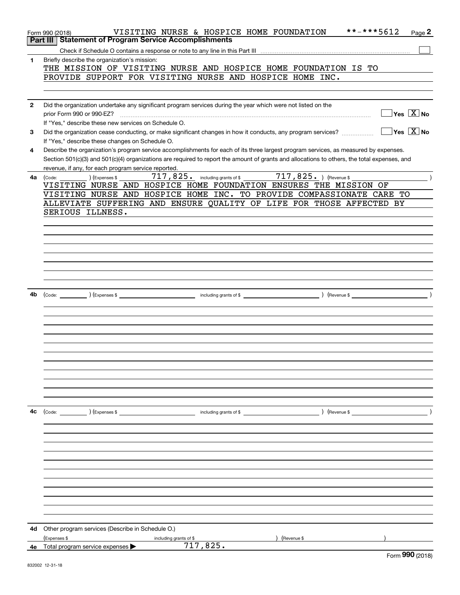|    | **-***5612<br>VISITING NURSE & HOSPICE HOME FOUNDATION<br>Page 2<br>Form 990 (2018)                                                                           |
|----|---------------------------------------------------------------------------------------------------------------------------------------------------------------|
|    | <b>Part III   Statement of Program Service Accomplishments</b>                                                                                                |
|    |                                                                                                                                                               |
| 1  | Briefly describe the organization's mission:<br>THE MISSION OF VISITING NURSE AND HOSPICE HOME FOUNDATION IS TO                                               |
|    | PROVIDE SUPPORT FOR VISITING NURSE AND HOSPICE HOME INC.                                                                                                      |
|    |                                                                                                                                                               |
|    |                                                                                                                                                               |
| 2  | Did the organization undertake any significant program services during the year which were not listed on the<br>$\sqrt{}$ Yes $\sqrt{}$ $\overline{\rm X}$ No |
|    | prior Form 990 or 990-EZ?<br>If "Yes," describe these new services on Schedule O.                                                                             |
| 3  | $\overline{\ }$ Yes $\overline{\ \ X}$ No<br>Did the organization cease conducting, or make significant changes in how it conducts, any program services?     |
|    | If "Yes," describe these changes on Schedule O.                                                                                                               |
| 4  | Describe the organization's program service accomplishments for each of its three largest program services, as measured by expenses.                          |
|    | Section 501(c)(3) and 501(c)(4) organizations are required to report the amount of grants and allocations to others, the total expenses, and                  |
|    | revenue, if any, for each program service reported.                                                                                                           |
| 4а | 717,825. including grants of \$717,825. ) (Revenue \$<br>(Expenses \$<br>(Code:                                                                               |
|    | VISITING NURSE AND HOSPICE HOME FOUNDATION ENSURES THE MISSION OF                                                                                             |
|    | VISITING NURSE AND HOSPICE HOME INC. TO PROVIDE COMPASSIONATE CARE TO                                                                                         |
|    | ALLEVIATE SUFFERING AND ENSURE QUALITY OF LIFE FOR THOSE AFFECTED BY<br>SERIOUS ILLNESS.                                                                      |
|    |                                                                                                                                                               |
|    |                                                                                                                                                               |
|    |                                                                                                                                                               |
|    |                                                                                                                                                               |
|    |                                                                                                                                                               |
|    |                                                                                                                                                               |
|    |                                                                                                                                                               |
|    |                                                                                                                                                               |
| 4b | $\left(\text{Code:}\right)$ $\left(\text{Expenses $}\right)$                                                                                                  |
|    |                                                                                                                                                               |
|    |                                                                                                                                                               |
|    |                                                                                                                                                               |
|    |                                                                                                                                                               |
|    |                                                                                                                                                               |
|    |                                                                                                                                                               |
|    |                                                                                                                                                               |
|    |                                                                                                                                                               |
|    |                                                                                                                                                               |
|    |                                                                                                                                                               |
|    |                                                                                                                                                               |
| 4c | (Code: ) (Expenses \$<br>including grants of \$<br>) (Revenue \$                                                                                              |
|    |                                                                                                                                                               |
|    |                                                                                                                                                               |
|    |                                                                                                                                                               |
|    |                                                                                                                                                               |
|    |                                                                                                                                                               |
|    |                                                                                                                                                               |
|    |                                                                                                                                                               |
|    |                                                                                                                                                               |
|    |                                                                                                                                                               |
|    |                                                                                                                                                               |
| 4d | Other program services (Describe in Schedule O.)                                                                                                              |
|    | (Expenses \$<br>(Revenue \$<br>including grants of \$                                                                                                         |
|    | 717,825.<br>4e Total program service expenses >                                                                                                               |
|    | $000 \cos \theta$                                                                                                                                             |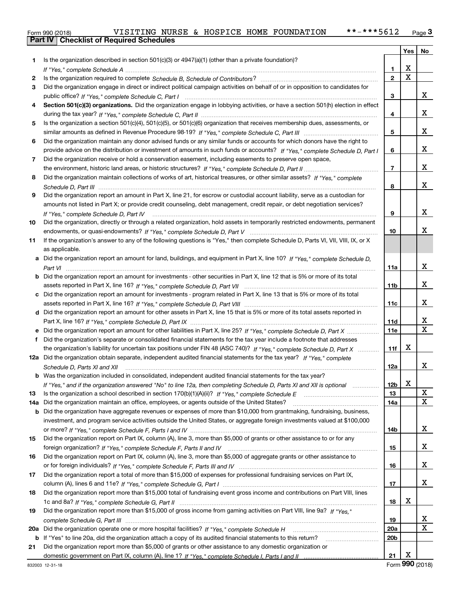|  | Form 990 (2018) |
|--|-----------------|

|     |                                                                                                                                  |                       | Yes | No                |
|-----|----------------------------------------------------------------------------------------------------------------------------------|-----------------------|-----|-------------------|
| 1   | Is the organization described in section 501(c)(3) or 4947(a)(1) (other than a private foundation)?                              |                       |     |                   |
|     |                                                                                                                                  | 1                     | х   |                   |
| 2   |                                                                                                                                  | $\mathbf{2}$          | X   |                   |
| 3   | Did the organization engage in direct or indirect political campaign activities on behalf of or in opposition to candidates for  |                       |     |                   |
|     |                                                                                                                                  | з                     |     | X.                |
| 4   | Section 501(c)(3) organizations. Did the organization engage in lobbying activities, or have a section 501(h) election in effect |                       |     |                   |
|     |                                                                                                                                  | 4                     |     | x                 |
| 5   | Is the organization a section 501(c)(4), 501(c)(5), or 501(c)(6) organization that receives membership dues, assessments, or     |                       |     |                   |
|     |                                                                                                                                  | 5                     |     | x                 |
| 6   | Did the organization maintain any donor advised funds or any similar funds or accounts for which donors have the right to        |                       |     |                   |
|     | provide advice on the distribution or investment of amounts in such funds or accounts? If "Yes," complete Schedule D, Part I     | 6                     |     | x                 |
| 7   | Did the organization receive or hold a conservation easement, including easements to preserve open space,                        |                       |     |                   |
|     |                                                                                                                                  | $\overline{7}$        |     | x                 |
| 8   | Did the organization maintain collections of works of art, historical treasures, or other similar assets? If "Yes," complete     |                       |     |                   |
|     |                                                                                                                                  | 8                     |     | x                 |
| 9   | Did the organization report an amount in Part X, line 21, for escrow or custodial account liability, serve as a custodian for    |                       |     |                   |
|     | amounts not listed in Part X; or provide credit counseling, debt management, credit repair, or debt negotiation services?        |                       |     |                   |
|     | If "Yes." complete Schedule D. Part IV                                                                                           | 9                     |     | x                 |
| 10  | Did the organization, directly or through a related organization, hold assets in temporarily restricted endowments, permanent    |                       |     |                   |
|     |                                                                                                                                  | 10                    |     | x                 |
| 11  | If the organization's answer to any of the following questions is "Yes," then complete Schedule D, Parts VI, VII, VIII, IX, or X |                       |     |                   |
|     | as applicable.                                                                                                                   |                       |     |                   |
| a   | Did the organization report an amount for land, buildings, and equipment in Part X, line 10? If "Yes," complete Schedule D,      |                       |     |                   |
|     |                                                                                                                                  | 11a                   |     | x                 |
| b   | Did the organization report an amount for investments - other securities in Part X, line 12 that is 5% or more of its total      |                       |     |                   |
|     |                                                                                                                                  | 11 <sub>b</sub>       |     | x                 |
| с   | Did the organization report an amount for investments - program related in Part X, line 13 that is 5% or more of its total       |                       |     |                   |
|     |                                                                                                                                  | 11c                   |     | X.                |
|     | d Did the organization report an amount for other assets in Part X, line 15 that is 5% or more of its total assets reported in   |                       |     |                   |
|     |                                                                                                                                  | <b>11d</b>            |     | x<br>$\mathbf{x}$ |
| е   |                                                                                                                                  | 11e                   |     |                   |
| f   | Did the organization's separate or consolidated financial statements for the tax year include a footnote that addresses          |                       | х   |                   |
|     | the organization's liability for uncertain tax positions under FIN 48 (ASC 740)? If "Yes," complete Schedule D, Part X           | 11f                   |     |                   |
|     | 12a Did the organization obtain separate, independent audited financial statements for the tax year? If "Yes," complete          |                       |     | x                 |
|     | Schedule D, Parts XI and XII                                                                                                     | 12a                   |     |                   |
|     | <b>b</b> Was the organization included in consolidated, independent audited financial statements for the tax year?               |                       | X   |                   |
|     | If "Yes," and if the organization answered "No" to line 12a, then completing Schedule D, Parts XI and XII is optional            | 12 <sub>b</sub><br>13 |     | X                 |
| 13  | Did the organization maintain an office, employees, or agents outside of the United States?                                      | 14a                   |     | x                 |
| 14a | Did the organization have aggregate revenues or expenses of more than \$10,000 from grantmaking, fundraising, business,          |                       |     |                   |
| b   | investment, and program service activities outside the United States, or aggregate foreign investments valued at \$100,000       |                       |     |                   |
|     |                                                                                                                                  | 14b                   |     | x                 |
| 15  | Did the organization report on Part IX, column (A), line 3, more than \$5,000 of grants or other assistance to or for any        |                       |     |                   |
|     |                                                                                                                                  | 15                    |     | X                 |
| 16  | Did the organization report on Part IX, column (A), line 3, more than \$5,000 of aggregate grants or other assistance to         |                       |     |                   |
|     |                                                                                                                                  | 16                    |     | x                 |
| 17  | Did the organization report a total of more than \$15,000 of expenses for professional fundraising services on Part IX,          |                       |     |                   |
|     |                                                                                                                                  | 17                    |     | x                 |
| 18  | Did the organization report more than \$15,000 total of fundraising event gross income and contributions on Part VIII, lines     |                       |     |                   |
|     |                                                                                                                                  | 18                    | x   |                   |
| 19  | Did the organization report more than \$15,000 of gross income from gaming activities on Part VIII, line 9a? If "Yes."           |                       |     |                   |
|     |                                                                                                                                  | 19                    |     | x.                |
| 20a |                                                                                                                                  | 20a                   |     | X                 |
| b   | If "Yes" to line 20a, did the organization attach a copy of its audited financial statements to this return?                     | 20 <sub>b</sub>       |     |                   |
| 21  | Did the organization report more than \$5,000 of grants or other assistance to any domestic organization or                      |                       |     |                   |
|     |                                                                                                                                  | 21                    | х   |                   |
|     |                                                                                                                                  |                       |     |                   |

Form (2018) **990**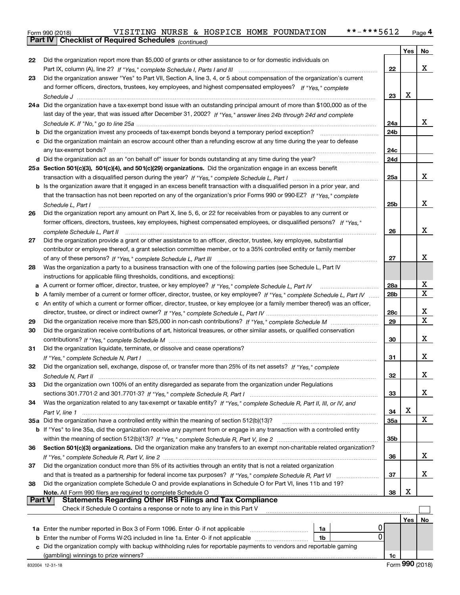| Form 990 (2018) |                                                       |  |  | VISITING NURSE & HOSPICE HOME FOUNDATION | **-***5612 | Page 4 |
|-----------------|-------------------------------------------------------|--|--|------------------------------------------|------------|--------|
|                 | Part IV   Checklist of Required Schedules (continued) |  |  |                                          |            |        |

|          | <b>Part IV</b>   GNECKIISTOI REQUITED SCREDUIES $_{(continued)}$                                                                   |                        |            |             |
|----------|------------------------------------------------------------------------------------------------------------------------------------|------------------------|------------|-------------|
|          |                                                                                                                                    |                        | Yes        | No          |
| 22       | Did the organization report more than \$5,000 of grants or other assistance to or for domestic individuals on                      |                        |            |             |
|          |                                                                                                                                    | 22                     |            | x           |
| 23       | Did the organization answer "Yes" to Part VII, Section A, line 3, 4, or 5 about compensation of the organization's current         |                        |            |             |
|          | and former officers, directors, trustees, key employees, and highest compensated employees? If "Yes," complete                     |                        |            |             |
|          |                                                                                                                                    | 23                     | Х          |             |
|          | 24a Did the organization have a tax-exempt bond issue with an outstanding principal amount of more than \$100,000 as of the        |                        |            |             |
|          | last day of the year, that was issued after December 31, 2002? If "Yes," answer lines 24b through 24d and complete                 |                        |            |             |
|          |                                                                                                                                    | 24a                    |            | x           |
|          | <b>b</b> Did the organization invest any proceeds of tax-exempt bonds beyond a temporary period exception?                         | 24b                    |            |             |
|          | c Did the organization maintain an escrow account other than a refunding escrow at any time during the year to defease             |                        |            |             |
|          |                                                                                                                                    | 24c                    |            |             |
|          |                                                                                                                                    | 24d                    |            |             |
|          | 25a Section 501(c)(3), 501(c)(4), and 501(c)(29) organizations. Did the organization engage in an excess benefit                   |                        |            |             |
|          |                                                                                                                                    | 25a                    |            | x           |
|          | b Is the organization aware that it engaged in an excess benefit transaction with a disqualified person in a prior year, and       |                        |            |             |
|          | that the transaction has not been reported on any of the organization's prior Forms 990 or 990-EZ? If "Yes," complete              |                        |            |             |
|          | Schedule L. Part I                                                                                                                 | 25b                    |            | x           |
| 26       | Did the organization report any amount on Part X, line 5, 6, or 22 for receivables from or payables to any current or              |                        |            |             |
|          | former officers, directors, trustees, key employees, highest compensated employees, or disqualified persons? If "Yes."             |                        |            |             |
|          | complete Schedule L, Part II manufactured and complete Schedule L, Part II manufactured and complete Schedule L, Part II           | 26                     |            | x           |
| 27       | Did the organization provide a grant or other assistance to an officer, director, trustee, key employee, substantial               |                        |            |             |
|          | contributor or employee thereof, a grant selection committee member, or to a 35% controlled entity or family member                |                        |            | x           |
|          |                                                                                                                                    | 27                     |            |             |
| 28       | Was the organization a party to a business transaction with one of the following parties (see Schedule L, Part IV                  |                        |            |             |
|          | instructions for applicable filing thresholds, conditions, and exceptions):                                                        |                        |            | х           |
|          | a A current or former officer, director, trustee, or key employee? If "Yes," complete Schedule L, Part IV                          | 28a<br>28 <sub>b</sub> |            | X           |
|          | b A family member of a current or former officer, director, trustee, or key employee? If "Yes," complete Schedule L, Part IV       |                        |            |             |
|          | c An entity of which a current or former officer, director, trustee, or key employee (or a family member thereof) was an officer,  |                        |            | х           |
|          |                                                                                                                                    | 28c<br>29              |            | $\mathbf X$ |
| 29<br>30 | Did the organization receive contributions of art, historical treasures, or other similar assets, or qualified conservation        |                        |            |             |
|          |                                                                                                                                    | 30                     |            | х           |
| 31       | Did the organization liquidate, terminate, or dissolve and cease operations?                                                       |                        |            |             |
|          |                                                                                                                                    | 31                     |            | х           |
| 32       | Did the organization sell, exchange, dispose of, or transfer more than 25% of its net assets? If "Yes," complete                   |                        |            |             |
|          |                                                                                                                                    | 32                     |            | х           |
| 33       | Did the organization own 100% of an entity disregarded as separate from the organization under Regulations                         |                        |            |             |
|          |                                                                                                                                    | 33                     |            | х           |
| 34       | Was the organization related to any tax-exempt or taxable entity? If "Yes," complete Schedule R, Part II, III, or IV, and          |                        |            |             |
|          |                                                                                                                                    | 34                     | X          |             |
|          | 35a Did the organization have a controlled entity within the meaning of section 512(b)(13)?                                        | <b>35a</b>             |            | x           |
|          | <b>b</b> If "Yes" to line 35a, did the organization receive any payment from or engage in any transaction with a controlled entity |                        |            |             |
|          |                                                                                                                                    | 35b                    |            |             |
| 36       | Section 501(c)(3) organizations. Did the organization make any transfers to an exempt non-charitable related organization?         |                        |            |             |
|          |                                                                                                                                    | 36                     |            | x           |
| 37       | Did the organization conduct more than 5% of its activities through an entity that is not a related organization                   |                        |            |             |
|          | and that is treated as a partnership for federal income tax purposes? If "Yes," complete Schedule R, Part VI                       | 37                     |            | х           |
| 38       | Did the organization complete Schedule O and provide explanations in Schedule O for Part VI, lines 11b and 19?                     |                        |            |             |
|          | Note. All Form 990 filers are required to complete Schedule O                                                                      | 38                     | X          |             |
|          | <b>Part V</b><br><b>Statements Regarding Other IRS Filings and Tax Compliance</b>                                                  |                        |            |             |
|          | Check if Schedule O contains a response or note to any line in this Part V                                                         |                        |            |             |
|          |                                                                                                                                    |                        | <b>Yes</b> | No          |
|          | 1a                                                                                                                                 |                        |            |             |
| b        | 0<br>Enter the number of Forms W-2G included in line 1a. Enter -0- if not applicable<br>1b                                         |                        |            |             |
| c        | Did the organization comply with backup withholding rules for reportable payments to vendors and reportable gaming                 |                        |            |             |
|          | (gambling) winnings to prize winners?                                                                                              | 1c                     |            |             |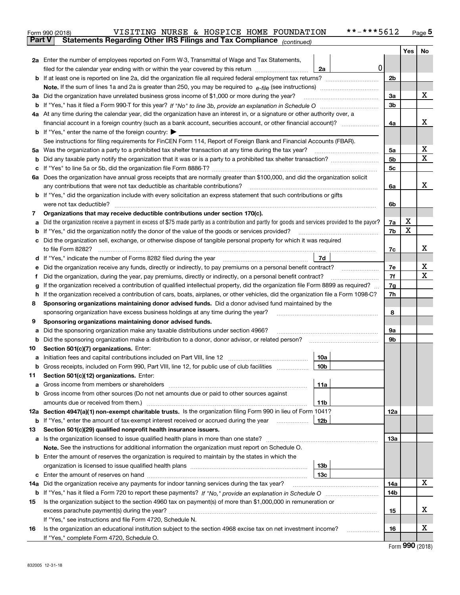|               | **-***5612<br>VISITING NURSE & HOSPICE HOME FOUNDATION<br>Form 990 (2018)                                                                                                               |          |     | $_{\text{Page}}$ 5 |  |
|---------------|-----------------------------------------------------------------------------------------------------------------------------------------------------------------------------------------|----------|-----|--------------------|--|
| <b>Part V</b> | Statements Regarding Other IRS Filings and Tax Compliance (continued)                                                                                                                   |          |     |                    |  |
|               |                                                                                                                                                                                         |          | Yes | No                 |  |
|               | 2a Enter the number of employees reported on Form W-3, Transmittal of Wage and Tax Statements,                                                                                          |          |     |                    |  |
|               | 0<br>filed for the calendar year ending with or within the year covered by this return <i>manumumumum</i><br>2a                                                                         |          |     |                    |  |
|               |                                                                                                                                                                                         | 2b       |     |                    |  |
|               |                                                                                                                                                                                         |          |     |                    |  |
| За            | Did the organization have unrelated business gross income of \$1,000 or more during the year?                                                                                           | 3a       |     | x                  |  |
|               |                                                                                                                                                                                         | 3b       |     |                    |  |
|               | 4a At any time during the calendar year, did the organization have an interest in, or a signature or other authority over, a                                                            |          |     |                    |  |
|               |                                                                                                                                                                                         | 4a       |     | x                  |  |
|               | <b>b</b> If "Yes," enter the name of the foreign country: $\blacktriangleright$                                                                                                         |          |     |                    |  |
|               | See instructions for filing requirements for FinCEN Form 114, Report of Foreign Bank and Financial Accounts (FBAR).                                                                     |          |     |                    |  |
| 5a            | Was the organization a party to a prohibited tax shelter transaction at any time during the tax year?                                                                                   | 5a       |     | х                  |  |
| b             |                                                                                                                                                                                         | 5b       |     | X                  |  |
| с             |                                                                                                                                                                                         | 5c       |     |                    |  |
|               | 6a Does the organization have annual gross receipts that are normally greater than \$100,000, and did the organization solicit                                                          |          |     |                    |  |
|               |                                                                                                                                                                                         | 6a       |     | х                  |  |
|               | <b>b</b> If "Yes," did the organization include with every solicitation an express statement that such contributions or gifts                                                           |          |     |                    |  |
|               | were not tax deductible?                                                                                                                                                                | 6b       |     |                    |  |
| 7             | Organizations that may receive deductible contributions under section 170(c).                                                                                                           |          |     |                    |  |
| а             | Did the organization receive a payment in excess of \$75 made partly as a contribution and partly for goods and services provided to the payor?                                         | 7a       | x   |                    |  |
| b             | If "Yes," did the organization notify the donor of the value of the goods or services provided?                                                                                         | 7b       | x   |                    |  |
| с             | Did the organization sell, exchange, or otherwise dispose of tangible personal property for which it was required                                                                       |          |     |                    |  |
|               |                                                                                                                                                                                         | 7c       |     | х                  |  |
|               | 7d                                                                                                                                                                                      |          |     |                    |  |
| е             | Did the organization receive any funds, directly or indirectly, to pay premiums on a personal benefit contract?                                                                         | 7e       |     | х                  |  |
| f             | Did the organization, during the year, pay premiums, directly or indirectly, on a personal benefit contract?                                                                            | 7f<br>7g |     | х                  |  |
| g             | If the organization received a contribution of qualified intellectual property, did the organization file Form 8899 as required?                                                        |          |     |                    |  |
| h             | If the organization received a contribution of cars, boats, airplanes, or other vehicles, did the organization file a Form 1098-C?                                                      | 7h       |     |                    |  |
| 8             | Sponsoring organizations maintaining donor advised funds. Did a donor advised fund maintained by the                                                                                    |          |     |                    |  |
|               | sponsoring organization have excess business holdings at any time during the year?                                                                                                      | 8        |     |                    |  |
| 9             | Sponsoring organizations maintaining donor advised funds.                                                                                                                               | 9а       |     |                    |  |
| а<br>b        | Did the sponsoring organization make any taxable distributions under section 4966?<br>Did the sponsoring organization make a distribution to a donor, donor advisor, or related person? | 9b       |     |                    |  |
| 10            | Section 501(c)(7) organizations. Enter:                                                                                                                                                 |          |     |                    |  |
|               | 10a                                                                                                                                                                                     |          |     |                    |  |
|               |                                                                                                                                                                                         |          |     |                    |  |
| 11            | Section 501(c)(12) organizations. Enter:                                                                                                                                                |          |     |                    |  |
| a             | 11a                                                                                                                                                                                     |          |     |                    |  |
| b             | Gross income from other sources (Do not net amounts due or paid to other sources against                                                                                                |          |     |                    |  |
|               | 11b                                                                                                                                                                                     |          |     |                    |  |
|               | 12a Section 4947(a)(1) non-exempt charitable trusts. Is the organization filing Form 990 in lieu of Form 1041?                                                                          | 12a      |     |                    |  |
|               | 12b<br><b>b</b> If "Yes," enter the amount of tax-exempt interest received or accrued during the year <i>manument</i>                                                                   |          |     |                    |  |
| 13            | Section 501(c)(29) qualified nonprofit health insurance issuers.                                                                                                                        |          |     |                    |  |
|               | a Is the organization licensed to issue qualified health plans in more than one state?                                                                                                  | 13a      |     |                    |  |
|               | Note. See the instructions for additional information the organization must report on Schedule O.                                                                                       |          |     |                    |  |
| b             | Enter the amount of reserves the organization is required to maintain by the states in which the                                                                                        |          |     |                    |  |
|               | 13 <sub>b</sub>                                                                                                                                                                         |          |     |                    |  |
|               | 13с                                                                                                                                                                                     |          |     |                    |  |
| 14a           | Did the organization receive any payments for indoor tanning services during the tax year?                                                                                              | 14a      |     | х                  |  |
|               |                                                                                                                                                                                         | 14b      |     |                    |  |
| 15            | Is the organization subject to the section 4960 tax on payment(s) of more than \$1,000,000 in remuneration or                                                                           |          |     |                    |  |
|               |                                                                                                                                                                                         | 15       |     | х                  |  |
|               | If "Yes," see instructions and file Form 4720, Schedule N.                                                                                                                              |          |     |                    |  |
| 16            | Is the organization an educational institution subject to the section 4968 excise tax on net investment income?                                                                         | 16       |     | х                  |  |
|               | If "Yes," complete Form 4720, Schedule O.                                                                                                                                               |          |     |                    |  |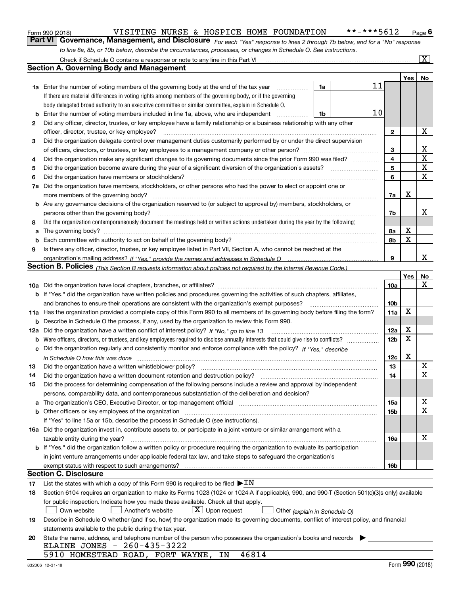| Form 990 (2018) |  |  |
|-----------------|--|--|
|                 |  |  |

### Form 990 (2018) VISITING NURSE & HOSPICE HOME FOUNDATION \*\*-\*\*\*5612 Page

*For each "Yes" response to lines 2 through 7b below, and for a "No" response* **6Part VI Governance, Management, and Disclosure**  *to line 8a, 8b, or 10b below, describe the circumstances, processes, or changes in Schedule O. See instructions.*

|    | Check if Schedule O contains a response or note to any line in this Part VI                                                                                                   |    |   |    |                 |            | $\overline{\mathbf{X}}$ $\overline{\mathbf{X}}$ |
|----|-------------------------------------------------------------------------------------------------------------------------------------------------------------------------------|----|---|----|-----------------|------------|-------------------------------------------------|
|    | Section A. Governing Body and Management                                                                                                                                      |    |   |    |                 |            |                                                 |
|    |                                                                                                                                                                               |    |   |    |                 | Yes        | No                                              |
|    | 1a Enter the number of voting members of the governing body at the end of the tax year                                                                                        | 1a |   | 11 |                 |            |                                                 |
|    | If there are material differences in voting rights among members of the governing body, or if the governing                                                                   |    |   |    |                 |            |                                                 |
|    | body delegated broad authority to an executive committee or similar committee, explain in Schedule O.                                                                         |    |   |    |                 |            |                                                 |
| b  | Enter the number of voting members included in line 1a, above, who are independent                                                                                            | 1b |   | 10 |                 |            |                                                 |
| 2  | Did any officer, director, trustee, or key employee have a family relationship or a business relationship with any other                                                      |    |   |    |                 |            |                                                 |
|    | officer, director, trustee, or key employee?                                                                                                                                  |    | . |    | 2               |            | х                                               |
| 3  | Did the organization delegate control over management duties customarily performed by or under the direct supervision                                                         |    |   |    |                 |            |                                                 |
|    |                                                                                                                                                                               |    |   |    | 3               |            | x                                               |
| 4  | Did the organization make any significant changes to its governing documents since the prior Form 990 was filed?                                                              |    |   |    | 4               |            | $\mathbf X$                                     |
| 5  |                                                                                                                                                                               |    |   |    | 5               |            | $\mathbf X$                                     |
| 6  | Did the organization have members or stockholders?                                                                                                                            |    |   |    | 6               |            | $\mathbf X$                                     |
| 7a | Did the organization have members, stockholders, or other persons who had the power to elect or appoint one or                                                                |    |   |    |                 |            |                                                 |
|    | more members of the governing body?                                                                                                                                           |    |   |    | 7a              | х          |                                                 |
|    | <b>b</b> Are any governance decisions of the organization reserved to (or subject to approval by) members, stockholders, or                                                   |    |   |    |                 |            |                                                 |
|    | persons other than the governing body?                                                                                                                                        |    |   |    | 7b              |            | х                                               |
| 8  | Did the organization contemporaneously document the meetings held or written actions undertaken during the year by the following:                                             |    |   |    |                 |            |                                                 |
| a  |                                                                                                                                                                               |    |   |    | 8a              | Х          |                                                 |
| b  |                                                                                                                                                                               |    |   |    | 8b              | X          |                                                 |
| 9  | Is there any officer, director, trustee, or key employee listed in Part VII, Section A, who cannot be reached at the                                                          |    |   |    |                 |            |                                                 |
|    |                                                                                                                                                                               |    |   |    | 9               |            | x                                               |
|    | <b>Section B. Policies</b> (This Section B requests information about policies not required by the Internal Revenue Code.)                                                    |    |   |    |                 |            |                                                 |
|    |                                                                                                                                                                               |    |   |    |                 | Yes        | No                                              |
|    |                                                                                                                                                                               |    |   |    | 10a             |            | x                                               |
|    | <b>b</b> If "Yes," did the organization have written policies and procedures governing the activities of such chapters, affiliates,                                           |    |   |    |                 |            |                                                 |
|    | and branches to ensure their operations are consistent with the organization's exempt purposes?                                                                               |    |   |    | 10 <sub>b</sub> |            |                                                 |
|    | 11a Has the organization provided a complete copy of this Form 990 to all members of its governing body before filing the form?                                               |    |   |    | 11a             | X          |                                                 |
| b  | Describe in Schedule O the process, if any, used by the organization to review this Form 990.                                                                                 |    |   |    |                 |            |                                                 |
|    | 12a Did the organization have a written conflict of interest policy? If "No," go to line 13                                                                                   |    |   |    | 12a             | х          |                                                 |
| b  |                                                                                                                                                                               |    |   |    | 12 <sub>b</sub> | X          |                                                 |
| c  | Did the organization regularly and consistently monitor and enforce compliance with the policy? If "Yes." describe                                                            |    |   |    |                 |            |                                                 |
|    | in Schedule O how this was done www.communication.com/www.communications.com/www.communications.com/                                                                          |    |   |    | 12c             | X          |                                                 |
| 13 | Did the organization have a written whistleblower policy?                                                                                                                     |    |   |    | 13              |            | $\mathbf X$                                     |
| 14 | Did the organization have a written document retention and destruction policy?                                                                                                |    |   |    | 14              |            | х                                               |
| 15 | Did the process for determining compensation of the following persons include a review and approval by independent                                                            |    |   |    |                 |            |                                                 |
|    | persons, comparability data, and contemporaneous substantiation of the deliberation and decision?                                                                             |    |   |    |                 |            |                                                 |
| a  | The organization's CEO, Executive Director, or top management official manufactured content content of the organization's CEO, Executive Director, or top management official |    |   |    | 15a             |            | х                                               |
|    | <b>b</b> Other officers or key employees of the organization                                                                                                                  |    |   |    | 15b             |            | X                                               |
|    | If "Yes" to line 15a or 15b, describe the process in Schedule O (see instructions).                                                                                           |    |   |    |                 |            |                                                 |
|    | 16a Did the organization invest in, contribute assets to, or participate in a joint venture or similar arrangement with a                                                     |    |   |    |                 |            |                                                 |
|    | taxable entity during the year?                                                                                                                                               |    |   |    | 16a             |            | х                                               |
|    | b If "Yes," did the organization follow a written policy or procedure requiring the organization to evaluate its participation                                                |    |   |    |                 |            |                                                 |
|    | in joint venture arrangements under applicable federal tax law, and take steps to safeguard the organization's                                                                |    |   |    |                 |            |                                                 |
|    | exempt status with respect to such arrangements?                                                                                                                              |    |   |    | 16b             |            |                                                 |
|    | <b>Section C. Disclosure</b>                                                                                                                                                  |    |   |    |                 |            |                                                 |
| 17 | List the states with which a copy of this Form 990 is required to be filed $\blacktriangleright$ IN                                                                           |    |   |    |                 |            |                                                 |
| 18 | Section 6104 requires an organization to make its Forms 1023 (1024 or 1024-A if applicable), 990, and 990-T (Section 501(c)(3)s only) available                               |    |   |    |                 |            |                                                 |
|    | for public inspection. Indicate how you made these available. Check all that apply.                                                                                           |    |   |    |                 |            |                                                 |
|    | $X$ Upon request<br>Another's website<br>Own website<br>Other (explain in Schedule O)                                                                                         |    |   |    |                 |            |                                                 |
| 19 | Describe in Schedule O whether (and if so, how) the organization made its governing documents, conflict of interest policy, and financial                                     |    |   |    |                 |            |                                                 |
|    | statements available to the public during the tax year.                                                                                                                       |    |   |    |                 |            |                                                 |
| 20 | State the name, address, and telephone number of the person who possesses the organization's books and records                                                                |    |   |    |                 |            |                                                 |
|    | ELAINE JONES - 260-435-3222                                                                                                                                                   |    |   |    |                 |            |                                                 |
|    | 5910 HOMESTEAD ROAD, FORT WAYNE,<br>46814<br>ΙN                                                                                                                               |    |   |    |                 |            |                                                 |
|    |                                                                                                                                                                               |    |   |    |                 | <u>nnn</u> |                                                 |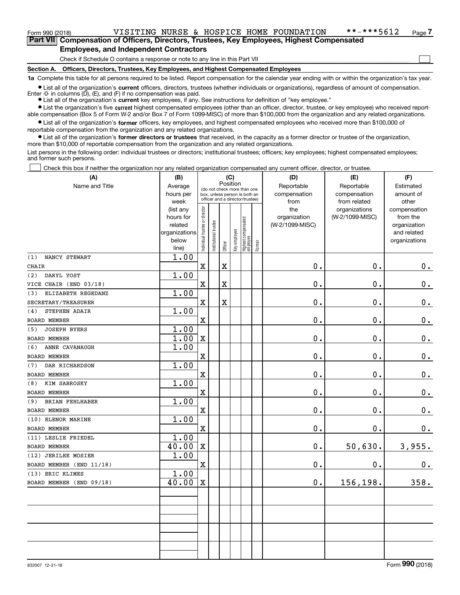### Form 990 (2018) VISITING NURSE & HOSPICE HOME FOUNDATION \*\*-\*\*\*5612 Page

 $\mathcal{L}^{\text{max}}$ 

Form 990 (2018) **THE START VITIVI VISITING NURSE & HOSPICE HOME FOUNDATION**  $* * - * * * 5612$  Page 7 **Employees, and Independent Contractors**

Check if Schedule O contains a response or note to any line in this Part VII

**Section A. Officers, Directors, Trustees, Key Employees, and Highest Compensated Employees**

**1a**  Complete this table for all persons required to be listed. Report compensation for the calendar year ending with or within the organization's tax year.

**•** List all of the organization's current officers, directors, trustees (whether individuals or organizations), regardless of amount of compensation. Enter -0- in columns  $(D)$ ,  $(E)$ , and  $(F)$  if no compensation was paid.

● List all of the organization's **current** key employees, if any. See instructions for definition of "key employee."

**•** List the organization's five current highest compensated employees (other than an officer, director, trustee, or key employee) who received reportable compensation (Box 5 of Form W-2 and/or Box 7 of Form 1099-MISC) of more than \$100,000 from the organization and any related organizations.

 $\bullet$  List all of the organization's **former** officers, key employees, and highest compensated employees who received more than \$100,000 of reportable compensation from the organization and any related organizations.

**•** List all of the organization's former directors or trustees that received, in the capacity as a former director or trustee of the organization, more than \$10,000 of reportable compensation from the organization and any related organizations.

List persons in the following order: individual trustees or directors; institutional trustees; officers; key employees; highest compensated employees; and former such persons.

Check this box if neither the organization nor any related organization compensated any current officer, director, or trustee.  $\mathcal{L}^{\text{max}}$ 

| (A)                           | (B)               |                                |                                                                  |             | (C)          |                                 |        | (D)             | (E)                           | (F)                   |
|-------------------------------|-------------------|--------------------------------|------------------------------------------------------------------|-------------|--------------|---------------------------------|--------|-----------------|-------------------------------|-----------------------|
| Name and Title                | Average           |                                | (do not check more than one                                      | Position    |              |                                 |        | Reportable      | Reportable                    | Estimated             |
|                               | hours per         |                                | box, unless person is both an<br>officer and a director/trustee) |             |              |                                 |        | compensation    | compensation                  | amount of             |
|                               | week<br>(list any |                                |                                                                  |             |              |                                 |        | from<br>the     | from related<br>organizations | other<br>compensation |
|                               | hours for         |                                |                                                                  |             |              |                                 |        | organization    | (W-2/1099-MISC)               | from the              |
|                               | related           |                                |                                                                  |             |              |                                 |        | (W-2/1099-MISC) |                               | organization          |
|                               | organizations     |                                |                                                                  |             |              |                                 |        |                 |                               | and related           |
|                               | below             | Individual trustee or director | In stitutional trustee                                           |             | Key employee | Highest compensated<br>employee |        |                 |                               | organizations         |
|                               | line)             |                                |                                                                  | Officer     |              |                                 | Former |                 |                               |                       |
| NANCY STEWART<br>(1)          | 1.00              |                                |                                                                  |             |              |                                 |        |                 |                               |                       |
| CHAIR                         |                   | $\mathbf X$                    |                                                                  | $\mathbf x$ |              |                                 |        | $0$ .           | 0.                            | 0.                    |
| (2)<br>DARYL YOST             | 1.00              |                                |                                                                  |             |              |                                 |        |                 |                               |                       |
| VICE CHAIR (END 03/18)        |                   | $\mathbf X$                    |                                                                  | $\mathbf X$ |              |                                 |        | 0.              | 0.                            | $\mathbf 0$ .         |
| ELIZABETH REGEDANZ<br>(3)     | 1.00              |                                |                                                                  |             |              |                                 |        |                 |                               |                       |
| SECRETARY/TREASURER           |                   | $\mathbf X$                    |                                                                  | $\mathbf X$ |              |                                 |        | 0.              | $\mathbf 0$ .                 | $\mathbf 0$ .         |
| STEPHEN ADAIR<br>(4)          | 1.00              |                                |                                                                  |             |              |                                 |        |                 |                               |                       |
| BOARD MEMBER                  |                   | $\overline{\textbf{X}}$        |                                                                  |             |              |                                 |        | 0.              | $\mathbf 0$ .                 | $\mathbf 0$ .         |
| <b>JOSEPH BYERS</b><br>(5)    | 1.00              |                                |                                                                  |             |              |                                 |        |                 |                               |                       |
| BOARD MEMBER                  | 1.00              | $\mathbf x$                    |                                                                  |             |              |                                 |        | 0.              | $\mathbf 0$ .                 | $\mathbf 0$ .         |
| ANNE CAVANAUGH<br>(6)         | 1.00              |                                |                                                                  |             |              |                                 |        |                 |                               |                       |
| <b>BOARD MEMBER</b>           |                   | $\mathbf X$                    |                                                                  |             |              |                                 |        | 0.              | $\mathbf 0$ .                 | $\mathbf 0$ .         |
| DAR RICHARDSON<br>(7)         | 1.00              |                                |                                                                  |             |              |                                 |        |                 |                               |                       |
| <b>BOARD MEMBER</b>           |                   | $\mathbf X$                    |                                                                  |             |              |                                 |        | 0.              | $\mathbf 0$ .                 | $0_{.}$               |
| KIM SABROSKY<br>(8)           | 1.00              |                                |                                                                  |             |              |                                 |        |                 |                               |                       |
| <b>BOARD MEMBER</b>           |                   | $\mathbf X$                    |                                                                  |             |              |                                 |        | 0.              | 0.                            | $0_{.}$               |
| <b>BRIAN FEHLHABER</b><br>(9) | 1.00              |                                |                                                                  |             |              |                                 |        |                 |                               |                       |
| <b>BOARD MEMBER</b>           |                   | $\mathbf x$                    |                                                                  |             |              |                                 |        | 0.              | $\mathbf 0$ .                 | $\mathbf 0$ .         |
| (10) ELENOR MARINE            | 1.00              |                                |                                                                  |             |              |                                 |        |                 |                               |                       |
| <b>BOARD MEMBER</b>           |                   | $\mathbf X$                    |                                                                  |             |              |                                 |        | 0.              | 0.                            | 0.                    |
| (11) LESLIE FRIEDEL           | 1.00              |                                |                                                                  |             |              |                                 |        |                 |                               |                       |
| <b>BOARD MEMBER</b>           | 40.00             | $\mathbf X$                    |                                                                  |             |              |                                 |        | 0.              | 50,630.                       | 3,955.                |
| (12) JERILEE MOSIER           | 1.00              |                                |                                                                  |             |              |                                 |        |                 |                               |                       |
| BOARD MEMBER (END 11/18)      |                   | $\mathbf X$                    |                                                                  |             |              |                                 |        | 0.              | 0.                            | $0_{.}$               |
| (13) ERIC KLIMES              | 1.00              |                                |                                                                  |             |              |                                 |        |                 |                               |                       |
| BOARD MEMBER (END 09/18)      | 40.00             | $\mathbf X$                    |                                                                  |             |              |                                 |        | $0$ .           | 156,198.                      | 358.                  |
|                               |                   |                                |                                                                  |             |              |                                 |        |                 |                               |                       |
|                               |                   |                                |                                                                  |             |              |                                 |        |                 |                               |                       |
|                               |                   |                                |                                                                  |             |              |                                 |        |                 |                               |                       |
|                               |                   |                                |                                                                  |             |              |                                 |        |                 |                               |                       |
|                               |                   |                                |                                                                  |             |              |                                 |        |                 |                               |                       |
|                               |                   |                                |                                                                  |             |              |                                 |        |                 |                               |                       |
|                               |                   |                                |                                                                  |             |              |                                 |        |                 |                               |                       |
|                               |                   |                                |                                                                  |             |              |                                 |        |                 |                               |                       |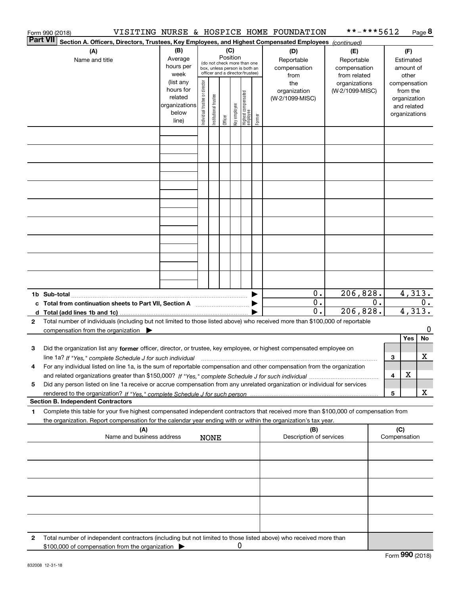|                 | Form 990 (2018)                                                                                                                                                                                                                                                         |                                                                      |                                |                       |                 |              |                                                                                                 |        | VISITING NURSE & HOSPICE HOME FOUNDATION  | **-***5612                                        |    |     |                                                                          | Page 8              |
|-----------------|-------------------------------------------------------------------------------------------------------------------------------------------------------------------------------------------------------------------------------------------------------------------------|----------------------------------------------------------------------|--------------------------------|-----------------------|-----------------|--------------|-------------------------------------------------------------------------------------------------|--------|-------------------------------------------|---------------------------------------------------|----|-----|--------------------------------------------------------------------------|---------------------|
| <b>Part VII</b> | Section A. Officers, Directors, Trustees, Key Employees, and Highest Compensated Employees (continued)                                                                                                                                                                  |                                                                      |                                |                       |                 |              |                                                                                                 |        |                                           |                                                   |    |     |                                                                          |                     |
|                 | (A)<br>Name and title                                                                                                                                                                                                                                                   | (B)<br>Average<br>hours per<br>week                                  |                                |                       | (C)<br>Position |              | (do not check more than one<br>box, unless person is both an<br>officer and a director/trustee) |        | (D)<br>Reportable<br>compensation<br>from | (E)<br>Reportable<br>compensation<br>from related |    |     | (F)<br>Estimated<br>amount of<br>other                                   |                     |
|                 |                                                                                                                                                                                                                                                                         | (list any<br>hours for<br>related<br>organizations<br>below<br>line) | Individual trustee or director | Institutional trustee | Officer         | Key employee | Highest compensated<br>  employee                                                               | Former | the<br>organization<br>(W-2/1099-MISC)    | organizations<br>(W-2/1099-MISC)                  |    |     | compensation<br>from the<br>organization<br>and related<br>organizations |                     |
|                 |                                                                                                                                                                                                                                                                         |                                                                      |                                |                       |                 |              |                                                                                                 |        |                                           |                                                   |    |     |                                                                          |                     |
|                 |                                                                                                                                                                                                                                                                         |                                                                      |                                |                       |                 |              |                                                                                                 |        |                                           |                                                   |    |     |                                                                          |                     |
|                 |                                                                                                                                                                                                                                                                         |                                                                      |                                |                       |                 |              |                                                                                                 |        |                                           |                                                   |    |     |                                                                          |                     |
|                 |                                                                                                                                                                                                                                                                         |                                                                      |                                |                       |                 |              |                                                                                                 |        |                                           |                                                   |    |     |                                                                          |                     |
|                 |                                                                                                                                                                                                                                                                         |                                                                      |                                |                       |                 |              |                                                                                                 |        |                                           |                                                   |    |     |                                                                          |                     |
|                 |                                                                                                                                                                                                                                                                         |                                                                      |                                |                       |                 |              |                                                                                                 |        |                                           |                                                   |    |     |                                                                          |                     |
|                 |                                                                                                                                                                                                                                                                         |                                                                      |                                |                       |                 |              |                                                                                                 |        |                                           |                                                   |    |     |                                                                          |                     |
|                 |                                                                                                                                                                                                                                                                         |                                                                      |                                |                       |                 |              |                                                                                                 |        |                                           |                                                   |    |     |                                                                          |                     |
|                 |                                                                                                                                                                                                                                                                         |                                                                      |                                |                       |                 |              |                                                                                                 |        | 0.                                        | 206,828.                                          |    |     |                                                                          | $\overline{4,313.}$ |
|                 | c Total from continuation sheets to Part VII, Section A manufactured by                                                                                                                                                                                                 |                                                                      |                                |                       |                 |              |                                                                                                 |        | 0.<br>0.                                  | 206,828.                                          | 0. |     | 4,313.                                                                   | 0.                  |
| $\mathbf{2}$    | Total number of individuals (including but not limited to those listed above) who received more than \$100,000 of reportable<br>compensation from the organization $\blacktriangleright$                                                                                |                                                                      |                                |                       |                 |              |                                                                                                 |        |                                           |                                                   |    |     |                                                                          | 0                   |
|                 |                                                                                                                                                                                                                                                                         |                                                                      |                                |                       |                 |              |                                                                                                 |        |                                           |                                                   |    |     | Yes                                                                      | No                  |
| 3               | Did the organization list any former officer, director, or trustee, key employee, or highest compensated employee on<br>line 1a? If "Yes," complete Schedule J for such individual manufactured contained and the 1a? If "Yes," complete Schedule J for such individual |                                                                      |                                |                       |                 |              |                                                                                                 |        |                                           |                                                   |    | 3   |                                                                          | х                   |
|                 | For any individual listed on line 1a, is the sum of reportable compensation and other compensation from the organization                                                                                                                                                |                                                                      |                                |                       |                 |              |                                                                                                 |        |                                           |                                                   |    | 4   | X                                                                        |                     |
| 5               | Did any person listed on line 1a receive or accrue compensation from any unrelated organization or individual for services                                                                                                                                              |                                                                      |                                |                       |                 |              |                                                                                                 |        |                                           |                                                   |    | 5   |                                                                          | x                   |
| 1               | <b>Section B. Independent Contractors</b><br>Complete this table for your five highest compensated independent contractors that received more than \$100,000 of compensation from                                                                                       |                                                                      |                                |                       |                 |              |                                                                                                 |        |                                           |                                                   |    |     |                                                                          |                     |
|                 | the organization. Report compensation for the calendar year ending with or within the organization's tax year.                                                                                                                                                          |                                                                      |                                |                       |                 |              |                                                                                                 |        |                                           |                                                   |    |     |                                                                          |                     |
|                 | (A)<br>Name and business address                                                                                                                                                                                                                                        |                                                                      |                                | <b>NONE</b>           |                 |              |                                                                                                 |        | (B)<br>Description of services            |                                                   |    | (C) | Compensation                                                             |                     |
|                 |                                                                                                                                                                                                                                                                         |                                                                      |                                |                       |                 |              |                                                                                                 |        |                                           |                                                   |    |     |                                                                          |                     |
|                 |                                                                                                                                                                                                                                                                         |                                                                      |                                |                       |                 |              |                                                                                                 |        |                                           |                                                   |    |     |                                                                          |                     |
|                 |                                                                                                                                                                                                                                                                         |                                                                      |                                |                       |                 |              |                                                                                                 |        |                                           |                                                   |    |     |                                                                          |                     |
|                 |                                                                                                                                                                                                                                                                         |                                                                      |                                |                       |                 |              |                                                                                                 |        |                                           |                                                   |    |     |                                                                          |                     |
| 2               | Total number of independent contractors (including but not limited to those listed above) who received more than                                                                                                                                                        |                                                                      |                                |                       |                 |              |                                                                                                 |        |                                           |                                                   |    |     |                                                                          |                     |
|                 | \$100,000 of compensation from the organization                                                                                                                                                                                                                         |                                                                      |                                |                       |                 | 0            |                                                                                                 |        |                                           |                                                   |    |     |                                                                          |                     |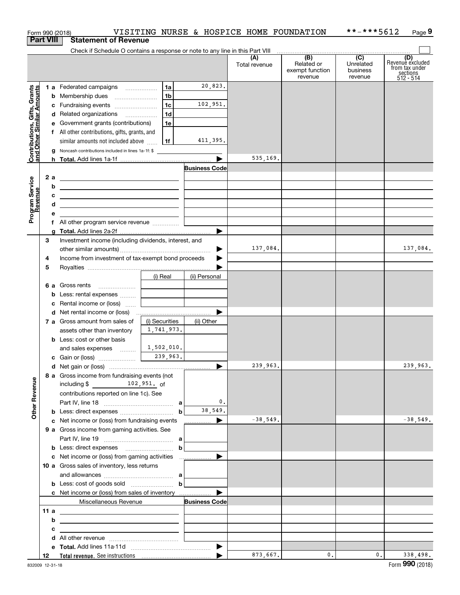|                                                           |     |                                         | Form 990 (2018)                                                                                                        |                                   |                      | VISITING NURSE & HOSPICE HOME FOUNDATION |                                                                                                 | **-***5612                       | Page 9                                                             |
|-----------------------------------------------------------|-----|-----------------------------------------|------------------------------------------------------------------------------------------------------------------------|-----------------------------------|----------------------|------------------------------------------|-------------------------------------------------------------------------------------------------|----------------------------------|--------------------------------------------------------------------|
| <b>Part VIII</b>                                          |     |                                         | <b>Statement of Revenue</b>                                                                                            |                                   |                      |                                          |                                                                                                 |                                  |                                                                    |
|                                                           |     |                                         | Check if Schedule O contains a response or note to any line in this Part VIII                                          |                                   |                      | (A)<br>Total revenue                     | $\overline{(\mathsf{B})}$ $\overline{(\mathsf{C})}$<br>Related or<br>exempt function<br>revenue | Unrelated<br>business<br>revenue | (D)<br>Revenue excluded<br>from tax under<br>sections<br>512 - 514 |
|                                                           |     |                                         | 1 a Federated campaigns                                                                                                | 1a                                | 20,823.              |                                          |                                                                                                 |                                  |                                                                    |
|                                                           |     |                                         |                                                                                                                        | 1 <sub>b</sub>                    |                      |                                          |                                                                                                 |                                  |                                                                    |
| Contributions, Gifts, Grants<br>and Other Similar Amounts |     |                                         | c Fundraising events                                                                                                   | 1c                                | 102,951.             |                                          |                                                                                                 |                                  |                                                                    |
|                                                           |     |                                         | d Related organizations                                                                                                | 1d                                |                      |                                          |                                                                                                 |                                  |                                                                    |
|                                                           |     |                                         | e Government grants (contributions)                                                                                    | 1e                                |                      |                                          |                                                                                                 |                                  |                                                                    |
|                                                           |     |                                         | f All other contributions, gifts, grants, and                                                                          |                                   |                      |                                          |                                                                                                 |                                  |                                                                    |
|                                                           |     |                                         | similar amounts not included above                                                                                     | 1f                                | 411,395.             |                                          |                                                                                                 |                                  |                                                                    |
|                                                           |     |                                         | g Noncash contributions included in lines 1a-1f: \$                                                                    |                                   |                      |                                          |                                                                                                 |                                  |                                                                    |
|                                                           |     |                                         |                                                                                                                        |                                   |                      | 535,169.                                 |                                                                                                 |                                  |                                                                    |
|                                                           |     |                                         |                                                                                                                        |                                   | <b>Business Code</b> |                                          |                                                                                                 |                                  |                                                                    |
|                                                           | 2a  |                                         | <u> 1989 - Johann Stein, mars an deus an deus Amerikaanse komme en de Fryske komme</u>                                 |                                   |                      |                                          |                                                                                                 |                                  |                                                                    |
|                                                           |     | b                                       | <u> 2008 - John Stone, Amerikaans en Stone († 18</u>                                                                   |                                   |                      |                                          |                                                                                                 |                                  |                                                                    |
|                                                           |     | с                                       | <u> 1989 - Johann Harry Harry Harry Harry Harry Harry Harry Harry Harry Harry Harry Harry Harry Harry Harry Harry</u>  |                                   |                      |                                          |                                                                                                 |                                  |                                                                    |
|                                                           |     | d                                       | <u> 1989 - Johann Stoff, deutscher Stoffen und der Stoffen und der Stoffen und der Stoffen und der Stoffen und der</u> |                                   |                      |                                          |                                                                                                 |                                  |                                                                    |
| Program Service<br>Revenue                                |     | е                                       |                                                                                                                        |                                   |                      |                                          |                                                                                                 |                                  |                                                                    |
|                                                           |     |                                         |                                                                                                                        |                                   |                      |                                          |                                                                                                 |                                  |                                                                    |
|                                                           | 3   | a                                       | Investment income (including dividends, interest, and                                                                  |                                   |                      |                                          |                                                                                                 |                                  |                                                                    |
|                                                           |     |                                         |                                                                                                                        |                                   |                      | 137,084.                                 |                                                                                                 |                                  | 137,084.                                                           |
|                                                           | 4   |                                         | Income from investment of tax-exempt bond proceeds                                                                     |                                   |                      |                                          |                                                                                                 |                                  |                                                                    |
|                                                           | 5   |                                         |                                                                                                                        |                                   |                      |                                          |                                                                                                 |                                  |                                                                    |
|                                                           |     |                                         |                                                                                                                        | (i) Real                          | (ii) Personal        |                                          |                                                                                                 |                                  |                                                                    |
|                                                           |     |                                         | 6 a Gross rents                                                                                                        |                                   |                      |                                          |                                                                                                 |                                  |                                                                    |
|                                                           |     |                                         | <b>b</b> Less: rental expenses                                                                                         |                                   |                      |                                          |                                                                                                 |                                  |                                                                    |
|                                                           |     |                                         | c Rental income or (loss)                                                                                              | and the control of the control of |                      |                                          |                                                                                                 |                                  |                                                                    |
|                                                           |     |                                         |                                                                                                                        |                                   |                      |                                          |                                                                                                 |                                  |                                                                    |
|                                                           |     |                                         | 7 a Gross amount from sales of                                                                                         | (i) Securities                    | (ii) Other           |                                          |                                                                                                 |                                  |                                                                    |
|                                                           |     |                                         | assets other than inventory                                                                                            | 1,741,973.                        |                      |                                          |                                                                                                 |                                  |                                                                    |
|                                                           |     |                                         | <b>b</b> Less: cost or other basis                                                                                     |                                   |                      |                                          |                                                                                                 |                                  |                                                                    |
|                                                           |     |                                         | and sales expenses                                                                                                     | 1,502,010.                        |                      |                                          |                                                                                                 |                                  |                                                                    |
|                                                           |     |                                         |                                                                                                                        | 239,963.                          |                      |                                          |                                                                                                 |                                  |                                                                    |
|                                                           |     |                                         |                                                                                                                        |                                   |                      | 239,963.                                 |                                                                                                 |                                  | 239,963.                                                           |
| <b>Other Revenue</b>                                      |     |                                         | 8 a Gross income from fundraising events (not<br>including $$$ 102,951. of                                             |                                   |                      |                                          |                                                                                                 |                                  |                                                                    |
|                                                           |     | contributions reported on line 1c). See |                                                                                                                        |                                   |                      |                                          |                                                                                                 |                                  |                                                                    |
|                                                           |     |                                         |                                                                                                                        |                                   | 0.                   |                                          |                                                                                                 |                                  |                                                                    |
|                                                           |     |                                         |                                                                                                                        | $\mathbf b$                       | 38,549.              |                                          |                                                                                                 |                                  |                                                                    |
|                                                           |     |                                         | c Net income or (loss) from fundraising events                                                                         |                                   | ▶                    | $-38,549.$                               |                                                                                                 |                                  | $-38,549.$                                                         |
|                                                           |     |                                         | 9 a Gross income from gaming activities. See                                                                           |                                   |                      |                                          |                                                                                                 |                                  |                                                                    |
|                                                           |     |                                         |                                                                                                                        |                                   |                      |                                          |                                                                                                 |                                  |                                                                    |
|                                                           |     |                                         |                                                                                                                        | $\mathbf b$                       |                      |                                          |                                                                                                 |                                  |                                                                    |
|                                                           |     |                                         |                                                                                                                        |                                   |                      |                                          |                                                                                                 |                                  |                                                                    |
|                                                           |     |                                         | 10 a Gross sales of inventory, less returns                                                                            |                                   |                      |                                          |                                                                                                 |                                  |                                                                    |
|                                                           |     |                                         |                                                                                                                        |                                   |                      |                                          |                                                                                                 |                                  |                                                                    |
|                                                           |     |                                         | <b>b</b> Less: cost of goods sold $\begin{bmatrix} b & b \end{bmatrix}$                                                |                                   |                      |                                          |                                                                                                 |                                  |                                                                    |
|                                                           |     |                                         | c Net income or (loss) from sales of inventory                                                                         |                                   |                      |                                          |                                                                                                 |                                  |                                                                    |
|                                                           | 11a |                                         | Miscellaneous Revenue                                                                                                  |                                   | <b>Business Code</b> |                                          |                                                                                                 |                                  |                                                                    |
|                                                           |     | b                                       | the contract of the contract of the contract of the contract of the contract of                                        |                                   |                      |                                          |                                                                                                 |                                  |                                                                    |
|                                                           |     | с                                       | <u> 1989 - Johann Barn, amerikansk politiker (</u>                                                                     |                                   |                      |                                          |                                                                                                 |                                  |                                                                    |
|                                                           |     |                                         | <u> 1989 - Johann John Stone, markin fan it ferstjer fan it ferstjer fan it ferstjer fan it ferstjer fan it fers</u>   |                                   |                      |                                          |                                                                                                 |                                  |                                                                    |
|                                                           |     |                                         |                                                                                                                        |                                   |                      |                                          |                                                                                                 |                                  |                                                                    |
|                                                           | 12  |                                         |                                                                                                                        |                                   |                      | 873,667.                                 | $\mathsf{0}$ .                                                                                  | 0.                               | 338,498.                                                           |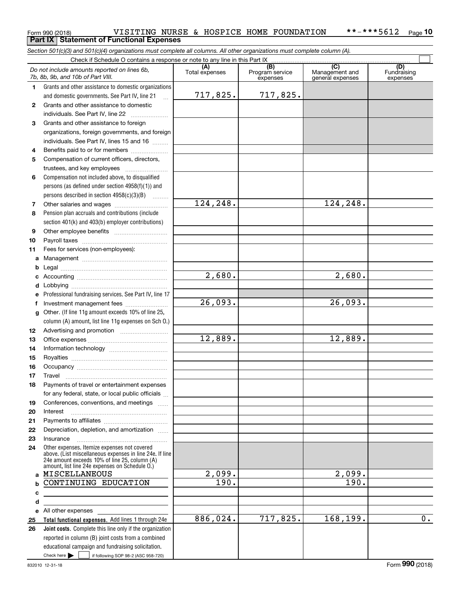#### Form 990 (2018) VISITING NURSE & HOSPICE HOME FOUNDATION \*\*-\*\*\*5612 <sub>Page</sub> **10 Part IX Statement of Functional Expenses**

*Section 501(c)(3) and 501(c)(4) organizations must complete all columns. All other organizations must complete column (A).*

|              | Check if Schedule O contains a response or note to any line in this Part IX                                    |                |                |                                    |                                                      |                                |
|--------------|----------------------------------------------------------------------------------------------------------------|----------------|----------------|------------------------------------|------------------------------------------------------|--------------------------------|
|              | Do not include amounts reported on lines 6b,<br>7b, 8b, 9b, and 10b of Part VIII.                              | Total expenses |                | (B)<br>Program service<br>expenses | $\overline{C}$<br>Management and<br>general expenses | (D)<br>Fundraising<br>expenses |
| 1.           | Grants and other assistance to domestic organizations                                                          |                |                |                                    |                                                      |                                |
|              | and domestic governments. See Part IV, line 21                                                                 |                | 717,825.       | 717,825.                           |                                                      |                                |
| $\mathbf{2}$ | Grants and other assistance to domestic                                                                        |                |                |                                    |                                                      |                                |
|              | individuals. See Part IV, line 22<br>$\mathcal{L} = \{1, 2, \ldots, n\}$                                       |                |                |                                    |                                                      |                                |
| 3            | Grants and other assistance to foreign                                                                         |                |                |                                    |                                                      |                                |
|              | organizations, foreign governments, and foreign                                                                |                |                |                                    |                                                      |                                |
|              | individuals. See Part IV, lines 15 and 16                                                                      |                |                |                                    |                                                      |                                |
| 4            | Benefits paid to or for members                                                                                |                |                |                                    |                                                      |                                |
| 5            | Compensation of current officers, directors,                                                                   |                |                |                                    |                                                      |                                |
|              | trustees, and key employees                                                                                    |                |                |                                    |                                                      |                                |
| 6            | Compensation not included above, to disqualified                                                               |                |                |                                    |                                                      |                                |
|              | persons (as defined under section $4958(f)(1)$ ) and                                                           |                |                |                                    |                                                      |                                |
|              | persons described in section $4958(c)(3)(B)$                                                                   |                |                |                                    |                                                      |                                |
| 7            |                                                                                                                |                | 124, 248.      |                                    | 124,248.                                             |                                |
| 8            | Pension plan accruals and contributions (include                                                               |                |                |                                    |                                                      |                                |
|              | section 401(k) and 403(b) employer contributions)                                                              |                |                |                                    |                                                      |                                |
| 9            |                                                                                                                |                |                |                                    |                                                      |                                |
| 10           |                                                                                                                |                |                |                                    |                                                      |                                |
| 11           | Fees for services (non-employees):                                                                             |                |                |                                    |                                                      |                                |
| a            |                                                                                                                |                |                |                                    |                                                      |                                |
| b            |                                                                                                                |                |                |                                    |                                                      |                                |
| c            |                                                                                                                |                | 2,680.         |                                    | 2,680.                                               |                                |
| d            |                                                                                                                |                |                |                                    |                                                      |                                |
| e            | Professional fundraising services. See Part IV, line 17                                                        |                |                |                                    |                                                      |                                |
| f            | Investment management fees                                                                                     |                | 26,093.        |                                    | 26,093.                                              |                                |
| g            | Other. (If line 11g amount exceeds 10% of line 25,                                                             |                |                |                                    |                                                      |                                |
|              | column (A) amount, list line 11g expenses on Sch 0.)                                                           |                |                |                                    |                                                      |                                |
| 12           |                                                                                                                |                |                |                                    |                                                      |                                |
| 13           |                                                                                                                |                | 12,889.        |                                    | 12,889.                                              |                                |
| 14           |                                                                                                                |                |                |                                    |                                                      |                                |
| 15           |                                                                                                                |                |                |                                    |                                                      |                                |
| 16           |                                                                                                                |                |                |                                    |                                                      |                                |
| 17           | Travel                                                                                                         |                |                |                                    |                                                      |                                |
| 18           | Payments of travel or entertainment expenses                                                                   |                |                |                                    |                                                      |                                |
|              | for any federal, state, or local public officials                                                              |                |                |                                    |                                                      |                                |
| 19           | Conferences, conventions, and meetings                                                                         |                |                |                                    |                                                      |                                |
| 20           | Interest                                                                                                       |                |                |                                    |                                                      |                                |
| 21           |                                                                                                                |                |                |                                    |                                                      |                                |
| 22           | Depreciation, depletion, and amortization                                                                      |                |                |                                    |                                                      |                                |
| 23           | Insurance                                                                                                      |                |                |                                    |                                                      |                                |
| 24           | Other expenses. Itemize expenses not covered<br>above. (List miscellaneous expenses in line 24e. If line       |                |                |                                    |                                                      |                                |
|              | 24e amount exceeds 10% of line 25, column (A)                                                                  |                |                |                                    |                                                      |                                |
|              | amount, list line 24e expenses on Schedule O.)                                                                 |                |                |                                    |                                                      |                                |
| a            | MISCELLANEOUS                                                                                                  |                | 2,099.<br>190. |                                    | 2,099.<br>190.                                       |                                |
| b            | CONTINUING EDUCATION                                                                                           |                |                |                                    |                                                      |                                |
| c            |                                                                                                                |                |                |                                    |                                                      |                                |
| d            |                                                                                                                |                |                |                                    |                                                      |                                |
| е            | All other expenses and the state of the state of the state of the state of the state of the state of the state |                | 886,024.       | 717,825.                           | 168,199.                                             | $\overline{0}$ .               |
| 25           | Total functional expenses. Add lines 1 through 24e                                                             |                |                |                                    |                                                      |                                |
| 26           | Joint costs. Complete this line only if the organization                                                       |                |                |                                    |                                                      |                                |
|              | reported in column (B) joint costs from a combined<br>educational campaign and fundraising solicitation.       |                |                |                                    |                                                      |                                |
|              | Check here $\blacktriangleright$<br>if following SOP 98-2 (ASC 958-720)                                        |                |                |                                    |                                                      |                                |
|              |                                                                                                                |                |                |                                    |                                                      |                                |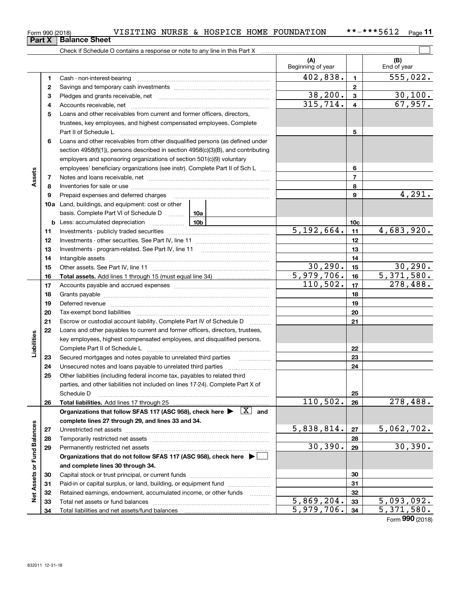|  |   | VISITING NURSE & HOSPICE HO<br>Form 990 (2018)                             |
|--|---|----------------------------------------------------------------------------|
|  |   | <b>Part X Balance Sheet</b>                                                |
|  |   | Check if Schedule O contains a response or note to any line in this Part X |
|  |   |                                                                            |
|  |   |                                                                            |
|  |   | Cash - non-interest-bearing                                                |
|  | 2 | Savings and temporary cash investments                                     |
|  | з | Pledges and grants receivable, net                                         |
|  |   | Appounte resolution not                                                    |

| 402,838.<br>1<br>1<br>$\mathbf{2}$<br>2<br>38,200.<br>$\mathbf{3}$<br>з<br>315,714.<br>$\overline{\mathbf{4}}$<br>4<br>5<br>Loans and other receivables from current and former officers, directors,<br>trustees, key employees, and highest compensated employees. Complete<br>5<br>6<br>Loans and other receivables from other disqualified persons (as defined under<br>section 4958(f)(1)), persons described in section 4958(c)(3)(B), and contributing<br>employers and sponsoring organizations of section 501(c)(9) voluntary<br>6<br>employees' beneficiary organizations (see instr). Complete Part II of Sch L<br>Assets<br>$\overline{7}$<br>7<br>8<br>8<br>9<br>9<br>Prepaid expenses and deferred charges<br><b>10a</b> Land, buildings, and equipment: cost or other<br>basis. Complete Part VI of Schedule D  10a<br><u>10b</u><br>10 <sub>c</sub><br><b>b</b> Less: accumulated depreciation<br>5,192,664.<br>11<br>11<br>12<br>12<br>13<br>13<br>14<br>14<br>30, 290.<br>15<br>15<br>5,979,706.<br>16<br>16<br>110,502.<br>17<br>17<br>18<br>18<br>19<br>19<br>Deferred revenue manual contracts and contracts are contracted and contract and contract are contracted and contract are contracted and contract are contracted and contract are contracted and contract are contracted and co<br>20<br>20<br>21<br>21<br>Escrow or custodial account liability. Complete Part IV of Schedule D<br>$\sim$<br>Loans and other payables to current and former officers, directors, trustees,<br>22<br>Liabilities<br>key employees, highest compensated employees, and disqualified persons.<br>22<br>23<br>Secured mortgages and notes payable to unrelated third parties<br>23<br>24<br>24<br>Other liabilities (including federal income tax, payables to related third<br>25<br>parties, and other liabilities not included on lines 17-24). Complete Part X of<br>25<br>Schedule D<br>110, 502.<br>278,488.<br>26<br>26<br>Organizations that follow SFAS 117 (ASC 958), check here $\blacktriangleright \begin{array}{c} \boxed{X} \\ \end{array}$ and<br>complete lines 27 through 29, and lines 33 and 34.<br>Net Assets or Fund Balances<br>5,838,814.<br>5,062,702.<br>27<br>27<br>28<br>28 |  | Beginning of year | End of year                   |
|----------------------------------------------------------------------------------------------------------------------------------------------------------------------------------------------------------------------------------------------------------------------------------------------------------------------------------------------------------------------------------------------------------------------------------------------------------------------------------------------------------------------------------------------------------------------------------------------------------------------------------------------------------------------------------------------------------------------------------------------------------------------------------------------------------------------------------------------------------------------------------------------------------------------------------------------------------------------------------------------------------------------------------------------------------------------------------------------------------------------------------------------------------------------------------------------------------------------------------------------------------------------------------------------------------------------------------------------------------------------------------------------------------------------------------------------------------------------------------------------------------------------------------------------------------------------------------------------------------------------------------------------------------------------------------------------------------------------------------------------------------------------------------------------------------------------------------------------------------------------------------------------------------------------------------------------------------------------------------------------------------------------------------------------------------------------------------------------------------------------------------------------------------------------------------------------------------------------|--|-------------------|-------------------------------|
|                                                                                                                                                                                                                                                                                                                                                                                                                                                                                                                                                                                                                                                                                                                                                                                                                                                                                                                                                                                                                                                                                                                                                                                                                                                                                                                                                                                                                                                                                                                                                                                                                                                                                                                                                                                                                                                                                                                                                                                                                                                                                                                                                                                                                      |  |                   | $\overline{555}$ , 022.       |
|                                                                                                                                                                                                                                                                                                                                                                                                                                                                                                                                                                                                                                                                                                                                                                                                                                                                                                                                                                                                                                                                                                                                                                                                                                                                                                                                                                                                                                                                                                                                                                                                                                                                                                                                                                                                                                                                                                                                                                                                                                                                                                                                                                                                                      |  |                   |                               |
|                                                                                                                                                                                                                                                                                                                                                                                                                                                                                                                                                                                                                                                                                                                                                                                                                                                                                                                                                                                                                                                                                                                                                                                                                                                                                                                                                                                                                                                                                                                                                                                                                                                                                                                                                                                                                                                                                                                                                                                                                                                                                                                                                                                                                      |  |                   | 30,100.                       |
|                                                                                                                                                                                                                                                                                                                                                                                                                                                                                                                                                                                                                                                                                                                                                                                                                                                                                                                                                                                                                                                                                                                                                                                                                                                                                                                                                                                                                                                                                                                                                                                                                                                                                                                                                                                                                                                                                                                                                                                                                                                                                                                                                                                                                      |  |                   | 67,957.                       |
|                                                                                                                                                                                                                                                                                                                                                                                                                                                                                                                                                                                                                                                                                                                                                                                                                                                                                                                                                                                                                                                                                                                                                                                                                                                                                                                                                                                                                                                                                                                                                                                                                                                                                                                                                                                                                                                                                                                                                                                                                                                                                                                                                                                                                      |  |                   |                               |
|                                                                                                                                                                                                                                                                                                                                                                                                                                                                                                                                                                                                                                                                                                                                                                                                                                                                                                                                                                                                                                                                                                                                                                                                                                                                                                                                                                                                                                                                                                                                                                                                                                                                                                                                                                                                                                                                                                                                                                                                                                                                                                                                                                                                                      |  |                   |                               |
|                                                                                                                                                                                                                                                                                                                                                                                                                                                                                                                                                                                                                                                                                                                                                                                                                                                                                                                                                                                                                                                                                                                                                                                                                                                                                                                                                                                                                                                                                                                                                                                                                                                                                                                                                                                                                                                                                                                                                                                                                                                                                                                                                                                                                      |  |                   |                               |
|                                                                                                                                                                                                                                                                                                                                                                                                                                                                                                                                                                                                                                                                                                                                                                                                                                                                                                                                                                                                                                                                                                                                                                                                                                                                                                                                                                                                                                                                                                                                                                                                                                                                                                                                                                                                                                                                                                                                                                                                                                                                                                                                                                                                                      |  |                   |                               |
|                                                                                                                                                                                                                                                                                                                                                                                                                                                                                                                                                                                                                                                                                                                                                                                                                                                                                                                                                                                                                                                                                                                                                                                                                                                                                                                                                                                                                                                                                                                                                                                                                                                                                                                                                                                                                                                                                                                                                                                                                                                                                                                                                                                                                      |  |                   |                               |
|                                                                                                                                                                                                                                                                                                                                                                                                                                                                                                                                                                                                                                                                                                                                                                                                                                                                                                                                                                                                                                                                                                                                                                                                                                                                                                                                                                                                                                                                                                                                                                                                                                                                                                                                                                                                                                                                                                                                                                                                                                                                                                                                                                                                                      |  |                   |                               |
|                                                                                                                                                                                                                                                                                                                                                                                                                                                                                                                                                                                                                                                                                                                                                                                                                                                                                                                                                                                                                                                                                                                                                                                                                                                                                                                                                                                                                                                                                                                                                                                                                                                                                                                                                                                                                                                                                                                                                                                                                                                                                                                                                                                                                      |  |                   |                               |
|                                                                                                                                                                                                                                                                                                                                                                                                                                                                                                                                                                                                                                                                                                                                                                                                                                                                                                                                                                                                                                                                                                                                                                                                                                                                                                                                                                                                                                                                                                                                                                                                                                                                                                                                                                                                                                                                                                                                                                                                                                                                                                                                                                                                                      |  |                   |                               |
|                                                                                                                                                                                                                                                                                                                                                                                                                                                                                                                                                                                                                                                                                                                                                                                                                                                                                                                                                                                                                                                                                                                                                                                                                                                                                                                                                                                                                                                                                                                                                                                                                                                                                                                                                                                                                                                                                                                                                                                                                                                                                                                                                                                                                      |  |                   |                               |
|                                                                                                                                                                                                                                                                                                                                                                                                                                                                                                                                                                                                                                                                                                                                                                                                                                                                                                                                                                                                                                                                                                                                                                                                                                                                                                                                                                                                                                                                                                                                                                                                                                                                                                                                                                                                                                                                                                                                                                                                                                                                                                                                                                                                                      |  |                   | 4,291.                        |
|                                                                                                                                                                                                                                                                                                                                                                                                                                                                                                                                                                                                                                                                                                                                                                                                                                                                                                                                                                                                                                                                                                                                                                                                                                                                                                                                                                                                                                                                                                                                                                                                                                                                                                                                                                                                                                                                                                                                                                                                                                                                                                                                                                                                                      |  |                   |                               |
|                                                                                                                                                                                                                                                                                                                                                                                                                                                                                                                                                                                                                                                                                                                                                                                                                                                                                                                                                                                                                                                                                                                                                                                                                                                                                                                                                                                                                                                                                                                                                                                                                                                                                                                                                                                                                                                                                                                                                                                                                                                                                                                                                                                                                      |  |                   |                               |
|                                                                                                                                                                                                                                                                                                                                                                                                                                                                                                                                                                                                                                                                                                                                                                                                                                                                                                                                                                                                                                                                                                                                                                                                                                                                                                                                                                                                                                                                                                                                                                                                                                                                                                                                                                                                                                                                                                                                                                                                                                                                                                                                                                                                                      |  |                   |                               |
|                                                                                                                                                                                                                                                                                                                                                                                                                                                                                                                                                                                                                                                                                                                                                                                                                                                                                                                                                                                                                                                                                                                                                                                                                                                                                                                                                                                                                                                                                                                                                                                                                                                                                                                                                                                                                                                                                                                                                                                                                                                                                                                                                                                                                      |  |                   | 4,683,920.                    |
|                                                                                                                                                                                                                                                                                                                                                                                                                                                                                                                                                                                                                                                                                                                                                                                                                                                                                                                                                                                                                                                                                                                                                                                                                                                                                                                                                                                                                                                                                                                                                                                                                                                                                                                                                                                                                                                                                                                                                                                                                                                                                                                                                                                                                      |  |                   |                               |
|                                                                                                                                                                                                                                                                                                                                                                                                                                                                                                                                                                                                                                                                                                                                                                                                                                                                                                                                                                                                                                                                                                                                                                                                                                                                                                                                                                                                                                                                                                                                                                                                                                                                                                                                                                                                                                                                                                                                                                                                                                                                                                                                                                                                                      |  |                   |                               |
|                                                                                                                                                                                                                                                                                                                                                                                                                                                                                                                                                                                                                                                                                                                                                                                                                                                                                                                                                                                                                                                                                                                                                                                                                                                                                                                                                                                                                                                                                                                                                                                                                                                                                                                                                                                                                                                                                                                                                                                                                                                                                                                                                                                                                      |  |                   |                               |
|                                                                                                                                                                                                                                                                                                                                                                                                                                                                                                                                                                                                                                                                                                                                                                                                                                                                                                                                                                                                                                                                                                                                                                                                                                                                                                                                                                                                                                                                                                                                                                                                                                                                                                                                                                                                                                                                                                                                                                                                                                                                                                                                                                                                                      |  |                   | 30, 290.                      |
|                                                                                                                                                                                                                                                                                                                                                                                                                                                                                                                                                                                                                                                                                                                                                                                                                                                                                                                                                                                                                                                                                                                                                                                                                                                                                                                                                                                                                                                                                                                                                                                                                                                                                                                                                                                                                                                                                                                                                                                                                                                                                                                                                                                                                      |  |                   | 5,371,580.                    |
|                                                                                                                                                                                                                                                                                                                                                                                                                                                                                                                                                                                                                                                                                                                                                                                                                                                                                                                                                                                                                                                                                                                                                                                                                                                                                                                                                                                                                                                                                                                                                                                                                                                                                                                                                                                                                                                                                                                                                                                                                                                                                                                                                                                                                      |  |                   | 278,488.                      |
|                                                                                                                                                                                                                                                                                                                                                                                                                                                                                                                                                                                                                                                                                                                                                                                                                                                                                                                                                                                                                                                                                                                                                                                                                                                                                                                                                                                                                                                                                                                                                                                                                                                                                                                                                                                                                                                                                                                                                                                                                                                                                                                                                                                                                      |  |                   |                               |
|                                                                                                                                                                                                                                                                                                                                                                                                                                                                                                                                                                                                                                                                                                                                                                                                                                                                                                                                                                                                                                                                                                                                                                                                                                                                                                                                                                                                                                                                                                                                                                                                                                                                                                                                                                                                                                                                                                                                                                                                                                                                                                                                                                                                                      |  |                   |                               |
|                                                                                                                                                                                                                                                                                                                                                                                                                                                                                                                                                                                                                                                                                                                                                                                                                                                                                                                                                                                                                                                                                                                                                                                                                                                                                                                                                                                                                                                                                                                                                                                                                                                                                                                                                                                                                                                                                                                                                                                                                                                                                                                                                                                                                      |  |                   |                               |
|                                                                                                                                                                                                                                                                                                                                                                                                                                                                                                                                                                                                                                                                                                                                                                                                                                                                                                                                                                                                                                                                                                                                                                                                                                                                                                                                                                                                                                                                                                                                                                                                                                                                                                                                                                                                                                                                                                                                                                                                                                                                                                                                                                                                                      |  |                   |                               |
|                                                                                                                                                                                                                                                                                                                                                                                                                                                                                                                                                                                                                                                                                                                                                                                                                                                                                                                                                                                                                                                                                                                                                                                                                                                                                                                                                                                                                                                                                                                                                                                                                                                                                                                                                                                                                                                                                                                                                                                                                                                                                                                                                                                                                      |  |                   |                               |
|                                                                                                                                                                                                                                                                                                                                                                                                                                                                                                                                                                                                                                                                                                                                                                                                                                                                                                                                                                                                                                                                                                                                                                                                                                                                                                                                                                                                                                                                                                                                                                                                                                                                                                                                                                                                                                                                                                                                                                                                                                                                                                                                                                                                                      |  |                   |                               |
|                                                                                                                                                                                                                                                                                                                                                                                                                                                                                                                                                                                                                                                                                                                                                                                                                                                                                                                                                                                                                                                                                                                                                                                                                                                                                                                                                                                                                                                                                                                                                                                                                                                                                                                                                                                                                                                                                                                                                                                                                                                                                                                                                                                                                      |  |                   |                               |
|                                                                                                                                                                                                                                                                                                                                                                                                                                                                                                                                                                                                                                                                                                                                                                                                                                                                                                                                                                                                                                                                                                                                                                                                                                                                                                                                                                                                                                                                                                                                                                                                                                                                                                                                                                                                                                                                                                                                                                                                                                                                                                                                                                                                                      |  |                   |                               |
|                                                                                                                                                                                                                                                                                                                                                                                                                                                                                                                                                                                                                                                                                                                                                                                                                                                                                                                                                                                                                                                                                                                                                                                                                                                                                                                                                                                                                                                                                                                                                                                                                                                                                                                                                                                                                                                                                                                                                                                                                                                                                                                                                                                                                      |  |                   |                               |
|                                                                                                                                                                                                                                                                                                                                                                                                                                                                                                                                                                                                                                                                                                                                                                                                                                                                                                                                                                                                                                                                                                                                                                                                                                                                                                                                                                                                                                                                                                                                                                                                                                                                                                                                                                                                                                                                                                                                                                                                                                                                                                                                                                                                                      |  |                   |                               |
|                                                                                                                                                                                                                                                                                                                                                                                                                                                                                                                                                                                                                                                                                                                                                                                                                                                                                                                                                                                                                                                                                                                                                                                                                                                                                                                                                                                                                                                                                                                                                                                                                                                                                                                                                                                                                                                                                                                                                                                                                                                                                                                                                                                                                      |  |                   |                               |
|                                                                                                                                                                                                                                                                                                                                                                                                                                                                                                                                                                                                                                                                                                                                                                                                                                                                                                                                                                                                                                                                                                                                                                                                                                                                                                                                                                                                                                                                                                                                                                                                                                                                                                                                                                                                                                                                                                                                                                                                                                                                                                                                                                                                                      |  |                   |                               |
|                                                                                                                                                                                                                                                                                                                                                                                                                                                                                                                                                                                                                                                                                                                                                                                                                                                                                                                                                                                                                                                                                                                                                                                                                                                                                                                                                                                                                                                                                                                                                                                                                                                                                                                                                                                                                                                                                                                                                                                                                                                                                                                                                                                                                      |  |                   |                               |
|                                                                                                                                                                                                                                                                                                                                                                                                                                                                                                                                                                                                                                                                                                                                                                                                                                                                                                                                                                                                                                                                                                                                                                                                                                                                                                                                                                                                                                                                                                                                                                                                                                                                                                                                                                                                                                                                                                                                                                                                                                                                                                                                                                                                                      |  |                   |                               |
|                                                                                                                                                                                                                                                                                                                                                                                                                                                                                                                                                                                                                                                                                                                                                                                                                                                                                                                                                                                                                                                                                                                                                                                                                                                                                                                                                                                                                                                                                                                                                                                                                                                                                                                                                                                                                                                                                                                                                                                                                                                                                                                                                                                                                      |  |                   |                               |
|                                                                                                                                                                                                                                                                                                                                                                                                                                                                                                                                                                                                                                                                                                                                                                                                                                                                                                                                                                                                                                                                                                                                                                                                                                                                                                                                                                                                                                                                                                                                                                                                                                                                                                                                                                                                                                                                                                                                                                                                                                                                                                                                                                                                                      |  |                   |                               |
|                                                                                                                                                                                                                                                                                                                                                                                                                                                                                                                                                                                                                                                                                                                                                                                                                                                                                                                                                                                                                                                                                                                                                                                                                                                                                                                                                                                                                                                                                                                                                                                                                                                                                                                                                                                                                                                                                                                                                                                                                                                                                                                                                                                                                      |  |                   |                               |
| 30, 390.<br>29<br>29<br>Permanently restricted net assets                                                                                                                                                                                                                                                                                                                                                                                                                                                                                                                                                                                                                                                                                                                                                                                                                                                                                                                                                                                                                                                                                                                                                                                                                                                                                                                                                                                                                                                                                                                                                                                                                                                                                                                                                                                                                                                                                                                                                                                                                                                                                                                                                            |  |                   | 30,390.                       |
| Organizations that do not follow SFAS 117 (ASC 958), check here ▶ │                                                                                                                                                                                                                                                                                                                                                                                                                                                                                                                                                                                                                                                                                                                                                                                                                                                                                                                                                                                                                                                                                                                                                                                                                                                                                                                                                                                                                                                                                                                                                                                                                                                                                                                                                                                                                                                                                                                                                                                                                                                                                                                                                  |  |                   |                               |
| and complete lines 30 through 34.                                                                                                                                                                                                                                                                                                                                                                                                                                                                                                                                                                                                                                                                                                                                                                                                                                                                                                                                                                                                                                                                                                                                                                                                                                                                                                                                                                                                                                                                                                                                                                                                                                                                                                                                                                                                                                                                                                                                                                                                                                                                                                                                                                                    |  |                   |                               |
| 30<br>30                                                                                                                                                                                                                                                                                                                                                                                                                                                                                                                                                                                                                                                                                                                                                                                                                                                                                                                                                                                                                                                                                                                                                                                                                                                                                                                                                                                                                                                                                                                                                                                                                                                                                                                                                                                                                                                                                                                                                                                                                                                                                                                                                                                                             |  |                   |                               |
| Paid-in or capital surplus, or land, building, or equipment fund<br>31<br>31                                                                                                                                                                                                                                                                                                                                                                                                                                                                                                                                                                                                                                                                                                                                                                                                                                                                                                                                                                                                                                                                                                                                                                                                                                                                                                                                                                                                                                                                                                                                                                                                                                                                                                                                                                                                                                                                                                                                                                                                                                                                                                                                         |  |                   |                               |
| Retained earnings, endowment, accumulated income, or other funds<br>32<br>32                                                                                                                                                                                                                                                                                                                                                                                                                                                                                                                                                                                                                                                                                                                                                                                                                                                                                                                                                                                                                                                                                                                                                                                                                                                                                                                                                                                                                                                                                                                                                                                                                                                                                                                                                                                                                                                                                                                                                                                                                                                                                                                                         |  |                   |                               |
| $\overline{5,869,204}$ .<br>33<br>33                                                                                                                                                                                                                                                                                                                                                                                                                                                                                                                                                                                                                                                                                                                                                                                                                                                                                                                                                                                                                                                                                                                                                                                                                                                                                                                                                                                                                                                                                                                                                                                                                                                                                                                                                                                                                                                                                                                                                                                                                                                                                                                                                                                 |  |                   | 5,093,092.                    |
| 5,979,706.<br>34<br>34                                                                                                                                                                                                                                                                                                                                                                                                                                                                                                                                                                                                                                                                                                                                                                                                                                                                                                                                                                                                                                                                                                                                                                                                                                                                                                                                                                                                                                                                                                                                                                                                                                                                                                                                                                                                                                                                                                                                                                                                                                                                                                                                                                                               |  |                   | 5,371,580.<br>Form 990 (2018) |

**(A) (B)**

 $\mathcal{L}^{\text{max}}$ 

Form $(2010)$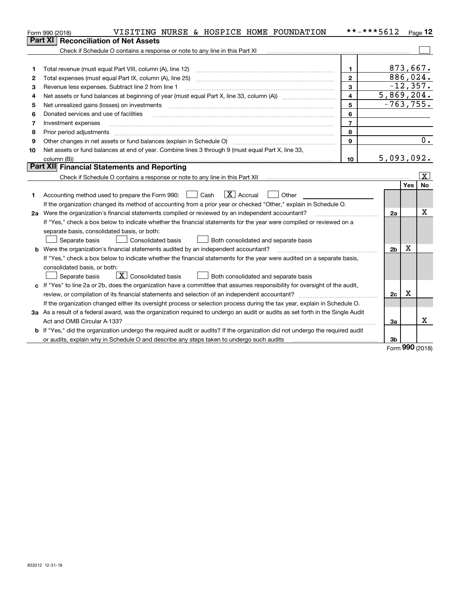|    | VISITING NURSE & HOSPICE HOME FOUNDATION<br>Form 990 (2018)                                                                     | **-***5612       |                |             | $Page$ 12               |
|----|---------------------------------------------------------------------------------------------------------------------------------|------------------|----------------|-------------|-------------------------|
|    | <b>Reconciliation of Net Assets</b><br><b>Part XI</b>                                                                           |                  |                |             |                         |
|    | Check if Schedule O contains a response or note to any line in this Part XI                                                     |                  |                |             |                         |
|    |                                                                                                                                 |                  |                |             |                         |
| 1  | Total revenue (must equal Part VIII, column (A), line 12)                                                                       | 1.               |                | 873,667.    |                         |
| 2  | Total expenses (must equal Part IX, column (A), line 25)                                                                        | $\overline{2}$   |                | 886,024.    |                         |
| 3  | Revenue less expenses. Subtract line 2 from line 1                                                                              | 3                |                | $-12, 357.$ |                         |
| 4  |                                                                                                                                 | $\overline{4}$   | 5,869,204.     |             |                         |
| 5  | Net unrealized gains (losses) on investments                                                                                    | 5                | $-763, 755.$   |             |                         |
| 6  | Donated services and use of facilities                                                                                          | 6                |                |             |                         |
| 7  | Investment expenses                                                                                                             | $\overline{7}$   |                |             |                         |
| 8  | Prior period adjustments                                                                                                        | 8                |                |             |                         |
| 9  |                                                                                                                                 | 9                |                |             | 0.                      |
| 10 | Net assets or fund balances at end of year. Combine lines 3 through 9 (must equal Part X, line 33,                              |                  |                |             |                         |
|    | column (B))                                                                                                                     | 10 <sup>10</sup> | 5,093,092.     |             |                         |
|    | Part XII Financial Statements and Reporting                                                                                     |                  |                |             |                         |
|    |                                                                                                                                 |                  |                |             | $\overline{\mathbf{X}}$ |
|    |                                                                                                                                 |                  |                | Yes         | No                      |
| 1  | $ X $ Accrual<br>  Cash<br>Other<br>Accounting method used to prepare the Form 990:                                             |                  |                |             |                         |
|    | If the organization changed its method of accounting from a prior year or checked "Other," explain in Schedule O.               |                  |                |             |                         |
|    | 2a Were the organization's financial statements compiled or reviewed by an independent accountant?                              |                  | 2a             |             | x                       |
|    | If "Yes," check a box below to indicate whether the financial statements for the year were compiled or reviewed on a            |                  |                |             |                         |
|    | separate basis, consolidated basis, or both:                                                                                    |                  |                |             |                         |
|    | <b>Consolidated basis</b><br>Separate basis<br>Both consolidated and separate basis                                             |                  |                |             |                         |
| b  | Were the organization's financial statements audited by an independent accountant?                                              |                  | 2 <sub>b</sub> | X           |                         |
|    | If "Yes," check a box below to indicate whether the financial statements for the year were audited on a separate basis,         |                  |                |             |                         |
|    | consolidated basis, or both:                                                                                                    |                  |                |             |                         |
|    | $\overline{X}$ Consolidated basis<br>Separate basis<br>Both consolidated and separate basis                                     |                  |                |             |                         |
| c  | If "Yes" to line 2a or 2b, does the organization have a committee that assumes responsibility for oversight of the audit,       |                  |                |             |                         |
|    | review, or compilation of its financial statements and selection of an independent accountant?                                  |                  | 2c             | х           |                         |
|    | If the organization changed either its oversight process or selection process during the tax year, explain in Schedule O.       |                  |                |             |                         |
|    | 3a As a result of a federal award, was the organization required to undergo an audit or audits as set forth in the Single Audit |                  |                |             |                         |
|    |                                                                                                                                 |                  | За             |             | x                       |
|    | If "Yes," did the organization undergo the required audit or audits? If the organization did not undergo the required audit     |                  |                |             |                         |
|    | or audits, explain why in Schedule O and describe any steps taken to undergo such audits                                        |                  | 3b             | nnn         |                         |

Form (2018) **990**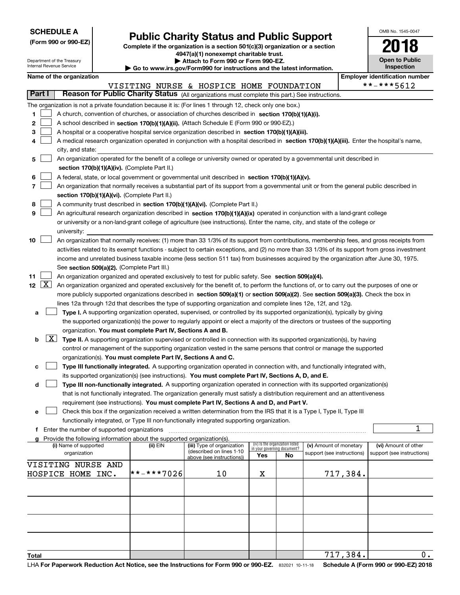| <b>SCHEDULE A</b> |  |
|-------------------|--|
|-------------------|--|

Department of the Treasury Internal Revenue Service

| (Form 990 or 990-EZ) |  |  |  |
|----------------------|--|--|--|
|----------------------|--|--|--|

### **Public Charity Status and Public Support**

**Complete if the organization is a section 501(c)(3) organization or a section 4947(a)(1) nonexempt charitable trust. | Attach to Form 990 or Form 990-EZ.** 

| $\blacksquare$                                                           |
|--------------------------------------------------------------------------|
| ► Go to www.irs.gov/Form990 for instructions and the latest information. |
|                                                                          |

| OMB No. 1545-0047                   |
|-------------------------------------|
|                                     |
| <b>Open to Public</b><br>Inspection |

 $\overline{0}$ .

717,384.

| Name of the organization |  | <b>Employer identification number</b> |
|--------------------------|--|---------------------------------------|

| <b>Employer identification nur</b> |
|------------------------------------|
| **_*****1                          |

|                  |                                                                                                                                               |            | VISITING NURSE & HOSPICE HOME FOUNDATION              |                             |                                 |                            |          | **-***5612                 |
|------------------|-----------------------------------------------------------------------------------------------------------------------------------------------|------------|-------------------------------------------------------|-----------------------------|---------------------------------|----------------------------|----------|----------------------------|
| Part I           | Reason for Public Charity Status (All organizations must complete this part.) See instructions.                                               |            |                                                       |                             |                                 |                            |          |                            |
|                  | The organization is not a private foundation because it is: (For lines 1 through 12, check only one box.)                                     |            |                                                       |                             |                                 |                            |          |                            |
| 1.               | A church, convention of churches, or association of churches described in section 170(b)(1)(A)(i).                                            |            |                                                       |                             |                                 |                            |          |                            |
| 2                | A school described in section 170(b)(1)(A)(ii). (Attach Schedule E (Form 990 or 990-EZ).)                                                     |            |                                                       |                             |                                 |                            |          |                            |
| з                | A hospital or a cooperative hospital service organization described in section 170(b)(1)(A)(iii).                                             |            |                                                       |                             |                                 |                            |          |                            |
| 4                | A medical research organization operated in conjunction with a hospital described in section 170(b)(1)(A)(iii). Enter the hospital's name,    |            |                                                       |                             |                                 |                            |          |                            |
|                  | city, and state:                                                                                                                              |            |                                                       |                             |                                 |                            |          |                            |
| 5                | An organization operated for the benefit of a college or university owned or operated by a governmental unit described in                     |            |                                                       |                             |                                 |                            |          |                            |
|                  | section 170(b)(1)(A)(iv). (Complete Part II.)                                                                                                 |            |                                                       |                             |                                 |                            |          |                            |
|                  |                                                                                                                                               |            |                                                       |                             |                                 |                            |          |                            |
| 6                | A federal, state, or local government or governmental unit described in section 170(b)(1)(A)(v).                                              |            |                                                       |                             |                                 |                            |          |                            |
| 7                | An organization that normally receives a substantial part of its support from a governmental unit or from the general public described in     |            |                                                       |                             |                                 |                            |          |                            |
|                  | section 170(b)(1)(A)(vi). (Complete Part II.)                                                                                                 |            |                                                       |                             |                                 |                            |          |                            |
| 8                | A community trust described in section 170(b)(1)(A)(vi). (Complete Part II.)                                                                  |            |                                                       |                             |                                 |                            |          |                            |
| 9                | An agricultural research organization described in section 170(b)(1)(A)(ix) operated in conjunction with a land-grant college                 |            |                                                       |                             |                                 |                            |          |                            |
|                  | or university or a non-land-grant college of agriculture (see instructions). Enter the name, city, and state of the college or                |            |                                                       |                             |                                 |                            |          |                            |
|                  | university:                                                                                                                                   |            |                                                       |                             |                                 |                            |          |                            |
| 10               | An organization that normally receives: (1) more than 33 1/3% of its support from contributions, membership fees, and gross receipts from     |            |                                                       |                             |                                 |                            |          |                            |
|                  | activities related to its exempt functions - subject to certain exceptions, and (2) no more than 33 1/3% of its support from gross investment |            |                                                       |                             |                                 |                            |          |                            |
|                  | income and unrelated business taxable income (less section 511 tax) from businesses acquired by the organization after June 30, 1975.         |            |                                                       |                             |                                 |                            |          |                            |
|                  | See section 509(a)(2). (Complete Part III.)                                                                                                   |            |                                                       |                             |                                 |                            |          |                            |
| 11               | An organization organized and operated exclusively to test for public safety. See section 509(a)(4).                                          |            |                                                       |                             |                                 |                            |          |                            |
| $12 \mid X \mid$ | An organization organized and operated exclusively for the benefit of, to perform the functions of, or to carry out the purposes of one or    |            |                                                       |                             |                                 |                            |          |                            |
|                  | more publicly supported organizations described in section 509(a)(1) or section 509(a)(2). See section 509(a)(3). Check the box in            |            |                                                       |                             |                                 |                            |          |                            |
|                  | lines 12a through 12d that describes the type of supporting organization and complete lines 12e, 12f, and 12g.                                |            |                                                       |                             |                                 |                            |          |                            |
| a                | Type I. A supporting organization operated, supervised, or controlled by its supported organization(s), typically by giving                   |            |                                                       |                             |                                 |                            |          |                            |
|                  | the supported organization(s) the power to regularly appoint or elect a majority of the directors or trustees of the supporting               |            |                                                       |                             |                                 |                            |          |                            |
|                  | organization. You must complete Part IV, Sections A and B.                                                                                    |            |                                                       |                             |                                 |                            |          |                            |
| b                | $X$ Type II. A supporting organization supervised or controlled in connection with its supported organization(s), by having                   |            |                                                       |                             |                                 |                            |          |                            |
|                  | control or management of the supporting organization vested in the same persons that control or manage the supported                          |            |                                                       |                             |                                 |                            |          |                            |
|                  | organization(s). You must complete Part IV, Sections A and C.                                                                                 |            |                                                       |                             |                                 |                            |          |                            |
| с                | Type III functionally integrated. A supporting organization operated in connection with, and functionally integrated with,                    |            |                                                       |                             |                                 |                            |          |                            |
|                  | its supported organization(s) (see instructions). You must complete Part IV, Sections A, D, and E.                                            |            |                                                       |                             |                                 |                            |          |                            |
| d                | Type III non-functionally integrated. A supporting organization operated in connection with its supported organization(s)                     |            |                                                       |                             |                                 |                            |          |                            |
|                  | that is not functionally integrated. The organization generally must satisfy a distribution requirement and an attentiveness                  |            |                                                       |                             |                                 |                            |          |                            |
|                  | requirement (see instructions). You must complete Part IV, Sections A and D, and Part V.                                                      |            |                                                       |                             |                                 |                            |          |                            |
| е                | Check this box if the organization received a written determination from the IRS that it is a Type I, Type II, Type III                       |            |                                                       |                             |                                 |                            |          |                            |
|                  | functionally integrated, or Type III non-functionally integrated supporting organization.                                                     |            |                                                       |                             |                                 |                            |          |                            |
|                  | f Enter the number of supported organizations                                                                                                 |            |                                                       |                             |                                 |                            |          | 1                          |
|                  | g Provide the following information about the supported organization(s).                                                                      |            |                                                       |                             |                                 |                            |          |                            |
|                  | (i) Name of supported                                                                                                                         | (ii) EIN   | (iii) Type of organization                            | in your governing document? | (iv) Is the organization listed | (v) Amount of monetary     |          | (vi) Amount of other       |
|                  | organization                                                                                                                                  |            | (described on lines 1-10<br>above (see instructions)) | Yes                         | No                              | support (see instructions) |          | support (see instructions) |
|                  | VISITING NURSE AND                                                                                                                            |            |                                                       |                             |                                 |                            |          |                            |
|                  | HOSPICE HOME INC.                                                                                                                             | **-***7026 | 10                                                    | X                           |                                 |                            | 717,384. |                            |
|                  |                                                                                                                                               |            |                                                       |                             |                                 |                            |          |                            |
|                  |                                                                                                                                               |            |                                                       |                             |                                 |                            |          |                            |
|                  |                                                                                                                                               |            |                                                       |                             |                                 |                            |          |                            |
|                  |                                                                                                                                               |            |                                                       |                             |                                 |                            |          |                            |
|                  |                                                                                                                                               |            |                                                       |                             |                                 |                            |          |                            |
|                  |                                                                                                                                               |            |                                                       |                             |                                 |                            |          |                            |
|                  |                                                                                                                                               |            |                                                       |                             |                                 |                            |          |                            |
|                  |                                                                                                                                               |            |                                                       |                             |                                 |                            |          |                            |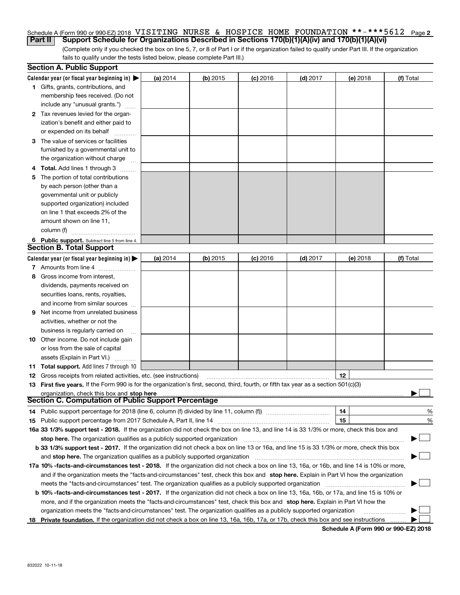#### Schedule A (Form 990 or 990-EZ) 2018 <code>VISITING NURSE & HOSPICE HOME FOUNDATION \*\*-\*\*\*5612 Page 2</code> **Part II Support Schedule for Organizations Described in Sections 170(b)(1)(A)(iv) and 170(b)(1)(A)(vi)**

(Complete only if you checked the box on line 5, 7, or 8 of Part I or if the organization failed to qualify under Part III. If the organization fails to qualify under the tests listed below, please complete Part III.)

|    | <b>Section A. Public Support</b>                                                                                                               |          |            |            |            |          |           |
|----|------------------------------------------------------------------------------------------------------------------------------------------------|----------|------------|------------|------------|----------|-----------|
|    | Calendar year (or fiscal year beginning in) $\blacktriangleright$                                                                              | (a) 2014 | $(b)$ 2015 | $(c)$ 2016 | $(d)$ 2017 | (e) 2018 | (f) Total |
|    | 1 Gifts, grants, contributions, and                                                                                                            |          |            |            |            |          |           |
|    | membership fees received. (Do not                                                                                                              |          |            |            |            |          |           |
|    | include any "unusual grants.")                                                                                                                 |          |            |            |            |          |           |
|    | 2 Tax revenues levied for the organ-                                                                                                           |          |            |            |            |          |           |
|    | ization's benefit and either paid to                                                                                                           |          |            |            |            |          |           |
|    | or expended on its behalf                                                                                                                      |          |            |            |            |          |           |
|    | 3 The value of services or facilities                                                                                                          |          |            |            |            |          |           |
|    | furnished by a governmental unit to                                                                                                            |          |            |            |            |          |           |
|    | the organization without charge                                                                                                                |          |            |            |            |          |           |
|    | 4 Total. Add lines 1 through 3<br>$\sim$                                                                                                       |          |            |            |            |          |           |
| 5. | The portion of total contributions                                                                                                             |          |            |            |            |          |           |
|    | by each person (other than a                                                                                                                   |          |            |            |            |          |           |
|    | governmental unit or publicly                                                                                                                  |          |            |            |            |          |           |
|    | supported organization) included                                                                                                               |          |            |            |            |          |           |
|    | on line 1 that exceeds 2% of the                                                                                                               |          |            |            |            |          |           |
|    | amount shown on line 11,                                                                                                                       |          |            |            |            |          |           |
|    | column (f)                                                                                                                                     |          |            |            |            |          |           |
|    | 6 Public support. Subtract line 5 from line 4.                                                                                                 |          |            |            |            |          |           |
|    | <b>Section B. Total Support</b>                                                                                                                |          |            |            |            |          |           |
|    | Calendar year (or fiscal year beginning in) $\blacktriangleright$                                                                              | (a) 2014 | $(b)$ 2015 | $(c)$ 2016 | $(d)$ 2017 | (e) 2018 | (f) Total |
|    | 7 Amounts from line 4                                                                                                                          |          |            |            |            |          |           |
| 8  | Gross income from interest,                                                                                                                    |          |            |            |            |          |           |
|    | dividends, payments received on                                                                                                                |          |            |            |            |          |           |
|    | securities loans, rents, royalties,                                                                                                            |          |            |            |            |          |           |
|    | and income from similar sources                                                                                                                |          |            |            |            |          |           |
| 9. | Net income from unrelated business                                                                                                             |          |            |            |            |          |           |
|    | activities, whether or not the                                                                                                                 |          |            |            |            |          |           |
|    | business is regularly carried on                                                                                                               |          |            |            |            |          |           |
|    | <b>10</b> Other income. Do not include gain                                                                                                    |          |            |            |            |          |           |
|    | or loss from the sale of capital                                                                                                               |          |            |            |            |          |           |
|    | assets (Explain in Part VI.)                                                                                                                   |          |            |            |            |          |           |
|    | <b>11 Total support.</b> Add lines 7 through 10                                                                                                |          |            |            |            |          |           |
|    | <b>12</b> Gross receipts from related activities, etc. (see instructions)                                                                      |          |            |            |            | 12       |           |
|    | 13 First five years. If the Form 990 is for the organization's first, second, third, fourth, or fifth tax year as a section 501(c)(3)          |          |            |            |            |          |           |
|    | organization, check this box and stop here                                                                                                     |          |            |            |            |          |           |
|    | Section C. Computation of Public Support Percentage                                                                                            |          |            |            |            |          |           |
|    | 14 Public support percentage for 2018 (line 6, column (f) divided by line 11, column (f) <i>marrouum</i> manu-                                 |          |            |            |            | 14       | %         |
|    |                                                                                                                                                |          |            |            |            | 15       | %         |
|    | 16a 33 1/3% support test - 2018. If the organization did not check the box on line 13, and line 14 is 33 1/3% or more, check this box and      |          |            |            |            |          |           |
|    | stop here. The organization qualifies as a publicly supported organization                                                                     |          |            |            |            |          | $\sim$    |
|    | b 33 1/3% support test - 2017. If the organization did not check a box on line 13 or 16a, and line 15 is 33 1/3% or more, check this box       |          |            |            |            |          |           |
|    | and stop here. The organization qualifies as a publicly supported organization                                                                 |          |            |            |            |          |           |
|    | 17a 10% -facts-and-circumstances test - 2018. If the organization did not check a box on line 13, 16a, or 16b, and line 14 is 10% or more,     |          |            |            |            |          |           |
|    | and if the organization meets the "facts-and-circumstances" test, check this box and stop here. Explain in Part VI how the organization        |          |            |            |            |          |           |
|    | meets the "facts-and-circumstances" test. The organization qualifies as a publicly supported organization                                      |          |            |            |            |          |           |
|    | <b>b 10% -facts-and-circumstances test - 2017.</b> If the organization did not check a box on line 13, 16a, 16b, or 17a, and line 15 is 10% or |          |            |            |            |          |           |
|    | more, and if the organization meets the "facts-and-circumstances" test, check this box and stop here. Explain in Part VI how the               |          |            |            |            |          |           |
|    | organization meets the "facts-and-circumstances" test. The organization qualifies as a publicly supported organization                         |          |            |            |            |          |           |
|    | 18 Private foundation. If the organization did not check a box on line 13, 16a, 16b, 17a, or 17b, check this box and see instructions          |          |            |            |            |          |           |

**Schedule A (Form 990 or 990-EZ) 2018**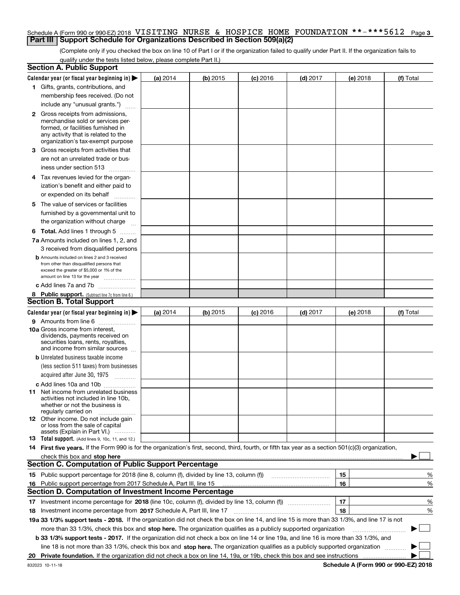### Schedule A (Form 990 or 990-EZ) 2018 <code>VISITING NURSE & HOSPICE HOME FOUNDATION \*\*-\*\*\*5612 Page 3</code> **Part III** | Support Schedule for Organizations Described in Section 509(a)(2)

(Complete only if you checked the box on line 10 of Part I or if the organization failed to qualify under Part II. If the organization fails to qualify under the tests listed below, please complete Part II.)

| <b>Section A. Public Support</b>                                                                                                                    |          |          |                 |                                                                                                                        |          |             |
|-----------------------------------------------------------------------------------------------------------------------------------------------------|----------|----------|-----------------|------------------------------------------------------------------------------------------------------------------------|----------|-------------|
| Calendar year (or fiscal year beginning in) $\blacktriangleright$                                                                                   | (a) 2014 | (b) 2015 | <b>(c)</b> 2016 | $(d)$ 2017                                                                                                             | (e) 2018 | (f) Total   |
| 1 Gifts, grants, contributions, and                                                                                                                 |          |          |                 |                                                                                                                        |          |             |
| membership fees received. (Do not                                                                                                                   |          |          |                 |                                                                                                                        |          |             |
| include any "unusual grants.")                                                                                                                      |          |          |                 |                                                                                                                        |          |             |
| <b>2</b> Gross receipts from admissions,                                                                                                            |          |          |                 |                                                                                                                        |          |             |
| merchandise sold or services per-                                                                                                                   |          |          |                 |                                                                                                                        |          |             |
| formed, or facilities furnished in                                                                                                                  |          |          |                 |                                                                                                                        |          |             |
| any activity that is related to the<br>organization's tax-exempt purpose                                                                            |          |          |                 |                                                                                                                        |          |             |
| 3 Gross receipts from activities that                                                                                                               |          |          |                 |                                                                                                                        |          |             |
| are not an unrelated trade or bus-                                                                                                                  |          |          |                 |                                                                                                                        |          |             |
| iness under section 513                                                                                                                             |          |          |                 |                                                                                                                        |          |             |
| 4 Tax revenues levied for the organ-                                                                                                                |          |          |                 |                                                                                                                        |          |             |
| ization's benefit and either paid to                                                                                                                |          |          |                 |                                                                                                                        |          |             |
| or expended on its behalf                                                                                                                           |          |          |                 |                                                                                                                        |          |             |
| .                                                                                                                                                   |          |          |                 |                                                                                                                        |          |             |
| 5 The value of services or facilities                                                                                                               |          |          |                 |                                                                                                                        |          |             |
| furnished by a governmental unit to                                                                                                                 |          |          |                 |                                                                                                                        |          |             |
| the organization without charge                                                                                                                     |          |          |                 |                                                                                                                        |          |             |
| <b>6 Total.</b> Add lines 1 through 5                                                                                                               |          |          |                 |                                                                                                                        |          |             |
| 7a Amounts included on lines 1, 2, and                                                                                                              |          |          |                 |                                                                                                                        |          |             |
| 3 received from disqualified persons                                                                                                                |          |          |                 |                                                                                                                        |          |             |
| <b>b</b> Amounts included on lines 2 and 3 received<br>from other than disqualified persons that                                                    |          |          |                 |                                                                                                                        |          |             |
| exceed the greater of \$5,000 or 1% of the                                                                                                          |          |          |                 |                                                                                                                        |          |             |
| amount on line 13 for the year                                                                                                                      |          |          |                 |                                                                                                                        |          |             |
| c Add lines 7a and 7b                                                                                                                               |          |          |                 |                                                                                                                        |          |             |
| 8 Public support. (Subtract line 7c from line 6.)                                                                                                   |          |          |                 |                                                                                                                        |          |             |
| <b>Section B. Total Support</b>                                                                                                                     |          |          |                 |                                                                                                                        |          |             |
| Calendar year (or fiscal year beginning in) $\blacktriangleright$                                                                                   | (a) 2014 | (b) 2015 | $(c)$ 2016      | $(d)$ 2017                                                                                                             | (e) 2018 | (f) Total   |
| 9 Amounts from line 6                                                                                                                               |          |          |                 |                                                                                                                        |          |             |
| 10a Gross income from interest,                                                                                                                     |          |          |                 |                                                                                                                        |          |             |
| dividends, payments received on<br>securities loans, rents, royalties,                                                                              |          |          |                 |                                                                                                                        |          |             |
| and income from similar sources                                                                                                                     |          |          |                 |                                                                                                                        |          |             |
| <b>b</b> Unrelated business taxable income                                                                                                          |          |          |                 |                                                                                                                        |          |             |
| (less section 511 taxes) from businesses                                                                                                            |          |          |                 |                                                                                                                        |          |             |
| acquired after June 30, 1975                                                                                                                        |          |          |                 |                                                                                                                        |          |             |
| c Add lines 10a and 10b                                                                                                                             |          |          |                 |                                                                                                                        |          |             |
| 11 Net income from unrelated business                                                                                                               |          |          |                 |                                                                                                                        |          |             |
| activities not included in line 10b.<br>whether or not the business is                                                                              |          |          |                 |                                                                                                                        |          |             |
| regularly carried on                                                                                                                                |          |          |                 |                                                                                                                        |          |             |
| <b>12</b> Other income. Do not include gain                                                                                                         |          |          |                 |                                                                                                                        |          |             |
| or loss from the sale of capital<br>assets (Explain in Part VI.)                                                                                    |          |          |                 |                                                                                                                        |          |             |
| <b>13</b> Total support. (Add lines 9, 10c, 11, and 12.)                                                                                            |          |          |                 |                                                                                                                        |          |             |
| 14 First five years. If the Form 990 is for the organization's first, second, third, fourth, or fifth tax year as a section 501(c)(3) organization, |          |          |                 |                                                                                                                        |          |             |
| check this box and stop here measurements are constructed as the state of the state of the state of the state o                                     |          |          |                 |                                                                                                                        |          |             |
| <b>Section C. Computation of Public Support Percentage</b>                                                                                          |          |          |                 |                                                                                                                        |          |             |
| 15 Public support percentage for 2018 (line 8, column (f), divided by line 13, column (f))                                                          |          |          |                 | <u> 1986 - Jan Barthard Bartham Barthard Barthard Barthard Barthard Barthard Barthard Barthard Barthard Barthard B</u> | 15       | %           |
| 16 Public support percentage from 2017 Schedule A, Part III, line 15                                                                                |          |          |                 |                                                                                                                        | 16       | %           |
| <b>Section D. Computation of Investment Income Percentage</b>                                                                                       |          |          |                 |                                                                                                                        |          |             |
|                                                                                                                                                     |          |          |                 |                                                                                                                        | 17       | %           |
| <b>18</b> Investment income percentage from <b>2017</b> Schedule A, Part III, line 17                                                               |          |          |                 |                                                                                                                        | 18       | %           |
| 19a 33 1/3% support tests - 2018. If the organization did not check the box on line 14, and line 15 is more than 33 1/3%, and line 17 is not        |          |          |                 |                                                                                                                        |          |             |
| more than 33 1/3%, check this box and stop here. The organization qualifies as a publicly supported organization                                    |          |          |                 |                                                                                                                        |          | $\sim$<br>▶ |
| b 33 1/3% support tests - 2017. If the organization did not check a box on line 14 or line 19a, and line 16 is more than 33 1/3%, and               |          |          |                 |                                                                                                                        |          |             |
| line 18 is not more than 33 1/3%, check this box and stop here. The organization qualifies as a publicly supported organization                     |          |          |                 |                                                                                                                        |          |             |
|                                                                                                                                                     |          |          |                 |                                                                                                                        |          |             |
|                                                                                                                                                     |          |          |                 |                                                                                                                        |          |             |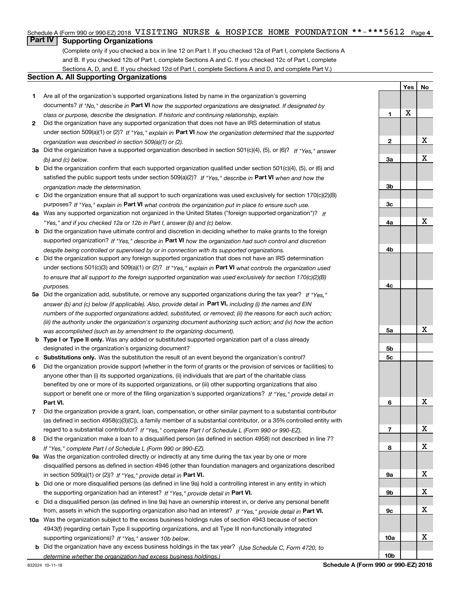### Schedule A (Form 990 or 990-EZ) 2018 <code>VISITING NURSE & HOSPICE HOME FOUNDATION \*\*-\*\*\*5612 Page 4</code>

### **Part IV Supporting Organizations**

(Complete only if you checked a box in line 12 on Part I. If you checked 12a of Part I, complete Sections A and B. If you checked 12b of Part I, complete Sections A and C. If you checked 12c of Part I, complete Sections A, D, and E. If you checked 12d of Part I, complete Sections A and D, and complete Part V.)

### **Section A. All Supporting Organizations**

- **1** Are all of the organization's supported organizations listed by name in the organization's governing documents? If "No," describe in **Part VI** how the supported organizations are designated. If designated by *class or purpose, describe the designation. If historic and continuing relationship, explain.*
- **2** Did the organization have any supported organization that does not have an IRS determination of status under section 509(a)(1) or (2)? If "Yes," explain in Part VI how the organization determined that the supported *organization was described in section 509(a)(1) or (2).*
- **3a** Did the organization have a supported organization described in section 501(c)(4), (5), or (6)? If "Yes," answer *(b) and (c) below.*
- **b** Did the organization confirm that each supported organization qualified under section 501(c)(4), (5), or (6) and satisfied the public support tests under section 509(a)(2)? If "Yes," describe in **Part VI** when and how the *organization made the determination.*
- **c**Did the organization ensure that all support to such organizations was used exclusively for section 170(c)(2)(B) purposes? If "Yes," explain in **Part VI** what controls the organization put in place to ensure such use.
- **4a***If* Was any supported organization not organized in the United States ("foreign supported organization")? *"Yes," and if you checked 12a or 12b in Part I, answer (b) and (c) below.*
- **b** Did the organization have ultimate control and discretion in deciding whether to make grants to the foreign supported organization? If "Yes," describe in **Part VI** how the organization had such control and discretion *despite being controlled or supervised by or in connection with its supported organizations.*
- **c** Did the organization support any foreign supported organization that does not have an IRS determination under sections 501(c)(3) and 509(a)(1) or (2)? If "Yes," explain in **Part VI** what controls the organization used *to ensure that all support to the foreign supported organization was used exclusively for section 170(c)(2)(B) purposes.*
- **5a***If "Yes,"* Did the organization add, substitute, or remove any supported organizations during the tax year? answer (b) and (c) below (if applicable). Also, provide detail in **Part VI,** including (i) the names and EIN *numbers of the supported organizations added, substituted, or removed; (ii) the reasons for each such action; (iii) the authority under the organization's organizing document authorizing such action; and (iv) how the action was accomplished (such as by amendment to the organizing document).*
- **b** Type I or Type II only. Was any added or substituted supported organization part of a class already designated in the organization's organizing document?
- **cSubstitutions only.**  Was the substitution the result of an event beyond the organization's control?
- **6** Did the organization provide support (whether in the form of grants or the provision of services or facilities) to **Part VI.** *If "Yes," provide detail in* support or benefit one or more of the filing organization's supported organizations? anyone other than (i) its supported organizations, (ii) individuals that are part of the charitable class benefited by one or more of its supported organizations, or (iii) other supporting organizations that also
- **7**Did the organization provide a grant, loan, compensation, or other similar payment to a substantial contributor *If "Yes," complete Part I of Schedule L (Form 990 or 990-EZ).* regard to a substantial contributor? (as defined in section 4958(c)(3)(C)), a family member of a substantial contributor, or a 35% controlled entity with
- **8** Did the organization make a loan to a disqualified person (as defined in section 4958) not described in line 7? *If "Yes," complete Part I of Schedule L (Form 990 or 990-EZ).*
- **9a** Was the organization controlled directly or indirectly at any time during the tax year by one or more in section 509(a)(1) or (2))? If "Yes," *provide detail in* <code>Part VI.</code> disqualified persons as defined in section 4946 (other than foundation managers and organizations described
- **b** Did one or more disqualified persons (as defined in line 9a) hold a controlling interest in any entity in which the supporting organization had an interest? If "Yes," provide detail in P**art VI**.
- **c**Did a disqualified person (as defined in line 9a) have an ownership interest in, or derive any personal benefit from, assets in which the supporting organization also had an interest? If "Yes," provide detail in P**art VI.**
- **10a** Was the organization subject to the excess business holdings rules of section 4943 because of section supporting organizations)? If "Yes," answer 10b below. 4943(f) (regarding certain Type II supporting organizations, and all Type III non-functionally integrated
- **b** Did the organization have any excess business holdings in the tax year? (Use Schedule C, Form 4720, to *determine whether the organization had excess business holdings.)*

|                 | Yes             | $No$                    |
|-----------------|-----------------|-------------------------|
|                 |                 |                         |
| 1               | $\underline{x}$ |                         |
|                 |                 |                         |
| $\overline{2}$  |                 | $\overline{\mathbf{X}}$ |
|                 |                 |                         |
| <u>3a</u>       |                 | $\overline{\mathbf{X}}$ |
|                 |                 |                         |
| 3 <sub>b</sub>  |                 |                         |
| $\frac{3c}{2}$  |                 |                         |
|                 |                 |                         |
| <u>4a</u>       |                 | X                       |
|                 |                 |                         |
| <u>4b</u>       |                 |                         |
|                 |                 |                         |
| 4c              |                 |                         |
|                 |                 |                         |
| $\frac{5a}{2}$  |                 | X                       |
|                 |                 |                         |
| <u>5b</u>       |                 |                         |
| $\overline{5c}$ |                 |                         |
| $\overline{6}$  |                 | X                       |
|                 |                 |                         |
| $\overline{1}$  |                 | X                       |
|                 |                 |                         |
| 8               |                 | X                       |
| <u>9a</u>       |                 | X                       |
|                 |                 |                         |
| <u>9b</u>       |                 | X                       |
|                 |                 |                         |
| <u>9c</u>       |                 | X                       |
|                 |                 |                         |
| <u>10a</u>      |                 | X                       |
| 10 <sub>b</sub> |                 |                         |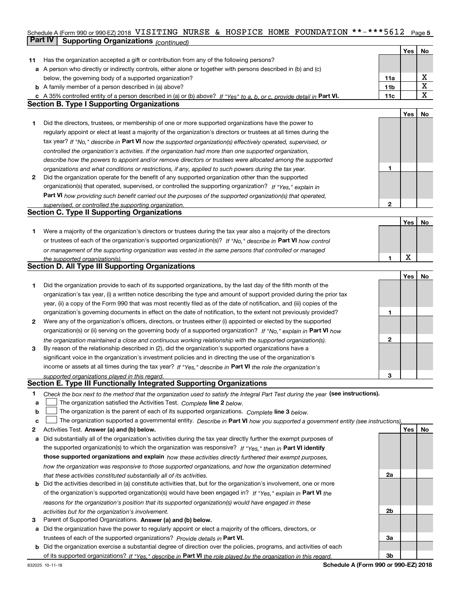### Schedule A (Form 990 or 990-EZ) 2018 <code>VISITING NURSE & HOSPICE HOME FOUNDATION \*\*-\*\*\*5612 Page 5</code> **Part IV Supporting Organizations** *(continued)* **Continueding Continueding Continueding Continueding Continueding Continueding Continueding Continueding Continueding Continueding Continueding Continueding Continueding Con**

|    |                                                                                                                                                                                     |                 | Yes         | No          |
|----|-------------------------------------------------------------------------------------------------------------------------------------------------------------------------------------|-----------------|-------------|-------------|
| 11 | Has the organization accepted a gift or contribution from any of the following persons?                                                                                             |                 |             |             |
|    | a A person who directly or indirectly controls, either alone or together with persons described in (b) and (c)                                                                      |                 |             |             |
|    | below, the governing body of a supported organization?                                                                                                                              | 11a             |             | х           |
|    | <b>b</b> A family member of a person described in (a) above?                                                                                                                        | 11 <sub>b</sub> |             | X           |
|    | c A 35% controlled entity of a person described in (a) or (b) above? If "Yes" to a, b, or c, provide detail in Part VI.                                                             | 11c             |             | $\mathbf X$ |
|    | <b>Section B. Type I Supporting Organizations</b>                                                                                                                                   |                 |             |             |
|    |                                                                                                                                                                                     |                 | Yes         | No          |
| 1  | Did the directors, trustees, or membership of one or more supported organizations have the power to                                                                                 |                 |             |             |
|    | regularly appoint or elect at least a majority of the organization's directors or trustees at all times during the                                                                  |                 |             |             |
|    | tax year? If "No," describe in Part VI how the supported organization(s) effectively operated, supervised, or                                                                       |                 |             |             |
|    | controlled the organization's activities. If the organization had more than one supported organization,                                                                             |                 |             |             |
|    | describe how the powers to appoint and/or remove directors or trustees were allocated among the supported                                                                           |                 |             |             |
|    | organizations and what conditions or restrictions, if any, applied to such powers during the tax year.                                                                              | 1               |             |             |
| 2  | Did the organization operate for the benefit of any supported organization other than the supported                                                                                 |                 |             |             |
|    | organization(s) that operated, supervised, or controlled the supporting organization? If "Yes," explain in                                                                          |                 |             |             |
|    | Part VI how providing such benefit carried out the purposes of the supported organization(s) that operated,                                                                         |                 |             |             |
|    | supervised, or controlled the supporting organization.                                                                                                                              | $\mathbf 2$     |             |             |
|    | <b>Section C. Type II Supporting Organizations</b>                                                                                                                                  |                 |             |             |
|    |                                                                                                                                                                                     |                 | Yes         | No          |
| 1  | Were a majority of the organization's directors or trustees during the tax year also a majority of the directors                                                                    |                 |             |             |
|    | or trustees of each of the organization's supported organization(s)? If "No," describe in Part VI how control                                                                       |                 |             |             |
|    | or management of the supporting organization was vested in the same persons that controlled or managed                                                                              |                 |             |             |
|    | the supported organization(s).                                                                                                                                                      | 1               | $\mathbf X$ |             |
|    | <b>Section D. All Type III Supporting Organizations</b>                                                                                                                             |                 |             |             |
|    |                                                                                                                                                                                     |                 | Yes         | No          |
| 1  | Did the organization provide to each of its supported organizations, by the last day of the fifth month of the                                                                      |                 |             |             |
|    | organization's tax year, (i) a written notice describing the type and amount of support provided during the prior tax                                                               |                 |             |             |
|    | year, (ii) a copy of the Form 990 that was most recently filed as of the date of notification, and (iii) copies of the                                                              |                 |             |             |
|    | organization's governing documents in effect on the date of notification, to the extent not previously provided?                                                                    | 1               |             |             |
| 2  | Were any of the organization's officers, directors, or trustees either (i) appointed or elected by the supported                                                                    |                 |             |             |
|    | organization(s) or (ii) serving on the governing body of a supported organization? If "No," explain in Part VI how                                                                  |                 |             |             |
|    | the organization maintained a close and continuous working relationship with the supported organization(s).                                                                         | 2               |             |             |
| 3  | By reason of the relationship described in (2), did the organization's supported organizations have a                                                                               |                 |             |             |
|    | significant voice in the organization's investment policies and in directing the use of the organization's                                                                          |                 |             |             |
|    | income or assets at all times during the tax year? If "Yes," describe in Part VI the role the organization's                                                                        |                 |             |             |
|    |                                                                                                                                                                                     | 3               |             |             |
|    | supported organizations played in this regard.<br>Section E. Type III Functionally Integrated Supporting Organizations                                                              |                 |             |             |
| 1  |                                                                                                                                                                                     |                 |             |             |
| а  | Check the box next to the method that the organization used to satisfy the Integral Part Test during the year (see instructions).                                                   |                 |             |             |
| b  | The organization satisfied the Activities Test. Complete line 2 below.<br>The organization is the parent of each of its supported organizations. Complete line 3 below.             |                 |             |             |
| c  | The organization supported a governmental entity. Describe in Part VI how you supported a government entity (see instructions),                                                     |                 |             |             |
| 2  | Activities Test. Answer (a) and (b) below.                                                                                                                                          |                 | Yes         | No          |
| a  | Did substantially all of the organization's activities during the tax year directly further the exempt purposes of                                                                  |                 |             |             |
|    | the supported organization(s) to which the organization was responsive? If "Yes," then in Part VI identify                                                                          |                 |             |             |
|    | those supported organizations and explain how these activities directly furthered their exempt purposes,                                                                            |                 |             |             |
|    |                                                                                                                                                                                     |                 |             |             |
|    | how the organization was responsive to those supported organizations, and how the organization determined<br>that these activities constituted substantially all of its activities. | 2a              |             |             |
|    | <b>b</b> Did the activities described in (a) constitute activities that, but for the organization's involvement, one or more                                                        |                 |             |             |
|    |                                                                                                                                                                                     |                 |             |             |
|    | of the organization's supported organization(s) would have been engaged in? If "Yes," explain in Part VI the                                                                        |                 |             |             |
|    | reasons for the organization's position that its supported organization(s) would have engaged in these                                                                              | 2b              |             |             |
|    | activities but for the organization's involvement.<br>Parent of Supported Organizations. Answer (a) and (b) below.                                                                  |                 |             |             |
| З  |                                                                                                                                                                                     |                 |             |             |
|    | a Did the organization have the power to regularly appoint or elect a majority of the officers, directors, or                                                                       |                 |             |             |
|    | trustees of each of the supported organizations? Provide details in Part VI.                                                                                                        | За              |             |             |
|    | <b>b</b> Did the organization exercise a substantial degree of direction over the policies, programs, and activities of each                                                        | 3b              |             |             |
|    | of its supported organizations? If "Yes." describe in Part VI the role played by the organization in this regard.<br>Schedule A (Form 990 or 990-EZ) 2018<br>832025 10-11-18        |                 |             |             |
|    |                                                                                                                                                                                     |                 |             |             |

**Schedule A (Form 990 or 990-EZ) 2018**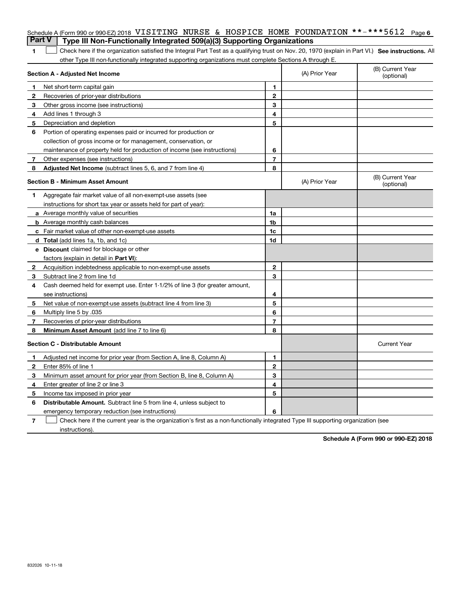|              | Schedule A (Form 990 or 990-EZ) 2018 VISITING NURSE & HOSPICE HOME FOUNDATION **-***5612                                                          |                |                | Page 6                         |
|--------------|---------------------------------------------------------------------------------------------------------------------------------------------------|----------------|----------------|--------------------------------|
|              | <b>Part V</b><br>Type III Non-Functionally Integrated 509(a)(3) Supporting Organizations                                                          |                |                |                                |
| 1            | Check here if the organization satisfied the Integral Part Test as a qualifying trust on Nov. 20, 1970 (explain in Part VI.) See instructions. Al |                |                |                                |
|              | other Type III non-functionally integrated supporting organizations must complete Sections A through E.                                           |                |                |                                |
|              | Section A - Adjusted Net Income                                                                                                                   |                | (A) Prior Year | (B) Current Year<br>(optional) |
| 1            | Net short-term capital gain                                                                                                                       | 1              |                |                                |
| $\mathbf{2}$ | Recoveries of prior-year distributions                                                                                                            | $\mathbf 2$    |                |                                |
| 3            | Other gross income (see instructions)                                                                                                             | 3              |                |                                |
| 4            | Add lines 1 through 3                                                                                                                             | 4              |                |                                |
| 5            | Depreciation and depletion                                                                                                                        | 5              |                |                                |
| 6            | Portion of operating expenses paid or incurred for production or                                                                                  |                |                |                                |
|              | collection of gross income or for management, conservation, or                                                                                    |                |                |                                |
|              | maintenance of property held for production of income (see instructions)                                                                          | 6              |                |                                |
| 7            | Other expenses (see instructions)                                                                                                                 | $\overline{7}$ |                |                                |
| 8            | Adjusted Net Income (subtract lines 5, 6, and 7 from line 4)                                                                                      | 8              |                |                                |
|              | <b>Section B - Minimum Asset Amount</b>                                                                                                           |                | (A) Prior Year | (B) Current Year<br>(optional) |
| 1            | Aggregate fair market value of all non-exempt-use assets (see                                                                                     |                |                |                                |
|              | instructions for short tax year or assets held for part of year):                                                                                 |                |                |                                |
|              | <b>a</b> Average monthly value of securities                                                                                                      | 1a             |                |                                |
|              | <b>b</b> Average monthly cash balances                                                                                                            | 1 <sub>b</sub> |                |                                |
|              | c Fair market value of other non-exempt-use assets                                                                                                | 1 <sub>c</sub> |                |                                |
|              | <b>d</b> Total (add lines 1a, 1b, and 1c)                                                                                                         | 1d             |                |                                |
|              | e Discount claimed for blockage or other                                                                                                          |                |                |                                |
|              | factors (explain in detail in <b>Part VI</b> ):                                                                                                   |                |                |                                |
| 2            | Acquisition indebtedness applicable to non-exempt-use assets                                                                                      | $\mathbf{2}$   |                |                                |
| 3            | Subtract line 2 from line 1d                                                                                                                      | 3              |                |                                |
| 4            | Cash deemed held for exempt use. Enter 1-1/2% of line 3 (for greater amount,                                                                      |                |                |                                |
|              | see instructions)                                                                                                                                 | 4              |                |                                |
| 5            | Net value of non-exempt-use assets (subtract line 4 from line 3)                                                                                  | 5              |                |                                |
| 6            | Multiply line 5 by .035                                                                                                                           | 6              |                |                                |
| 7            | Recoveries of prior-year distributions                                                                                                            | $\overline{7}$ |                |                                |
| 8            | Minimum Asset Amount (add line 7 to line 6)                                                                                                       | 8              |                |                                |
|              | <b>Section C - Distributable Amount</b>                                                                                                           |                |                | <b>Current Year</b>            |
| 1.           | Adjusted net income for prior year (from Section A, line 8, Column A)                                                                             | 1              |                |                                |
| $\mathbf{2}$ | Enter 85% of line 1                                                                                                                               | $\mathbf 2$    |                |                                |
| 3            | Minimum asset amount for prior year (from Section B, line 8, Column A)                                                                            | 3              |                |                                |
| 4            | Enter greater of line 2 or line 3                                                                                                                 | 4              |                |                                |
| 5            | Income tax imposed in prior year                                                                                                                  | 5              |                |                                |
| 6            | <b>Distributable Amount.</b> Subtract line 5 from line 4, unless subject to                                                                       |                |                |                                |
|              | emergency temporary reduction (see instructions)                                                                                                  | 6              |                |                                |
|              |                                                                                                                                                   |                |                |                                |

**7** Check here if the current year is the organization's first as a non-functionally integrated Type III supporting organization (see instructions).

**Schedule A (Form 990 or 990-EZ) 2018**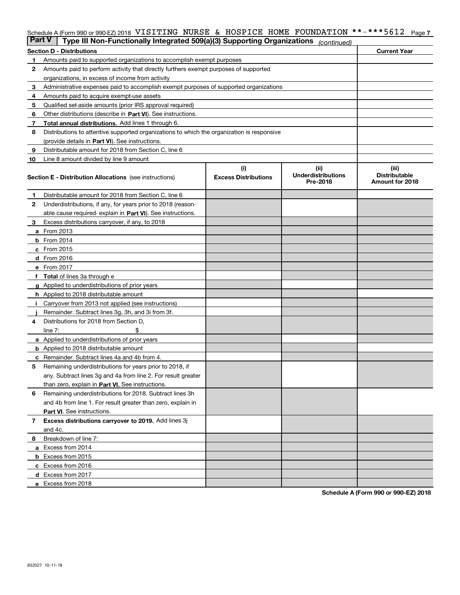### Schedule A (Form 990 or 990-EZ) 2018 <code>VISITING NURSE & HOSPICE HOME FOUNDATION \*\*-\*\*\*5612 Page 7</code>

| <b>Part V</b> | Type III Non-Functionally Integrated 509(a)(3) Supporting Organizations                    |                             | (continued)                           |                                         |  |  |  |
|---------------|--------------------------------------------------------------------------------------------|-----------------------------|---------------------------------------|-----------------------------------------|--|--|--|
|               | <b>Section D - Distributions</b>                                                           |                             |                                       | <b>Current Year</b>                     |  |  |  |
| 1             | Amounts paid to supported organizations to accomplish exempt purposes                      |                             |                                       |                                         |  |  |  |
| 2             | Amounts paid to perform activity that directly furthers exempt purposes of supported       |                             |                                       |                                         |  |  |  |
|               | organizations, in excess of income from activity                                           |                             |                                       |                                         |  |  |  |
| з             | Administrative expenses paid to accomplish exempt purposes of supported organizations      |                             |                                       |                                         |  |  |  |
| 4             | Amounts paid to acquire exempt-use assets                                                  |                             |                                       |                                         |  |  |  |
| 5             | Qualified set-aside amounts (prior IRS approval required)                                  |                             |                                       |                                         |  |  |  |
| 6             | Other distributions (describe in Part VI). See instructions.                               |                             |                                       |                                         |  |  |  |
| 7             | Total annual distributions. Add lines 1 through 6.                                         |                             |                                       |                                         |  |  |  |
| 8             | Distributions to attentive supported organizations to which the organization is responsive |                             |                                       |                                         |  |  |  |
|               | (provide details in Part VI). See instructions.                                            |                             |                                       |                                         |  |  |  |
| 9             | Distributable amount for 2018 from Section C, line 6                                       |                             |                                       |                                         |  |  |  |
| 10            | Line 8 amount divided by line 9 amount                                                     |                             |                                       |                                         |  |  |  |
|               |                                                                                            | (i)                         | (ii)                                  | (iii)                                   |  |  |  |
|               | <b>Section E - Distribution Allocations</b> (see instructions)                             | <b>Excess Distributions</b> | <b>Underdistributions</b><br>Pre-2018 | <b>Distributable</b><br>Amount for 2018 |  |  |  |
| 1             | Distributable amount for 2018 from Section C, line 6                                       |                             |                                       |                                         |  |  |  |
| 2             | Underdistributions, if any, for years prior to 2018 (reason-                               |                             |                                       |                                         |  |  |  |
|               | able cause required- explain in Part VI). See instructions.                                |                             |                                       |                                         |  |  |  |
| з             | Excess distributions carryover, if any, to 2018                                            |                             |                                       |                                         |  |  |  |
|               | <b>a</b> From 2013                                                                         |                             |                                       |                                         |  |  |  |
|               | <b>b</b> From 2014                                                                         |                             |                                       |                                         |  |  |  |
|               | $c$ From 2015                                                                              |                             |                                       |                                         |  |  |  |
|               | d From 2016                                                                                |                             |                                       |                                         |  |  |  |
|               | e From 2017                                                                                |                             |                                       |                                         |  |  |  |
|               | Total of lines 3a through e                                                                |                             |                                       |                                         |  |  |  |
|               | Applied to underdistributions of prior years                                               |                             |                                       |                                         |  |  |  |
|               | <b>h</b> Applied to 2018 distributable amount                                              |                             |                                       |                                         |  |  |  |
|               | Carryover from 2013 not applied (see instructions)                                         |                             |                                       |                                         |  |  |  |
|               | Remainder. Subtract lines 3g, 3h, and 3i from 3f.                                          |                             |                                       |                                         |  |  |  |
| 4             | Distributions for 2018 from Section D,                                                     |                             |                                       |                                         |  |  |  |
|               | line $7:$                                                                                  |                             |                                       |                                         |  |  |  |
|               | <b>a</b> Applied to underdistributions of prior years                                      |                             |                                       |                                         |  |  |  |
|               | <b>b</b> Applied to 2018 distributable amount                                              |                             |                                       |                                         |  |  |  |
| с             | Remainder. Subtract lines 4a and 4b from 4.                                                |                             |                                       |                                         |  |  |  |
| 5             | Remaining underdistributions for years prior to 2018, if                                   |                             |                                       |                                         |  |  |  |
|               | any. Subtract lines 3g and 4a from line 2. For result greater                              |                             |                                       |                                         |  |  |  |
|               | than zero, explain in Part VI. See instructions.                                           |                             |                                       |                                         |  |  |  |
| 6             | Remaining underdistributions for 2018. Subtract lines 3h                                   |                             |                                       |                                         |  |  |  |
|               | and 4b from line 1. For result greater than zero, explain in                               |                             |                                       |                                         |  |  |  |
|               | Part VI. See instructions.                                                                 |                             |                                       |                                         |  |  |  |
| 7             | Excess distributions carryover to 2019. Add lines 3j                                       |                             |                                       |                                         |  |  |  |
|               | and 4c.                                                                                    |                             |                                       |                                         |  |  |  |
|               |                                                                                            |                             |                                       |                                         |  |  |  |
| 8             | Breakdown of line 7:                                                                       |                             |                                       |                                         |  |  |  |
|               | a Excess from 2014                                                                         |                             |                                       |                                         |  |  |  |
|               | <b>b</b> Excess from 2015                                                                  |                             |                                       |                                         |  |  |  |
|               | c Excess from 2016                                                                         |                             |                                       |                                         |  |  |  |
|               | d Excess from 2017                                                                         |                             |                                       |                                         |  |  |  |
|               | e Excess from 2018                                                                         |                             |                                       |                                         |  |  |  |

**Schedule A (Form 990 or 990-EZ) 2018**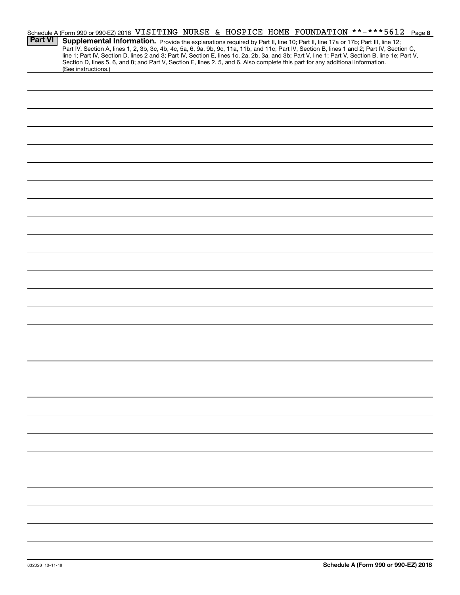|                | Schedule A (Form 990 or 990-EZ) 2018 VISITING NURSE & HOSPICE HOME FOUNDATION **-***5612 Page 8                                                                                                                                                                                     |
|----------------|-------------------------------------------------------------------------------------------------------------------------------------------------------------------------------------------------------------------------------------------------------------------------------------|
| <b>Part VI</b> | Supplemental Information. Provide the explanations required by Part II, line 10; Part II, line 17a or 17b; Part III, line 12;<br>Part IV, Section A, lines 1, 2, 3b, 3c, 4b, 4c, 5a, 6, 9a, 9b, 9c, 11a, 11b, and 11c; Part IV, Section B, lines 1 and 2; Part IV, Section C,       |
|                | line 1; Part IV, Section D, lines 2 and 3; Part IV, Section E, lines 1c, 2a, 2b, 3a, and 3b; Part V, line 1; Part V, Section B, line 1e; Part V,<br>Section D, lines 5, 6, and 8; and Part V, Section E, lines 2, 5, and 6. Also complete this part for any additional information. |
|                | (See instructions.)                                                                                                                                                                                                                                                                 |
|                |                                                                                                                                                                                                                                                                                     |
|                |                                                                                                                                                                                                                                                                                     |
|                |                                                                                                                                                                                                                                                                                     |
|                |                                                                                                                                                                                                                                                                                     |
|                |                                                                                                                                                                                                                                                                                     |
|                |                                                                                                                                                                                                                                                                                     |
|                |                                                                                                                                                                                                                                                                                     |
|                |                                                                                                                                                                                                                                                                                     |
|                |                                                                                                                                                                                                                                                                                     |
|                |                                                                                                                                                                                                                                                                                     |
|                |                                                                                                                                                                                                                                                                                     |
|                |                                                                                                                                                                                                                                                                                     |
|                |                                                                                                                                                                                                                                                                                     |
|                |                                                                                                                                                                                                                                                                                     |
|                |                                                                                                                                                                                                                                                                                     |
|                |                                                                                                                                                                                                                                                                                     |
|                |                                                                                                                                                                                                                                                                                     |
|                |                                                                                                                                                                                                                                                                                     |
|                |                                                                                                                                                                                                                                                                                     |
|                |                                                                                                                                                                                                                                                                                     |
|                |                                                                                                                                                                                                                                                                                     |
|                |                                                                                                                                                                                                                                                                                     |
|                |                                                                                                                                                                                                                                                                                     |
|                |                                                                                                                                                                                                                                                                                     |
|                |                                                                                                                                                                                                                                                                                     |
|                |                                                                                                                                                                                                                                                                                     |
|                |                                                                                                                                                                                                                                                                                     |
|                |                                                                                                                                                                                                                                                                                     |
|                |                                                                                                                                                                                                                                                                                     |
|                |                                                                                                                                                                                                                                                                                     |
|                |                                                                                                                                                                                                                                                                                     |
|                |                                                                                                                                                                                                                                                                                     |
|                |                                                                                                                                                                                                                                                                                     |
|                |                                                                                                                                                                                                                                                                                     |
|                |                                                                                                                                                                                                                                                                                     |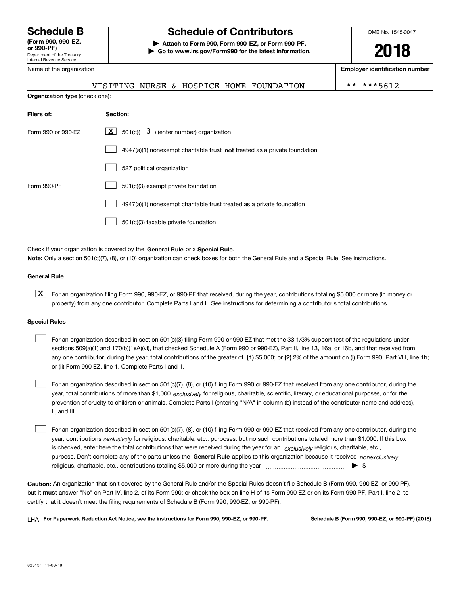Department of the Treasury Internal Revenue Service **(Form 990, 990-EZ, or 990-PF)** Name of the organization

## **Schedule B Schedule of Contributors**

**| Attach to Form 990, Form 990-EZ, or Form 990-PF. | Go to www.irs.gov/Form990 for the latest information.** OMB No. 1545-0047

**2018**

**Employer identification number**

|  |  | TING NURSE & HOSPICE HOME FOUNDATION | **-***5612 |
|--|--|--------------------------------------|------------|
|  |  |                                      |            |

| <b>Organization type</b> (check one): |                                                                             |  |  |
|---------------------------------------|-----------------------------------------------------------------------------|--|--|
| Filers of:                            | Section:                                                                    |  |  |
| Form 990 or 990-EZ                    | $\lfloor x \rfloor$ 501(c)( 3) (enter number) organization                  |  |  |
|                                       | $4947(a)(1)$ nonexempt charitable trust not treated as a private foundation |  |  |
|                                       | 527 political organization                                                  |  |  |
| Form 990-PF                           | 501(c)(3) exempt private foundation                                         |  |  |
|                                       | 4947(a)(1) nonexempt charitable trust treated as a private foundation       |  |  |
|                                       | 501(c)(3) taxable private foundation                                        |  |  |

Check if your organization is covered by the **General Rule** or a **Special Rule. Note:**  Only a section 501(c)(7), (8), or (10) organization can check boxes for both the General Rule and a Special Rule. See instructions.

#### **General Rule**

 $\boxed{\textbf{X}}$  For an organization filing Form 990, 990-EZ, or 990-PF that received, during the year, contributions totaling \$5,000 or more (in money or property) from any one contributor. Complete Parts I and II. See instructions for determining a contributor's total contributions.

#### **Special Rules**

any one contributor, during the year, total contributions of the greater of  $\,$  (1) \$5,000; or **(2)** 2% of the amount on (i) Form 990, Part VIII, line 1h; For an organization described in section 501(c)(3) filing Form 990 or 990-EZ that met the 33 1/3% support test of the regulations under sections 509(a)(1) and 170(b)(1)(A)(vi), that checked Schedule A (Form 990 or 990-EZ), Part II, line 13, 16a, or 16b, and that received from or (ii) Form 990-EZ, line 1. Complete Parts I and II.  $\mathcal{L}^{\text{max}}$ 

year, total contributions of more than \$1,000 *exclusively* for religious, charitable, scientific, literary, or educational purposes, or for the For an organization described in section 501(c)(7), (8), or (10) filing Form 990 or 990-EZ that received from any one contributor, during the prevention of cruelty to children or animals. Complete Parts I (entering "N/A" in column (b) instead of the contributor name and address), II, and III.  $\mathcal{L}^{\text{max}}$ 

purpose. Don't complete any of the parts unless the **General Rule** applies to this organization because it received *nonexclusively* year, contributions <sub>exclusively</sub> for religious, charitable, etc., purposes, but no such contributions totaled more than \$1,000. If this box is checked, enter here the total contributions that were received during the year for an  $\;$ exclusively religious, charitable, etc., For an organization described in section 501(c)(7), (8), or (10) filing Form 990 or 990-EZ that received from any one contributor, during the religious, charitable, etc., contributions totaling \$5,000 or more during the year  $\Box$ — $\Box$   $\Box$  $\mathcal{L}^{\text{max}}$ 

**Caution:**  An organization that isn't covered by the General Rule and/or the Special Rules doesn't file Schedule B (Form 990, 990-EZ, or 990-PF),  **must** but it answer "No" on Part IV, line 2, of its Form 990; or check the box on line H of its Form 990-EZ or on its Form 990-PF, Part I, line 2, to certify that it doesn't meet the filing requirements of Schedule B (Form 990, 990-EZ, or 990-PF).

**For Paperwork Reduction Act Notice, see the instructions for Form 990, 990-EZ, or 990-PF. Schedule B (Form 990, 990-EZ, or 990-PF) (2018)** LHA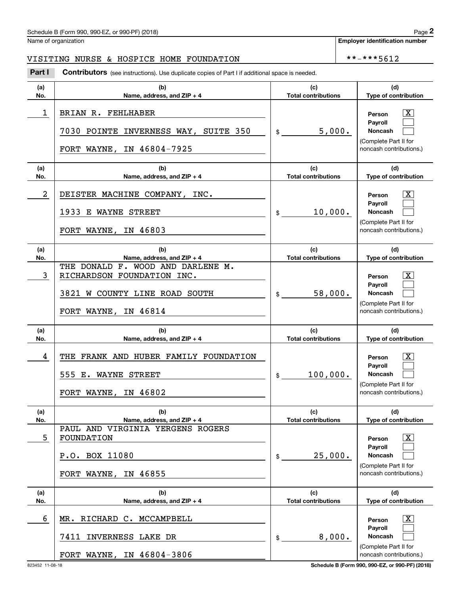#### Schedule B (Form 990, 990-EZ, or 990-PF) (2018)  $P_0 = 2$

Name of organization

**Employer identification number**

### VISITING NURSE & HOSPICE HOME FOUNDATION | \*\*-\*\*\*5612

**(a)No.(b)Name, address, and ZIP + 4 (c)Total contributions (d)Type of contribution PersonPayrollNoncash (a)No.(b)Name, address, and ZIP + 4 (c)Total contributions (d)Type of contribution PersonPayrollNoncash (a)No.(b)Name, address, and ZIP + 4 (c)Total contributions (d)Type of contribution PersonPayrollNoncash (a)No.(b)Name, address, and ZIP + 4 (c) Total contributions (d)Type of contribution PersonPayrollNoncash (a)No.(b)Name, address, and ZIP + 4 (c)Total contributions (d)Type of contribution PersonPayrollNoncash (a)No.(b)Name, address, and ZIP + 4 (c)Total contributions (d)Type of contribution PersonPayrollNoncash Contributors** (see instructions). Use duplicate copies of Part I if additional space is needed.  $\mathbf{\hat{E}}$ (Complete Part II for noncash contributions.) \$(Complete Part II for noncash contributions.) \$(Complete Part II for noncash contributions.) \$(Complete Part II for noncash contributions.) \$(Complete Part II for noncash contributions.)  $$$ (Complete Part II for noncash contributions.) Chedule B (Form 990, 990-EZ, or 990-PF) (2018)<br>Iame of organization<br>**2Part I 2Part I Contributors** (see instructions). Use duplicate copies of Part I if additional space is needed.  $\lceil \text{X} \rceil$  $\mathcal{L}^{\text{max}}$  $\mathcal{L}^{\text{max}}$  $\boxed{\text{X}}$  $\mathcal{L}^{\text{max}}$  $\mathcal{L}^{\text{max}}$  $\lceil \text{X} \rceil$  $\mathcal{L}^{\text{max}}$  $\mathcal{L}^{\text{max}}$  $|X|$  $\mathcal{L}^{\text{max}}$  $\mathcal{L}^{\text{max}}$  $|X|$  $\mathcal{L}^{\text{max}}$  $\mathcal{L}^{\text{max}}$  $\boxed{\text{X}}$  $\mathcal{L}^{\text{max}}$  $\mathcal{L}^{\text{max}}$ 1 X BRIAN R. FEHLHABER 5,000. 7030 POINTE INVERNESS WAY, SUITE 350 FORT WAYNE, IN 46804-7925 2 DEISTER MACHINE COMPANY, INC. The company of the company of the company of the company of the company of the company of the company of the company of the company of the company of the company of the company of the compan 10,000. 1933 E WAYNE STREET FORT WAYNE, IN 46803 3 RICHARDSON FOUNDATION INC. 58,000. THE DONALD F. WOOD AND DARLENE M. 3821 W COUNTY LINE ROAD SOUTH FORT WAYNE, IN 46814 4 THE FRANK AND HUBER FAMILY FOUNDATION | THE RESON TO THE RESON TO THE RESON TO THE RESON TO THE RESON TO THE RESON TO THE RESON TO THE RESON TO THE RESON TO THE RESON TO THE RESON TO THE RESON TO THE RESON TO THE RESON T 100,000. 555 E. WAYNE STREET FORT WAYNE, IN 46802 5 X FOUNDATION 25,000. PAUL AND VIRGINIA YERGENS ROGERS P.O. BOX 11080 FORT WAYNE, IN 46855 6 X MR. RICHARD C. MCCAMPBELL 8,000. 7411 INVERNESS LAKE DR FORT WAYNE, IN 46804-3806

823452 11-08-18 **Schedule B (Form 990, 990-EZ, or 990-PF) (2018)**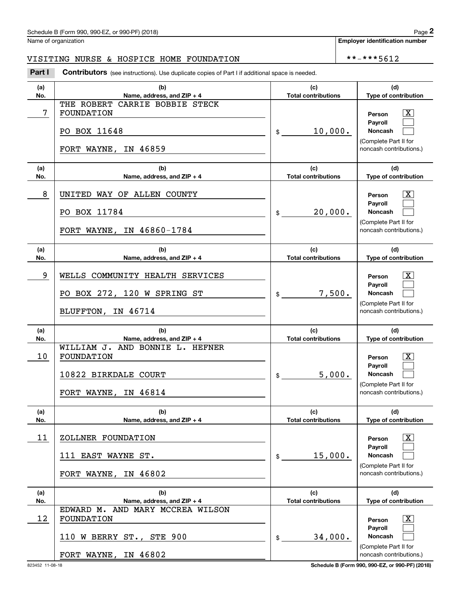Name of organization

**Employer identification number**

### VISITING NURSE & HOSPICE HOME FOUNDATION | \*\*-\*\*\*5612

**(a)No.(b)Name, address, and ZIP + 4 (c)Total contributions (d)Type of contribution PersonPayrollNoncash (a)No.(b)Name, address, and ZIP + 4 (c)Total contributions (d)Type of contribution PersonPayrollNoncash (a)No.(b)Name, address, and ZIP + 4 (c)Total contributions (d)Type of contribution PersonPayrollNoncash (a)No.(b)Name, address, and ZIP + 4 (c) Total contributions (d)Type of contribution PersonPayrollNoncash (a)No.(b)Name, address, and ZIP + 4 (c)Total contributions (d)Type of contribution PersonPayrollNoncash (a)No.(b)Name, address, and ZIP + 4 (c)Total contributions (d)Type of contribution PersonPayrollNoncash Contributors** (see instructions). Use duplicate copies of Part I if additional space is needed.  $$$ (Complete Part II for noncash contributions.) \$(Complete Part II for noncash contributions.)  $\mathbf{\hat{z}}$ (Complete Part II for noncash contributions.) \$(Complete Part II for noncash contributions.) \$(Complete Part II for noncash contributions.)  $\mathsf{\$}$ (Complete Part II for noncash contributions.) Chedule B (Form 990, 990-EZ, or 990-PF) (2018)<br>Iame of organization<br>**2Part I 2Part I Contributors** (see instructions). Use duplicate copies of Part I if additional space is needed.  $\lceil \text{X} \rceil$  $\mathcal{L}^{\text{max}}$  $\mathcal{L}^{\text{max}}$  $|X|$  $\mathcal{L}^{\text{max}}$  $\mathcal{L}^{\text{max}}$  $\lceil \text{X} \rceil$  $\mathcal{L}^{\text{max}}$  $\mathcal{L}^{\text{max}}$  $\lceil \text{X} \rceil$  $\mathcal{L}^{\text{max}}$  $\mathcal{L}^{\text{max}}$  $|X|$  $\mathcal{L}^{\text{max}}$  $\mathcal{L}^{\text{max}}$  $|X|$  $\mathcal{L}^{\text{max}}$  $\mathcal{L}^{\text{max}}$ T Person T & Person T & Person T & Person T & Person T & Person T & Person T & Person T & Person T & Person T & 10,000. THE ROBERT CARRIE BOBBIE STECK PO BOX 11648 FORT WAYNE, IN 46859 8 UNITED WAY OF ALLEN COUNTY And the state of the second in the second in the second in the second in the second in  $\overline{\text{X}}$ 20,000. PO BOX 11784 FORT WAYNE, IN 46860-1784 9 X WELLS COMMUNITY HEALTH SERVICES 7,500. PO BOX 272, 120 W SPRING ST BLUFFTON, IN 46714 10 X FOUNDATION 5,000. WILLIAM J. AND BONNIE L. HEFNER 10822 BIRKDALE COURT FORT WAYNE, IN 46814 11 X ZOLLNER FOUNDATION 15,000. 111 EAST WAYNE ST. FORT WAYNE, IN 46802 12 X FOUNDATION 34,000. EDWARD M. AND MARY MCCREA WILSON 110 W BERRY ST., STE 900 FORT WAYNE, IN 46802

823452 11-08-18 **Schedule B (Form 990, 990-EZ, or 990-PF) (2018)**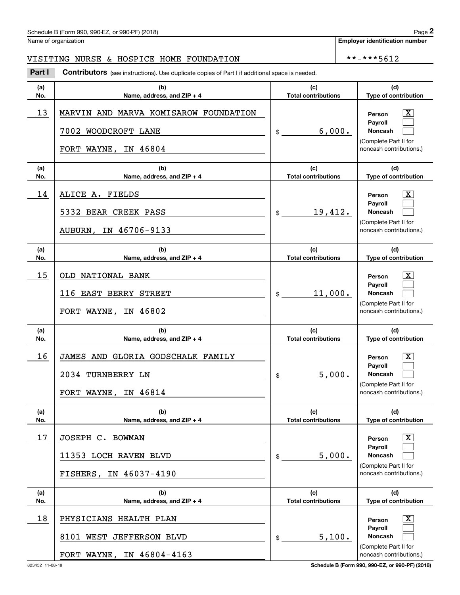### Schedule B (Form 990, 990-EZ, or 990-PF) (2018)  $P_0 = 2$

Name of organization

**Employer identification number**

### VISITING NURSE & HOSPICE HOME FOUNDATION | \*\*-\*\*\*5612

**(a)No.(b)Name, address, and ZIP + 4 (c)Total contributions (d)Type of contribution PersonPayrollNoncash (a)No.(b)Name, address, and ZIP + 4 (c)Total contributions (d)Type of contribution PersonPayrollNoncash (a)No.(b)Name, address, and ZIP + 4 (c)Total contributions (d)Type of contribution PersonPayrollNoncash (a)No.(b)Name, address, and ZIP + 4 (c) Total contributions (d)Type of contribution PersonPayrollNoncash (a)No.(b)Name, address, and ZIP + 4 (c)Total contributions (d)Type of contribution PersonPayrollNoncash (a)No.(b)Name, address, and ZIP + 4 (c)Total contributions (d)Type of contribution PersonPayrollNoncash Contributors** (see instructions). Use duplicate copies of Part I if additional space is needed. \$(Complete Part II for noncash contributions.) \$(Complete Part II for noncash contributions.) \$(Complete Part II for noncash contributions.) \$(Complete Part II for noncash contributions.) \$(Complete Part II for noncash contributions.)  $$$ (Complete Part II for noncash contributions.) Chedule B (Form 990, 990-EZ, or 990-PF) (2018)<br>Iame of organization<br>**2Part I 2Part I Contributors** (see instructions). Use duplicate copies of Part I if additional space is needed.  $\lceil \text{X} \rceil$  $\mathcal{L}^{\text{max}}$  $\mathcal{L}^{\text{max}}$  $\boxed{\text{X}}$  $\mathcal{L}^{\text{max}}$  $\mathcal{L}^{\text{max}}$  $\lceil \text{X} \rceil$  $\mathcal{L}^{\text{max}}$  $\mathcal{L}^{\text{max}}$  $|X|$  $\mathcal{L}^{\text{max}}$  $\mathcal{L}^{\text{max}}$  $|X|$  $\mathcal{L}^{\text{max}}$  $\mathcal{L}^{\text{max}}$  $\boxed{\text{X}}$  $\mathcal{L}^{\text{max}}$  $\mathcal{L}^{\text{max}}$ 13 X MARVIN AND MARVA KOMISAROW FOUNDATION 6,000. 7002 WOODCROFT LANE FORT WAYNE, IN 46804 14 X ALICE A. FIELDS 19,412. 5332 BEAR CREEK PASS AUBURN, IN 46706-9133 15 X OLD NATIONAL BANK 11,000. 116 EAST BERRY STREET FORT WAYNE, IN 46802 16 X JAMES AND GLORIA GODSCHALK FAMILY 5,000. 2034 TURNBERRY LN FORT WAYNE, IN 46814 17 X JOSEPH C. BOWMAN 5,000. 11353 LOCH RAVEN BLVD FISHERS, IN 46037-4190 18 X PHYSICIANS HEALTH PLAN 5,100. 8101 WEST JEFFERSON BLVD FORT WAYNE, IN 46804-4163

823452 11-08-18 **Schedule B (Form 990, 990-EZ, or 990-PF) (2018)**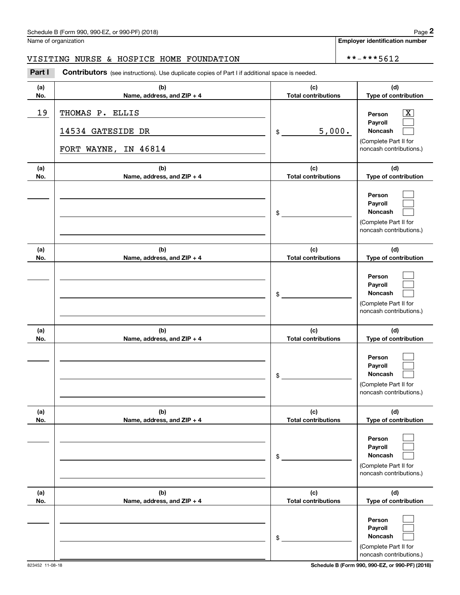## Schedule B (Form 990, 990-EZ, or 990-PF) (2018) Page 2

### VISITING NURSE & HOSPICE HOME FOUNDATION \*\*-\*\*\*5612

|            | Schedule B (Form 990, 990-EZ, or 990-PF) (2018)                                                       |                                   |        | Page 2                                                                                                    |
|------------|-------------------------------------------------------------------------------------------------------|-----------------------------------|--------|-----------------------------------------------------------------------------------------------------------|
|            | Name of organization                                                                                  |                                   |        | <b>Employer identification number</b>                                                                     |
|            | VISITING NURSE & HOSPICE HOME FOUNDATION                                                              |                                   |        | **-***5612                                                                                                |
| Part I     | <b>Contributors</b> (see instructions). Use duplicate copies of Part I if additional space is needed. |                                   |        |                                                                                                           |
| (a)<br>No. | (b)<br>Name, address, and ZIP + 4                                                                     | (c)<br><b>Total contributions</b> |        | (d)<br>Type of contribution                                                                               |
| 19         | THOMAS P. ELLIS<br>14534 GATESIDE DR<br>FORT WAYNE, IN 46814                                          | \$                                | 5,000. | $\overline{\text{X}}$<br>Person<br>Payroll<br>Noncash<br>(Complete Part II for<br>noncash contributions.) |
| (a)<br>No. | (b)<br>Name, address, and ZIP + 4                                                                     | (c)<br><b>Total contributions</b> |        | (d)<br>Type of contribution                                                                               |
|            |                                                                                                       | \$                                |        | Person<br>Payroll<br>Noncash<br>(Complete Part II for<br>noncash contributions.)                          |
| (a)<br>No. | (b)<br>Name, address, and ZIP + 4                                                                     | (c)<br><b>Total contributions</b> |        | (d)<br>Type of contribution                                                                               |
|            |                                                                                                       | \$                                |        | Person<br>Payroll<br>Noncash<br>(Complete Part II for<br>noncash contributions.)                          |
| (a)<br>No. | (b)<br>Name, address, and ZIP + 4                                                                     | (c)<br><b>Total contributions</b> |        | (d)<br>Type of contribution                                                                               |
|            |                                                                                                       | \$                                |        | Person<br>Payroll<br>Noncash<br>(Complete Part II for<br>noncash contributions.)                          |
| (a)<br>No. | (b)<br>Name, address, and ZIP + 4                                                                     | (c)<br><b>Total contributions</b> |        | (d)<br>Type of contribution                                                                               |
|            |                                                                                                       | \$                                |        | Person<br>Payroll<br>Noncash<br>(Complete Part II for<br>noncash contributions.)                          |
| (a)<br>No. | (b)<br>Name, address, and ZIP + 4                                                                     | (c)<br><b>Total contributions</b> |        | (d)<br>Type of contribution                                                                               |
|            |                                                                                                       | \$                                |        | Person<br>Payroll<br>Noncash<br>(Complete Part II for<br>noncash contributions.)                          |

**Schedule B (Form 990, 990-EZ, or 990-PF) (2018)**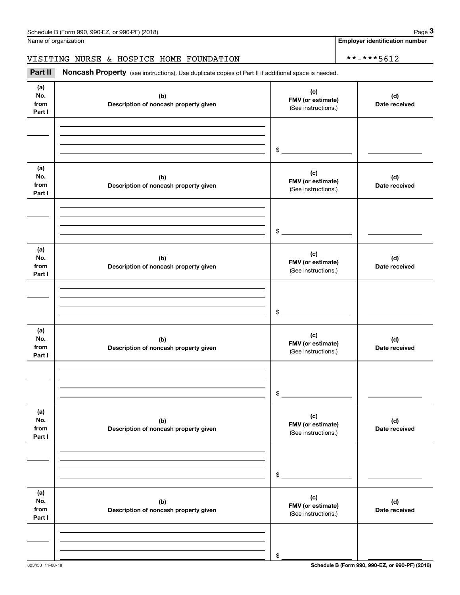Name of organization

**Employer identification number**

### VISITING NURSE & HOSPICE HOME FOUNDATION | \*\*-\*\*\*5612

Chedule B (Form 990, 990-EZ, or 990-PF) (2018)<br>Iame of organization<br>**3Part II is Noncash Property** (see instructions). Use duplicate copies of Part II if additional space is needed.

| (a)<br>No.<br>from<br>Part I | (b)<br>Description of noncash property given | (c)<br>FMV (or estimate)<br>(See instructions.) | (d)<br>Date received |
|------------------------------|----------------------------------------------|-------------------------------------------------|----------------------|
|                              |                                              |                                                 |                      |
|                              |                                              | \$                                              |                      |
| (a)<br>No.<br>from<br>Part I | (b)<br>Description of noncash property given | (c)<br>FMV (or estimate)<br>(See instructions.) | (d)<br>Date received |
|                              |                                              |                                                 |                      |
|                              |                                              | \$                                              |                      |
| (a)<br>No.<br>from<br>Part I | (b)<br>Description of noncash property given | (c)<br>FMV (or estimate)<br>(See instructions.) | (d)<br>Date received |
|                              |                                              |                                                 |                      |
|                              |                                              | \$                                              |                      |
| (a)<br>No.<br>from<br>Part I | (b)<br>Description of noncash property given | (c)<br>FMV (or estimate)<br>(See instructions.) | (d)<br>Date received |
|                              |                                              |                                                 |                      |
|                              |                                              | \$                                              |                      |
| (a)<br>No.<br>from<br>Part I | (b)<br>Description of noncash property given | (c)<br>FMV (or estimate)<br>(See instructions.) | (d)<br>Date received |
|                              |                                              |                                                 |                      |
|                              |                                              | \$                                              |                      |
| (a)<br>No.<br>from<br>Part I | (b)<br>Description of noncash property given | (c)<br>FMV (or estimate)<br>(See instructions.) | (d)<br>Date received |
|                              |                                              |                                                 |                      |
|                              |                                              | \$                                              |                      |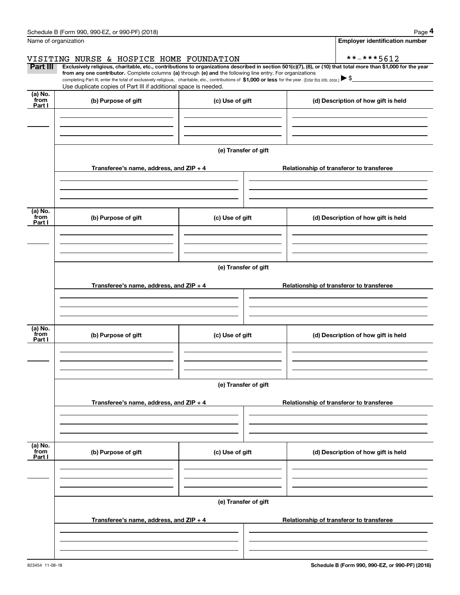|                           | Schedule B (Form 990, 990-EZ, or 990-PF) (2018)                                                                                                                                                                                                                                                 |                      | Page 4                                                                                                                                                                       |
|---------------------------|-------------------------------------------------------------------------------------------------------------------------------------------------------------------------------------------------------------------------------------------------------------------------------------------------|----------------------|------------------------------------------------------------------------------------------------------------------------------------------------------------------------------|
|                           | Name of organization                                                                                                                                                                                                                                                                            |                      | <b>Employer identification number</b>                                                                                                                                        |
| Part III                  | VISITING NURSE & HOSPICE HOME FOUNDATION                                                                                                                                                                                                                                                        |                      | **-***5612<br>Exclusively religious, charitable, etc., contributions to organizations described in section 501(c)(7), (8), or (10) that total more than \$1,000 for the year |
|                           | from any one contributor. Complete columns (a) through (e) and the following line entry. For organizations<br>completing Part III, enter the total of exclusively religious, charitable, etc., contributions of \$1,000 or less for the year. (Enter this info. once.) $\blacktriangleright$ \$ |                      |                                                                                                                                                                              |
|                           | Use duplicate copies of Part III if additional space is needed.                                                                                                                                                                                                                                 |                      |                                                                                                                                                                              |
| (a) No.<br>from<br>Part I | (b) Purpose of gift                                                                                                                                                                                                                                                                             | (c) Use of gift      | (d) Description of how gift is held                                                                                                                                          |
|                           |                                                                                                                                                                                                                                                                                                 |                      |                                                                                                                                                                              |
|                           |                                                                                                                                                                                                                                                                                                 |                      |                                                                                                                                                                              |
|                           |                                                                                                                                                                                                                                                                                                 | (e) Transfer of gift |                                                                                                                                                                              |
|                           | Transferee's name, address, and ZIP + 4                                                                                                                                                                                                                                                         |                      | Relationship of transferor to transferee                                                                                                                                     |
|                           |                                                                                                                                                                                                                                                                                                 |                      |                                                                                                                                                                              |
| (a) No.<br>from<br>Part I | (b) Purpose of gift                                                                                                                                                                                                                                                                             | (c) Use of gift      | (d) Description of how gift is held                                                                                                                                          |
|                           |                                                                                                                                                                                                                                                                                                 |                      |                                                                                                                                                                              |
|                           |                                                                                                                                                                                                                                                                                                 |                      |                                                                                                                                                                              |
|                           |                                                                                                                                                                                                                                                                                                 | (e) Transfer of gift |                                                                                                                                                                              |
|                           | Transferee's name, address, and ZIP + 4                                                                                                                                                                                                                                                         |                      | Relationship of transferor to transferee                                                                                                                                     |
|                           |                                                                                                                                                                                                                                                                                                 |                      |                                                                                                                                                                              |
| (a) No.<br>from<br>Part I | (b) Purpose of gift                                                                                                                                                                                                                                                                             | (c) Use of gift      | (d) Description of how gift is held                                                                                                                                          |
|                           |                                                                                                                                                                                                                                                                                                 |                      |                                                                                                                                                                              |
|                           |                                                                                                                                                                                                                                                                                                 | (e) Transfer of gift |                                                                                                                                                                              |
|                           | Transferee's name, address, and $ZIP + 4$                                                                                                                                                                                                                                                       |                      | Relationship of transferor to transferee                                                                                                                                     |
|                           |                                                                                                                                                                                                                                                                                                 |                      |                                                                                                                                                                              |
| (a) No.<br>from<br>Part I | (b) Purpose of gift                                                                                                                                                                                                                                                                             | (c) Use of gift      | (d) Description of how gift is held                                                                                                                                          |
|                           |                                                                                                                                                                                                                                                                                                 |                      |                                                                                                                                                                              |
|                           |                                                                                                                                                                                                                                                                                                 |                      |                                                                                                                                                                              |
|                           |                                                                                                                                                                                                                                                                                                 | (e) Transfer of gift |                                                                                                                                                                              |
|                           | Transferee's name, address, and $ZIP + 4$                                                                                                                                                                                                                                                       |                      | Relationship of transferor to transferee                                                                                                                                     |
|                           |                                                                                                                                                                                                                                                                                                 |                      |                                                                                                                                                                              |
|                           |                                                                                                                                                                                                                                                                                                 |                      |                                                                                                                                                                              |

Schedule B (Form 990, 990-EZ, or 990-PF) (2018) Page 4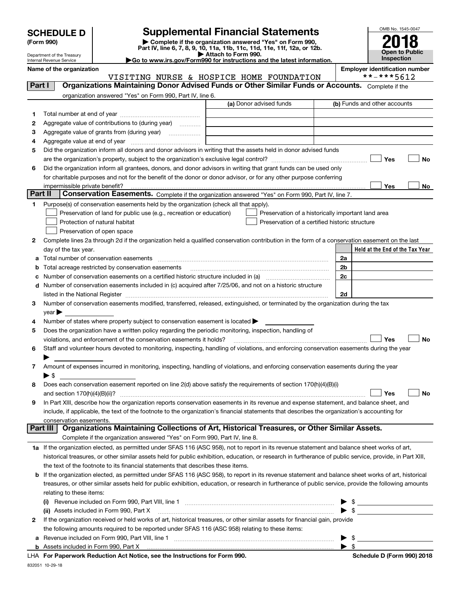| <b>SCHEDULE D</b> |  |
|-------------------|--|
|-------------------|--|

Department of the Treasury Internal Revenue Service

| (Form 990) |  |
|------------|--|
|------------|--|

### **SCHEDULE D Supplemental Financial Statements**

(Form 990)<br>
Pepartment of the Treasury<br>
Department of the Treasury<br>
Department of the Treasury<br>
Department of the Treasury<br> **Co to www.irs.gov/Form990 for instructions and the latest information.**<br> **Co to www.irs.gov/Form9** 

|--|



Name of the organization<br> **VISITING NURSE & HOSPICE HOME FOUNDATION** \*\*-\*\*\*5612 VISITING NURSE & HOSPICE HOME FOUNDATION

| Part I  | Organizations Maintaining Donor Advised Funds or Other Similar Funds or Accounts. Complete if the                                                                                                                             |                         |                                                    |
|---------|-------------------------------------------------------------------------------------------------------------------------------------------------------------------------------------------------------------------------------|-------------------------|----------------------------------------------------|
|         | organization answered "Yes" on Form 990, Part IV, line 6.                                                                                                                                                                     |                         |                                                    |
|         |                                                                                                                                                                                                                               | (a) Donor advised funds | (b) Funds and other accounts                       |
| 1.      |                                                                                                                                                                                                                               |                         |                                                    |
| 2       | Aggregate value of contributions to (during year)                                                                                                                                                                             |                         |                                                    |
| з       | Aggregate value of grants from (during year)                                                                                                                                                                                  |                         |                                                    |
| 4       |                                                                                                                                                                                                                               |                         |                                                    |
| 5       | Did the organization inform all donors and donor advisors in writing that the assets held in donor advised funds                                                                                                              |                         |                                                    |
|         |                                                                                                                                                                                                                               |                         | Yes<br>No                                          |
| 6       | Did the organization inform all grantees, donors, and donor advisors in writing that grant funds can be used only                                                                                                             |                         |                                                    |
|         | for charitable purposes and not for the benefit of the donor or donor advisor, or for any other purpose conferring                                                                                                            |                         |                                                    |
|         | impermissible private benefit?                                                                                                                                                                                                |                         | Yes<br>No                                          |
| Part II | Conservation Easements. Complete if the organization answered "Yes" on Form 990, Part IV, line 7.                                                                                                                             |                         |                                                    |
| 1       | Purpose(s) of conservation easements held by the organization (check all that apply).                                                                                                                                         |                         |                                                    |
|         | Preservation of land for public use (e.g., recreation or education)                                                                                                                                                           |                         | Preservation of a historically important land area |
|         | Protection of natural habitat                                                                                                                                                                                                 |                         | Preservation of a certified historic structure     |
|         | Preservation of open space                                                                                                                                                                                                    |                         |                                                    |
| 2       | Complete lines 2a through 2d if the organization held a qualified conservation contribution in the form of a conservation easement on the last                                                                                |                         |                                                    |
|         | day of the tax year.                                                                                                                                                                                                          |                         | Held at the End of the Tax Year                    |
|         | a Total number of conservation easements                                                                                                                                                                                      |                         | 2a                                                 |
| b       | Total acreage restricted by conservation easements                                                                                                                                                                            |                         | 2b                                                 |
| c       |                                                                                                                                                                                                                               |                         | 2c                                                 |
| d       | Number of conservation easements included in (c) acquired after 7/25/06, and not on a historic structure                                                                                                                      |                         |                                                    |
|         | listed in the National Register [11, 1200] [12] The National Register [11, 1200] [12] The National Register [11, 1200] [12] The National Register [11, 1200] [12] The National Register [11, 1200] [12] The National Register |                         | 2d                                                 |
| 3       | Number of conservation easements modified, transferred, released, extinguished, or terminated by the organization during the tax                                                                                              |                         |                                                    |
|         | year                                                                                                                                                                                                                          |                         |                                                    |
| 4       | Number of states where property subject to conservation easement is located >                                                                                                                                                 |                         |                                                    |
| 5       | Does the organization have a written policy regarding the periodic monitoring, inspection, handling of                                                                                                                        |                         |                                                    |
|         | violations, and enforcement of the conservation easements it holds?                                                                                                                                                           |                         | Yes<br><b>No</b>                                   |
| 6       | Staff and volunteer hours devoted to monitoring, inspecting, handling of violations, and enforcing conservation easements during the year                                                                                     |                         |                                                    |
| 7       | Amount of expenses incurred in monitoring, inspecting, handling of violations, and enforcing conservation easements during the year                                                                                           |                         |                                                    |
|         | $\blacktriangleright$ \$                                                                                                                                                                                                      |                         |                                                    |
| 8       | Does each conservation easement reported on line 2(d) above satisfy the requirements of section 170(h)(4)(B)(i)                                                                                                               |                         |                                                    |
|         |                                                                                                                                                                                                                               |                         | Yes<br><b>No</b>                                   |
| 9       | In Part XIII, describe how the organization reports conservation easements in its revenue and expense statement, and balance sheet, and                                                                                       |                         |                                                    |
|         | include, if applicable, the text of the footnote to the organization's financial statements that describes the organization's accounting for                                                                                  |                         |                                                    |
|         | conservation easements.                                                                                                                                                                                                       |                         |                                                    |
|         | Organizations Maintaining Collections of Art, Historical Treasures, or Other Similar Assets.<br>Part III                                                                                                                      |                         |                                                    |
|         | Complete if the organization answered "Yes" on Form 990, Part IV, line 8.                                                                                                                                                     |                         |                                                    |
|         | 1a If the organization elected, as permitted under SFAS 116 (ASC 958), not to report in its revenue statement and balance sheet works of art,                                                                                 |                         |                                                    |
|         | historical treasures, or other similar assets held for public exhibition, education, or research in furtherance of public service, provide, in Part XIII,                                                                     |                         |                                                    |
|         | the text of the footnote to its financial statements that describes these items.                                                                                                                                              |                         |                                                    |
| b       | If the organization elected, as permitted under SFAS 116 (ASC 958), to report in its revenue statement and balance sheet works of art, historical                                                                             |                         |                                                    |
|         | treasures, or other similar assets held for public exhibition, education, or research in furtherance of public service, provide the following amounts                                                                         |                         |                                                    |
|         | relating to these items:                                                                                                                                                                                                      |                         |                                                    |
|         |                                                                                                                                                                                                                               |                         |                                                    |
|         | (ii) Assets included in Form 990, Part X                                                                                                                                                                                      |                         | $\blacktriangleright$ \$                           |
| 2       | If the organization received or held works of art, historical treasures, or other similar assets for financial gain, provide                                                                                                  |                         |                                                    |
|         | the following amounts required to be reported under SFAS 116 (ASC 958) relating to these items:                                                                                                                               |                         |                                                    |
| a       |                                                                                                                                                                                                                               |                         | $\blacktriangleright$ \$                           |
|         |                                                                                                                                                                                                                               |                         | $\frac{1}{2}$ \$                                   |
|         |                                                                                                                                                                                                                               | $- - -$                 |                                                    |

832051 10-29-18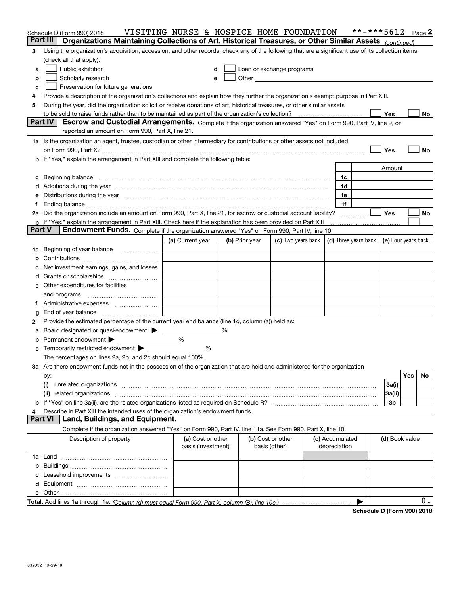|               | Schedule D (Form 990) 2018                                                                                                                                                                                                     | VISITING NURSE & HOSPICE HOME FOUNDATION |                |                                    |                                                                                                                                                                                                                                |                                 | **-***5612 |                |     | Page 2 |
|---------------|--------------------------------------------------------------------------------------------------------------------------------------------------------------------------------------------------------------------------------|------------------------------------------|----------------|------------------------------------|--------------------------------------------------------------------------------------------------------------------------------------------------------------------------------------------------------------------------------|---------------------------------|------------|----------------|-----|--------|
|               | Part III<br>Organizations Maintaining Collections of Art, Historical Treasures, or Other Similar Assets (continued)                                                                                                            |                                          |                |                                    |                                                                                                                                                                                                                                |                                 |            |                |     |        |
| 3             | Using the organization's acquisition, accession, and other records, check any of the following that are a significant use of its collection items                                                                              |                                          |                |                                    |                                                                                                                                                                                                                                |                                 |            |                |     |        |
|               | (check all that apply):                                                                                                                                                                                                        |                                          |                |                                    |                                                                                                                                                                                                                                |                                 |            |                |     |        |
| a             | Public exhibition                                                                                                                                                                                                              | d                                        |                |                                    | Loan or exchange programs                                                                                                                                                                                                      |                                 |            |                |     |        |
| b             | Scholarly research                                                                                                                                                                                                             | e                                        |                |                                    | Other the contract of the contract of the contract of the contract of the contract of the contract of the contract of the contract of the contract of the contract of the contract of the contract of the contract of the cont |                                 |            |                |     |        |
| c             | Preservation for future generations                                                                                                                                                                                            |                                          |                |                                    |                                                                                                                                                                                                                                |                                 |            |                |     |        |
| 4             | Provide a description of the organization's collections and explain how they further the organization's exempt purpose in Part XIII.                                                                                           |                                          |                |                                    |                                                                                                                                                                                                                                |                                 |            |                |     |        |
| 5             | During the year, did the organization solicit or receive donations of art, historical treasures, or other similar assets                                                                                                       |                                          |                |                                    |                                                                                                                                                                                                                                |                                 |            |                |     |        |
|               |                                                                                                                                                                                                                                |                                          |                |                                    |                                                                                                                                                                                                                                |                                 |            | Yes            |     | No     |
|               | Part IV<br>Escrow and Custodial Arrangements. Complete if the organization answered "Yes" on Form 990, Part IV, line 9, or                                                                                                     |                                          |                |                                    |                                                                                                                                                                                                                                |                                 |            |                |     |        |
|               | reported an amount on Form 990, Part X, line 21.                                                                                                                                                                               |                                          |                |                                    |                                                                                                                                                                                                                                |                                 |            |                |     |        |
|               |                                                                                                                                                                                                                                |                                          |                |                                    |                                                                                                                                                                                                                                |                                 |            |                |     |        |
|               | 1a Is the organization an agent, trustee, custodian or other intermediary for contributions or other assets not included                                                                                                       |                                          |                |                                    |                                                                                                                                                                                                                                |                                 |            |                |     |        |
|               |                                                                                                                                                                                                                                |                                          |                |                                    |                                                                                                                                                                                                                                |                                 |            | Yes            |     | No     |
|               | b If "Yes," explain the arrangement in Part XIII and complete the following table:                                                                                                                                             |                                          |                |                                    |                                                                                                                                                                                                                                |                                 |            |                |     |        |
|               |                                                                                                                                                                                                                                |                                          |                |                                    |                                                                                                                                                                                                                                |                                 |            | Amount         |     |        |
|               | c Beginning balance measurements and the contract of the contract of the contract of the contract of the contract of the contract of the contract of the contract of the contract of the contract of the contract of the contr |                                          |                |                                    |                                                                                                                                                                                                                                | 1c                              |            |                |     |        |
|               | d Additions during the year measurements are all an according to the year measurement of the year measurement of the state of the state of the state of the state of the state of the state of the state of the state of the s |                                          |                |                                    |                                                                                                                                                                                                                                | 1d                              |            |                |     |        |
|               | e Distributions during the year manufactured and continuum and contact the year manufactured and contact the year manufactured and contact the year manufactured and contact the year manufactured and contact the year manufa |                                          |                |                                    |                                                                                                                                                                                                                                | 1e                              |            |                |     |        |
| f             |                                                                                                                                                                                                                                |                                          |                |                                    |                                                                                                                                                                                                                                | 1f                              |            |                |     |        |
|               | 2a Did the organization include an amount on Form 990, Part X, line 21, for escrow or custodial account liability?                                                                                                             |                                          |                |                                    |                                                                                                                                                                                                                                |                                 |            | <b>Yes</b>     |     | No     |
|               | b If "Yes," explain the arrangement in Part XIII. Check here if the explanation has been provided on Part XIII                                                                                                                 |                                          |                |                                    |                                                                                                                                                                                                                                |                                 |            |                |     |        |
| <b>Part V</b> | Endowment Funds. Complete if the organization answered "Yes" on Form 990, Part IV, line 10.                                                                                                                                    |                                          |                |                                    |                                                                                                                                                                                                                                |                                 |            |                |     |        |
|               |                                                                                                                                                                                                                                | (a) Current year                         | (b) Prior year |                                    | (c) Two years back   (d) Three years back   (e) Four years back                                                                                                                                                                |                                 |            |                |     |        |
| 1a            | Beginning of year balance                                                                                                                                                                                                      |                                          |                |                                    |                                                                                                                                                                                                                                |                                 |            |                |     |        |
|               |                                                                                                                                                                                                                                |                                          |                |                                    |                                                                                                                                                                                                                                |                                 |            |                |     |        |
|               | c Net investment earnings, gains, and losses                                                                                                                                                                                   |                                          |                |                                    |                                                                                                                                                                                                                                |                                 |            |                |     |        |
|               | d Grants or scholarships                                                                                                                                                                                                       |                                          |                |                                    |                                                                                                                                                                                                                                |                                 |            |                |     |        |
|               | <b>e</b> Other expenditures for facilities                                                                                                                                                                                     |                                          |                |                                    |                                                                                                                                                                                                                                |                                 |            |                |     |        |
|               | and programs                                                                                                                                                                                                                   |                                          |                |                                    |                                                                                                                                                                                                                                |                                 |            |                |     |        |
| Ť.            | Administrative expenses                                                                                                                                                                                                        |                                          |                |                                    |                                                                                                                                                                                                                                |                                 |            |                |     |        |
| g             | End of year balance                                                                                                                                                                                                            |                                          |                |                                    |                                                                                                                                                                                                                                |                                 |            |                |     |        |
| 2             | Provide the estimated percentage of the current year end balance (line 1g, column (a)) held as:                                                                                                                                |                                          |                |                                    |                                                                                                                                                                                                                                |                                 |            |                |     |        |
| a             | Board designated or quasi-endowment >                                                                                                                                                                                          |                                          |                |                                    |                                                                                                                                                                                                                                |                                 |            |                |     |        |
|               | <b>b</b> Permanent endowment $\blacktriangleright$                                                                                                                                                                             | %                                        |                |                                    |                                                                                                                                                                                                                                |                                 |            |                |     |        |
|               | <b>c</b> Temporarily restricted endowment $\blacktriangleright$                                                                                                                                                                | %                                        |                |                                    |                                                                                                                                                                                                                                |                                 |            |                |     |        |
|               | The percentages on lines 2a, 2b, and 2c should equal 100%.                                                                                                                                                                     |                                          |                |                                    |                                                                                                                                                                                                                                |                                 |            |                |     |        |
|               | 3a Are there endowment funds not in the possession of the organization that are held and administered for the organization                                                                                                     |                                          |                |                                    |                                                                                                                                                                                                                                |                                 |            |                |     |        |
|               | by:                                                                                                                                                                                                                            |                                          |                |                                    |                                                                                                                                                                                                                                |                                 |            |                | Yes | No     |
|               | (i)                                                                                                                                                                                                                            |                                          |                |                                    |                                                                                                                                                                                                                                |                                 |            | 3a(i)          |     |        |
|               | (ii)                                                                                                                                                                                                                           |                                          |                |                                    |                                                                                                                                                                                                                                |                                 |            | 3a(ii)         |     |        |
|               |                                                                                                                                                                                                                                |                                          |                |                                    |                                                                                                                                                                                                                                |                                 |            | 3b             |     |        |
| 4             | Describe in Part XIII the intended uses of the organization's endowment funds.                                                                                                                                                 |                                          |                |                                    |                                                                                                                                                                                                                                |                                 |            |                |     |        |
|               | <b>Part VI</b><br>Land, Buildings, and Equipment.                                                                                                                                                                              |                                          |                |                                    |                                                                                                                                                                                                                                |                                 |            |                |     |        |
|               |                                                                                                                                                                                                                                |                                          |                |                                    |                                                                                                                                                                                                                                |                                 |            |                |     |        |
|               | Complete if the organization answered "Yes" on Form 990, Part IV, line 11a. See Form 990, Part X, line 10.                                                                                                                     |                                          |                |                                    |                                                                                                                                                                                                                                |                                 |            |                |     |        |
|               | Description of property                                                                                                                                                                                                        | (a) Cost or other<br>basis (investment)  |                | (b) Cost or other<br>basis (other) |                                                                                                                                                                                                                                | (c) Accumulated<br>depreciation |            | (d) Book value |     |        |
|               |                                                                                                                                                                                                                                |                                          |                |                                    |                                                                                                                                                                                                                                |                                 |            |                |     |        |
|               |                                                                                                                                                                                                                                |                                          |                |                                    |                                                                                                                                                                                                                                |                                 |            |                |     |        |
|               |                                                                                                                                                                                                                                |                                          |                |                                    |                                                                                                                                                                                                                                |                                 |            |                |     |        |
|               |                                                                                                                                                                                                                                |                                          |                |                                    |                                                                                                                                                                                                                                |                                 |            |                |     |        |
|               |                                                                                                                                                                                                                                |                                          |                |                                    |                                                                                                                                                                                                                                |                                 |            |                |     |        |
|               |                                                                                                                                                                                                                                |                                          |                |                                    |                                                                                                                                                                                                                                |                                 | ▶          |                |     | $0$ .  |
|               |                                                                                                                                                                                                                                |                                          |                |                                    |                                                                                                                                                                                                                                |                                 |            |                |     |        |

**Schedule D (Form 990) 2018**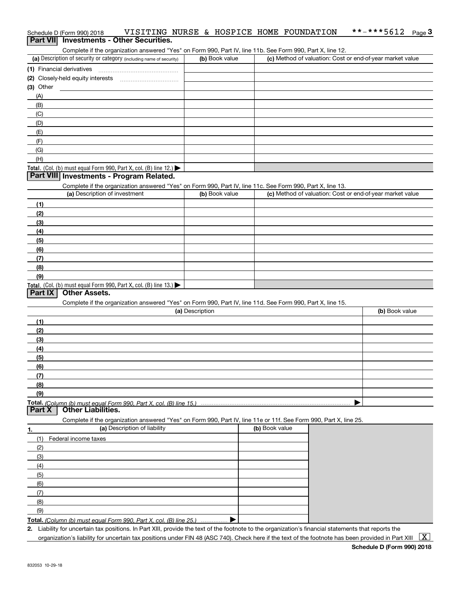# Schedule D (Form 990) 2018 VISITING NURSE & HOSPICE HOME FOUNDATION \*\*-\*\*\*5612 <sub>Page</sub> 3<br>| **Part VII** | Investments - Other Securities.

Complete if the organization answered "Yes" on Form 990, Part IV, line 11b. See Form 990, Part X, line 12.

| (a) Description of security or category (including name of security)                   | (b) Book value | (c) Method of valuation: Cost or end-of-year market value |
|----------------------------------------------------------------------------------------|----------------|-----------------------------------------------------------|
| (1) Financial derivatives                                                              |                |                                                           |
| (2) Closely-held equity interests                                                      |                |                                                           |
| $(3)$ Other                                                                            |                |                                                           |
| (A)                                                                                    |                |                                                           |
| (B)                                                                                    |                |                                                           |
| (C)                                                                                    |                |                                                           |
| (D)                                                                                    |                |                                                           |
| (E)                                                                                    |                |                                                           |
| (F)                                                                                    |                |                                                           |
| (G)                                                                                    |                |                                                           |
| (H)                                                                                    |                |                                                           |
| Total. (Col. (b) must equal Form 990, Part X, col. (B) line 12.) $\blacktriangleright$ |                |                                                           |

#### **Part VIII Investments - Program Related.**

Complete if the organization answered "Yes" on Form 990, Part IV, line 11c. See Form 990, Part X, line 13.

| (a) Description of investment                                       | (b) Book value | (c) Method of valuation: Cost or end-of-year market value |
|---------------------------------------------------------------------|----------------|-----------------------------------------------------------|
| (1)                                                                 |                |                                                           |
| (2)                                                                 |                |                                                           |
| $\qquad \qquad (3)$                                                 |                |                                                           |
| (4)                                                                 |                |                                                           |
| $\left(5\right)$                                                    |                |                                                           |
| (6)                                                                 |                |                                                           |
| (7)                                                                 |                |                                                           |
| (8)                                                                 |                |                                                           |
| (9)                                                                 |                |                                                           |
| Total. (Col. (b) must equal Form 990, Part X, col. (B) line $13.$ ) |                |                                                           |

### **Part IX Other Assets.**

Complete if the organization answered "Yes" on Form 990, Part IV, line 11d. See Form 990, Part X, line 15.

| (a) Description | (b) Book value |
|-----------------|----------------|
| (1)             |                |
| (2)             |                |
| $\frac{1}{2}$   |                |
| (4)             |                |
| $\frac{1}{2}$   |                |
| (6)             |                |
| (7)             |                |
| (8)             |                |
| (9)             |                |
|                 |                |

**Part X Other Liabilities.**

Complete if the organization answered "Yes" on Form 990, Part IV, line 11e or 11f. See Form 990, Part X, line 25.

| 1.  | (a) Description of liability                                                       | (b) Book value |
|-----|------------------------------------------------------------------------------------|----------------|
| (1) | Federal income taxes                                                               |                |
| (2) |                                                                                    |                |
| (3) |                                                                                    |                |
| (4) |                                                                                    |                |
| (5) |                                                                                    |                |
| (6) |                                                                                    |                |
| (7) |                                                                                    |                |
| (8) |                                                                                    |                |
| (9) |                                                                                    |                |
|     | <b>Total.</b> (Column (b) must equal Form 990. Part X, col. (B) line 25.) $\ldots$ |                |

**Total.**  *(Column (b) must equal Form 990, Part X, col. (B) line 25.)* . . . . . . . . . . . . . . .

**2.**Liability for uncertain tax positions. In Part XIII, provide the text of the footnote to the organization's financial statements that reports the organization's liability for uncertain tax positions under FIN 48 (ASC 740). Check here if the text of the footnote has been provided in Part XIII  $~\boxed{\rm X}$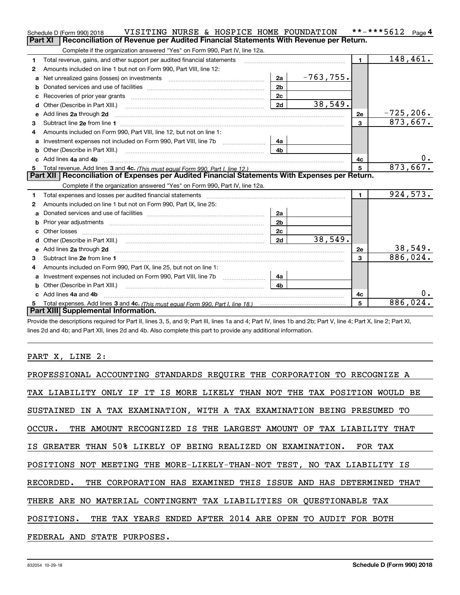|              | VISITING NURSE & HOSPICE HOME FOUNDATION<br>Schedule D (Form 990) 2018                                                                                                                                                                     |                | **-***5612 Page 4 |
|--------------|--------------------------------------------------------------------------------------------------------------------------------------------------------------------------------------------------------------------------------------------|----------------|-------------------|
|              | <b>Part XI</b><br>Reconciliation of Revenue per Audited Financial Statements With Revenue per Return.                                                                                                                                      |                |                   |
|              | Complete if the organization answered "Yes" on Form 990, Part IV, line 12a.                                                                                                                                                                |                |                   |
| 1            | Total revenue, gains, and other support per audited financial statements                                                                                                                                                                   | $\blacksquare$ | 148,461.          |
| 2            | Amounts included on line 1 but not on Form 990, Part VIII, line 12:                                                                                                                                                                        |                |                   |
| a            | $-763, 755.$<br>2a<br>Net unrealized gains (losses) on investments [11] matter contracts and the unrealized gains (losses) on investments                                                                                                  |                |                   |
|              | 2 <sub>b</sub>                                                                                                                                                                                                                             |                |                   |
| c            | 2c                                                                                                                                                                                                                                         |                |                   |
| d            | 38,549.<br>2d<br>Other (Describe in Part XIII.)                                                                                                                                                                                            |                |                   |
| е            | Add lines 2a through 2d <b>must be a constructed as the constant of the constant of the constant of the construction</b>                                                                                                                   | 2e             | $-725, 206.$      |
| 3            |                                                                                                                                                                                                                                            | $\mathbf{3}$   | 873,667.          |
|              | Amounts included on Form 990, Part VIII, line 12, but not on line 1:                                                                                                                                                                       |                |                   |
| а            | 4a                                                                                                                                                                                                                                         |                |                   |
| b            | 4 <sub>b</sub><br>Other (Describe in Part XIII.) <b>Construction Contract Construction</b> Chemistry Chemistry Chemistry Chemistry Chemistry                                                                                               |                |                   |
|              | Add lines 4a and 4b                                                                                                                                                                                                                        | 4с             | 0.                |
| 5            |                                                                                                                                                                                                                                            | 5              | 873,667.          |
|              | Part XII   Reconciliation of Expenses per Audited Financial Statements With Expenses per Return.                                                                                                                                           |                |                   |
|              | Complete if the organization answered "Yes" on Form 990, Part IV, line 12a.                                                                                                                                                                |                |                   |
| 1            |                                                                                                                                                                                                                                            | $\mathbf{1}$   | 924,573.          |
| $\mathbf{2}$ | Amounts included on line 1 but not on Form 990, Part IX, line 25:                                                                                                                                                                          |                |                   |
| a            | 2a                                                                                                                                                                                                                                         |                |                   |
| b            | 2 <sub>b</sub>                                                                                                                                                                                                                             |                |                   |
|              | Other losses <b>with a contract the contract of the contract of the contract of the contract of the contract of the contract of the contract of the contract of the contract of the contract of the contract of the contract of </b><br>2c |                |                   |
|              | 38,549.<br>2d                                                                                                                                                                                                                              |                |                   |
| е            | Add lines 2a through 2d <b>minimum contained a contract and a</b> contract a contract of the contract of the contract of the contract of the contract of the contract of the contract of the contract of the contract of the contra        | 2e             | 38,549.           |
| 3            |                                                                                                                                                                                                                                            | 3              | 886,024.          |
| 4            | Amounts included on Form 990, Part IX, line 25, but not on line 1:                                                                                                                                                                         |                |                   |
| a            | Investment expenses not included on Form 990, Part VIII, line 7b [1000000000000000000000000000000000<br>4a                                                                                                                                 |                |                   |
| b            | Other (Describe in Part XIII.) <b>Construction Contract Construction</b> [<br>4b                                                                                                                                                           |                |                   |
|              | Add lines 4a and 4b                                                                                                                                                                                                                        | 4c             | 0.                |
|              |                                                                                                                                                                                                                                            | 5              | 886, 024.         |
|              | Part XIII Supplemental Information.                                                                                                                                                                                                        |                |                   |

Provide the descriptions required for Part II, lines 3, 5, and 9; Part III, lines 1a and 4; Part IV, lines 1b and 2b; Part V, line 4; Part X, line 2; Part XI, lines 2d and 4b; and Part XII, lines 2d and 4b. Also complete this part to provide any additional information.

### PART X, LINE 2:

| PROFESSIONAL ACCOUNTING STANDARDS REQUIRE THE CORPORATION TO RECOGNIZE A   |
|----------------------------------------------------------------------------|
| TAX LIABILITY ONLY IF IT IS MORE LIKELY THAN NOT THE TAX POSITION WOULD BE |
| SUSTAINED IN A TAX EXAMINATION, WITH A TAX EXAMINATION BEING PRESUMED TO   |
| OCCUR. THE AMOUNT RECOGNIZED IS THE LARGEST AMOUNT OF TAX LIABILITY THAT   |
| IS GREATER THAN 50% LIKELY OF BEING REALIZED ON EXAMINATION. FOR TAX       |
| POSITIONS NOT MEETING THE MORE-LIKELY-THAN-NOT TEST, NO TAX LIABILITY IS   |
| RECORDED. THE CORPORATION HAS EXAMINED THIS ISSUE AND HAS DETERMINED THAT  |
| THERE ARE NO MATERIAL CONTINGENT TAX LIABILITIES OR OUESTIONABLE TAX       |
| THE TAX YEARS ENDED AFTER 2014 ARE OPEN TO AUDIT FOR BOTH<br>POSITIONS.    |
| FEDERAL AND STATE PURPOSES.                                                |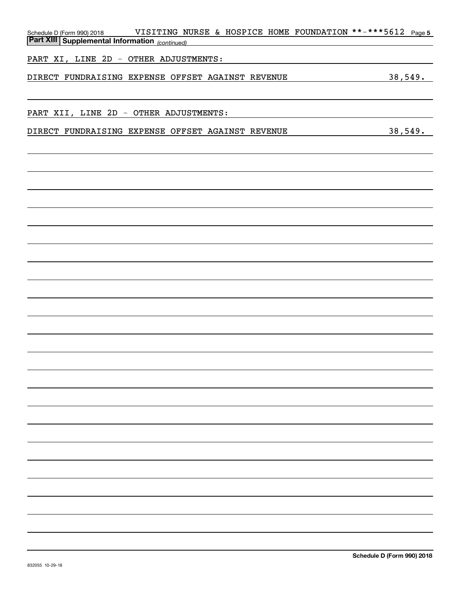| Schedule D (Form 990) 2018 |                                                       |                                                   |  | VISITING NURSE & HOSPICE HOME FOUNDATION **-***5612 Page 5 |
|----------------------------|-------------------------------------------------------|---------------------------------------------------|--|------------------------------------------------------------|
|                            | <b>Part XIII Supplemental Information</b> (continued) |                                                   |  |                                                            |
|                            | PART XI, LINE 2D - OTHER ADJUSTMENTS:                 |                                                   |  |                                                            |
|                            |                                                       | DIRECT FUNDRAISING EXPENSE OFFSET AGAINST REVENUE |  | 38,549.                                                    |
|                            |                                                       |                                                   |  |                                                            |
|                            | PART XII, LINE 2D - OTHER ADJUSTMENTS:                |                                                   |  |                                                            |
|                            |                                                       | DIRECT FUNDRAISING EXPENSE OFFSET AGAINST REVENUE |  | 38,549.                                                    |
|                            |                                                       |                                                   |  |                                                            |
|                            |                                                       |                                                   |  |                                                            |
|                            |                                                       |                                                   |  |                                                            |
|                            |                                                       |                                                   |  |                                                            |
|                            |                                                       |                                                   |  |                                                            |
|                            |                                                       |                                                   |  |                                                            |
|                            |                                                       |                                                   |  |                                                            |
|                            |                                                       |                                                   |  |                                                            |
|                            |                                                       |                                                   |  |                                                            |
|                            |                                                       |                                                   |  |                                                            |
|                            |                                                       |                                                   |  |                                                            |
|                            |                                                       |                                                   |  |                                                            |
|                            |                                                       |                                                   |  |                                                            |
|                            |                                                       |                                                   |  |                                                            |
|                            |                                                       |                                                   |  |                                                            |
|                            |                                                       |                                                   |  |                                                            |
|                            |                                                       |                                                   |  |                                                            |
|                            |                                                       |                                                   |  |                                                            |
|                            |                                                       |                                                   |  |                                                            |
|                            |                                                       |                                                   |  |                                                            |
|                            |                                                       |                                                   |  |                                                            |
|                            |                                                       |                                                   |  |                                                            |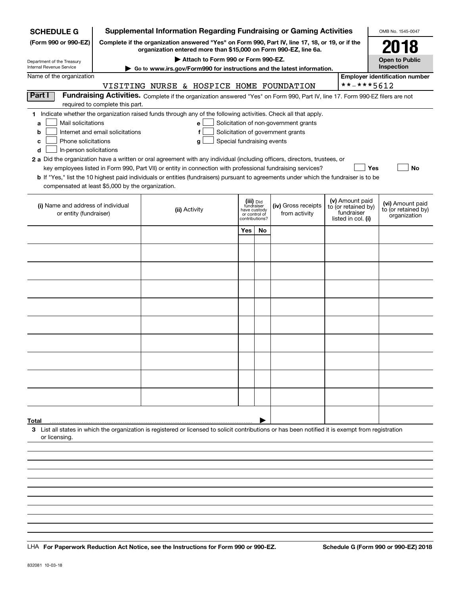| <b>SCHEDULE G</b>                                                                        |                                  | <b>Supplemental Information Regarding Fundraising or Gaming Activities</b>                                                                                                                                                                                   |                            |                                                                            |                                                                            |                                                                            | OMB No. 1545-0047                                       |
|------------------------------------------------------------------------------------------|----------------------------------|--------------------------------------------------------------------------------------------------------------------------------------------------------------------------------------------------------------------------------------------------------------|----------------------------|----------------------------------------------------------------------------|----------------------------------------------------------------------------|----------------------------------------------------------------------------|---------------------------------------------------------|
| (Form 990 or 990-EZ)                                                                     |                                  | Complete if the organization answered "Yes" on Form 990, Part IV, line 17, 18, or 19, or if the<br>organization entered more than \$15,000 on Form 990-EZ, line 6a.                                                                                          |                            |                                                                            |                                                                            |                                                                            | 2018                                                    |
| Department of the Treasury                                                               |                                  | Attach to Form 990 or Form 990-EZ.                                                                                                                                                                                                                           |                            |                                                                            |                                                                            |                                                                            | <b>Open to Public</b><br>Inspection                     |
| Internal Revenue Service<br>Name of the organization                                     |                                  | Go to www.irs.gov/Form990 for instructions and the latest information.                                                                                                                                                                                       |                            |                                                                            |                                                                            |                                                                            | <b>Employer identification number</b>                   |
|                                                                                          |                                  | VISITING NURSE & HOSPICE HOME FOUNDATION                                                                                                                                                                                                                     |                            |                                                                            |                                                                            | **-***5612                                                                 |                                                         |
| Part I                                                                                   |                                  | Fundraising Activities. Complete if the organization answered "Yes" on Form 990, Part IV, line 17. Form 990-EZ filers are not                                                                                                                                |                            |                                                                            |                                                                            |                                                                            |                                                         |
|                                                                                          | required to complete this part.  |                                                                                                                                                                                                                                                              |                            |                                                                            |                                                                            |                                                                            |                                                         |
| Mail solicitations<br>a<br>b<br>Phone solicitations<br>c<br>In-person solicitations<br>d | Internet and email solicitations | 1 Indicate whether the organization raised funds through any of the following activities. Check all that apply.<br>e<br>f<br>g<br>2 a Did the organization have a written or oral agreement with any individual (including officers, directors, trustees, or | Special fundraising events |                                                                            | Solicitation of non-government grants<br>Solicitation of government grants |                                                                            |                                                         |
|                                                                                          |                                  | key employees listed in Form 990, Part VII) or entity in connection with professional fundraising services?                                                                                                                                                  |                            |                                                                            |                                                                            |                                                                            | Yes<br>No                                               |
| compensated at least \$5,000 by the organization.                                        |                                  | <b>b</b> If "Yes," list the 10 highest paid individuals or entities (fundraisers) pursuant to agreements under which the fundraiser is to be                                                                                                                 |                            |                                                                            |                                                                            |                                                                            |                                                         |
|                                                                                          |                                  |                                                                                                                                                                                                                                                              |                            |                                                                            |                                                                            |                                                                            |                                                         |
| (i) Name and address of individual<br>or entity (fundraiser)                             |                                  | (ii) Activity                                                                                                                                                                                                                                                |                            | (iii) Did<br>fundraiser<br>have custody<br>or control of<br>contributions? | (iv) Gross receipts<br>from activity                                       | (v) Amount paid<br>to (or retained by)<br>fundraiser<br>listed in col. (i) | (vi) Amount paid<br>to (or retained by)<br>organization |
|                                                                                          |                                  |                                                                                                                                                                                                                                                              | Yes                        | <b>No</b>                                                                  |                                                                            |                                                                            |                                                         |
|                                                                                          |                                  |                                                                                                                                                                                                                                                              |                            |                                                                            |                                                                            |                                                                            |                                                         |
|                                                                                          |                                  |                                                                                                                                                                                                                                                              |                            |                                                                            |                                                                            |                                                                            |                                                         |
|                                                                                          |                                  |                                                                                                                                                                                                                                                              |                            |                                                                            |                                                                            |                                                                            |                                                         |
|                                                                                          |                                  |                                                                                                                                                                                                                                                              |                            |                                                                            |                                                                            |                                                                            |                                                         |
|                                                                                          |                                  |                                                                                                                                                                                                                                                              |                            |                                                                            |                                                                            |                                                                            |                                                         |
|                                                                                          |                                  |                                                                                                                                                                                                                                                              |                            |                                                                            |                                                                            |                                                                            |                                                         |
|                                                                                          |                                  |                                                                                                                                                                                                                                                              |                            |                                                                            |                                                                            |                                                                            |                                                         |
|                                                                                          |                                  |                                                                                                                                                                                                                                                              |                            |                                                                            |                                                                            |                                                                            |                                                         |
|                                                                                          |                                  |                                                                                                                                                                                                                                                              |                            |                                                                            |                                                                            |                                                                            |                                                         |
|                                                                                          |                                  |                                                                                                                                                                                                                                                              |                            |                                                                            |                                                                            |                                                                            |                                                         |
|                                                                                          |                                  |                                                                                                                                                                                                                                                              |                            |                                                                            |                                                                            |                                                                            |                                                         |
|                                                                                          |                                  |                                                                                                                                                                                                                                                              |                            |                                                                            |                                                                            |                                                                            |                                                         |
|                                                                                          |                                  |                                                                                                                                                                                                                                                              |                            |                                                                            |                                                                            |                                                                            |                                                         |
|                                                                                          |                                  |                                                                                                                                                                                                                                                              |                            |                                                                            |                                                                            |                                                                            |                                                         |
|                                                                                          |                                  |                                                                                                                                                                                                                                                              |                            |                                                                            |                                                                            |                                                                            |                                                         |
|                                                                                          |                                  |                                                                                                                                                                                                                                                              |                            |                                                                            |                                                                            |                                                                            |                                                         |
| Total                                                                                    |                                  |                                                                                                                                                                                                                                                              |                            |                                                                            |                                                                            |                                                                            |                                                         |
| or licensing                                                                             |                                  | 3 List all states in which the organization is registered or licensed to solicit contributions or has been notified it is exempt from registration                                                                                                           |                            |                                                                            |                                                                            |                                                                            |                                                         |
|                                                                                          |                                  |                                                                                                                                                                                                                                                              |                            |                                                                            |                                                                            |                                                                            |                                                         |
|                                                                                          |                                  |                                                                                                                                                                                                                                                              |                            |                                                                            |                                                                            |                                                                            |                                                         |
|                                                                                          |                                  |                                                                                                                                                                                                                                                              |                            |                                                                            |                                                                            |                                                                            |                                                         |
|                                                                                          |                                  |                                                                                                                                                                                                                                                              |                            |                                                                            |                                                                            |                                                                            |                                                         |
|                                                                                          |                                  |                                                                                                                                                                                                                                                              |                            |                                                                            |                                                                            |                                                                            |                                                         |

LHA For Paperwork Reduction Act Notice, see the Instructions for Form 990 or 990-EZ. Schedule G (Form 990 or 990-EZ) 2018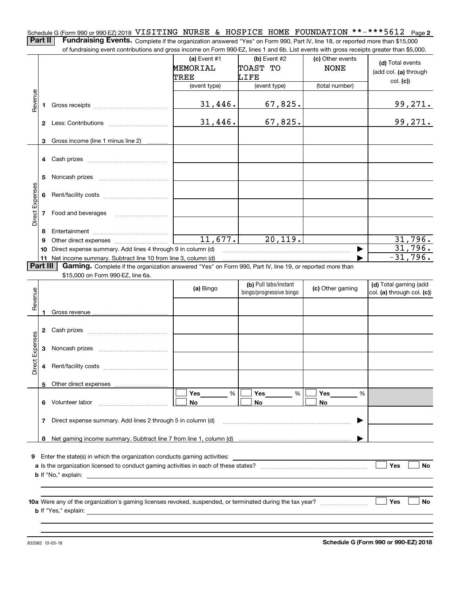Schedule G (Form 990 or 990-EZ) 2018 <code>VISITING NURSE & HOSPICE HOME FOUNDATION \*\*-\*\*\*5612 Page 2</code>

**Part II** | Fundraising Events. Complete if the organization answered "Yes" on Form 990, Part IV, line 18, or reported more than \$15,000 of fundraising event contributions and gross income on Form 990-EZ, lines 1 and 6b. List events with gross receipts greater than \$5,000.

|                 |                | of fundraising event contributions and gross income on Form 990-EZ, lines T and 6D. List events with gross receipts greater than \$5,000. |                 |                         |                  |                                |
|-----------------|----------------|-------------------------------------------------------------------------------------------------------------------------------------------|-----------------|-------------------------|------------------|--------------------------------|
|                 |                |                                                                                                                                           | (a) Event $#1$  | $(b)$ Event #2          | (c) Other events | (d) Total events               |
|                 |                |                                                                                                                                           | <b>MEMORIAL</b> | TOAST TO                | <b>NONE</b>      |                                |
|                 |                |                                                                                                                                           | TREE            | LIFE                    |                  | (add col. (a) through          |
|                 |                |                                                                                                                                           | (event type)    | (event type)            | (total number)   | col. (c)                       |
|                 |                |                                                                                                                                           |                 |                         |                  |                                |
| Revenue         |                |                                                                                                                                           | 31,446.         | 67,825.                 |                  | 99,271.                        |
|                 |                |                                                                                                                                           |                 |                         |                  |                                |
|                 |                |                                                                                                                                           | 31,446.         | 67,825.                 |                  | 99,271.                        |
|                 |                |                                                                                                                                           |                 |                         |                  |                                |
|                 |                |                                                                                                                                           |                 |                         |                  |                                |
|                 | 3              | Gross income (line 1 minus line 2)                                                                                                        |                 |                         |                  |                                |
|                 |                |                                                                                                                                           |                 |                         |                  |                                |
|                 |                |                                                                                                                                           |                 |                         |                  |                                |
|                 |                |                                                                                                                                           |                 |                         |                  |                                |
|                 | 5              |                                                                                                                                           |                 |                         |                  |                                |
| Direct Expenses |                |                                                                                                                                           |                 |                         |                  |                                |
|                 | 6              |                                                                                                                                           |                 |                         |                  |                                |
|                 |                |                                                                                                                                           |                 |                         |                  |                                |
|                 | $\overline{7}$ | Food and beverages                                                                                                                        |                 |                         |                  |                                |
|                 |                |                                                                                                                                           |                 |                         |                  |                                |
|                 | 8              |                                                                                                                                           |                 |                         |                  |                                |
|                 | 9              |                                                                                                                                           | 11,677.         | 20, 119.                |                  | 31,796.                        |
|                 |                | 10 Direct expense summary. Add lines 4 through 9 in column (d)                                                                            |                 |                         | ▶                | 31,796.                        |
|                 |                |                                                                                                                                           |                 |                         |                  | $-31,796.$                     |
| <b>Part III</b> |                | Gaming. Complete if the organization answered "Yes" on Form 990, Part IV, line 19, or reported more than                                  |                 |                         |                  |                                |
|                 |                | \$15,000 on Form 990-EZ, line 6a.                                                                                                         |                 |                         |                  |                                |
|                 |                |                                                                                                                                           | (a) Bingo       | (b) Pull tabs/instant   | (c) Other gaming | (d) Total gaming (add          |
| Revenue         |                |                                                                                                                                           |                 | bingo/progressive bingo |                  | $ col. (a)$ through col. $(c)$ |
|                 |                |                                                                                                                                           |                 |                         |                  |                                |
|                 | 1.             |                                                                                                                                           |                 |                         |                  |                                |
|                 |                |                                                                                                                                           |                 |                         |                  |                                |
|                 |                |                                                                                                                                           |                 |                         |                  |                                |
|                 |                |                                                                                                                                           |                 |                         |                  |                                |
| Direct Expenses | 3              |                                                                                                                                           |                 |                         |                  |                                |
|                 |                |                                                                                                                                           |                 |                         |                  |                                |
|                 | 4              |                                                                                                                                           |                 |                         |                  |                                |
|                 |                |                                                                                                                                           |                 |                         |                  |                                |
|                 | 5              | Other direct expenses                                                                                                                     |                 |                         |                  |                                |
|                 |                |                                                                                                                                           | %<br>Yes        | Yes<br>%                | Yes<br>%         |                                |
|                 |                | 6 Volunteer labor                                                                                                                         | No              | No                      | No               |                                |
|                 |                |                                                                                                                                           |                 |                         |                  |                                |
|                 | 7              | Direct expense summary. Add lines 2 through 5 in column (d)                                                                               |                 |                         |                  |                                |
|                 |                |                                                                                                                                           |                 |                         |                  |                                |
|                 |                |                                                                                                                                           |                 |                         |                  |                                |
|                 | 8              |                                                                                                                                           |                 |                         |                  |                                |
|                 |                |                                                                                                                                           |                 |                         |                  |                                |
|                 |                |                                                                                                                                           |                 |                         |                  |                                |
|                 |                | 9 Enter the state(s) in which the organization conducts gaming activities:                                                                |                 |                         |                  |                                |
|                 |                |                                                                                                                                           |                 |                         |                  | Yes<br>No                      |
|                 |                | <b>b</b> If "No," explain:                                                                                                                |                 |                         |                  |                                |
|                 |                |                                                                                                                                           |                 |                         |                  |                                |
|                 |                |                                                                                                                                           |                 |                         |                  |                                |
|                 |                |                                                                                                                                           |                 |                         |                  | Yes<br>No                      |
|                 |                |                                                                                                                                           |                 |                         |                  |                                |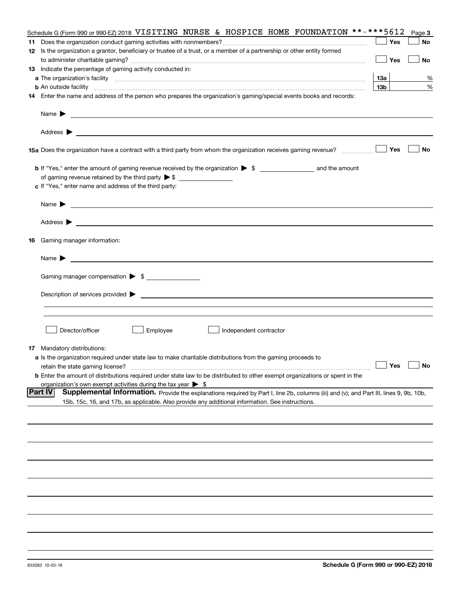|    | Schedule G (Form 990 or 990-EZ) 2018 VISITING NURSE & HOSPICE HOME FOUNDATION **-***5612                                                                                                                                                                              |                 | Page 3    |
|----|-----------------------------------------------------------------------------------------------------------------------------------------------------------------------------------------------------------------------------------------------------------------------|-----------------|-----------|
|    |                                                                                                                                                                                                                                                                       | Yes             | No        |
|    | 12 Is the organization a grantor, beneficiary or trustee of a trust, or a member of a partnership or other entity formed                                                                                                                                              |                 |           |
|    |                                                                                                                                                                                                                                                                       | Yes             | No        |
|    | 13 Indicate the percentage of gaming activity conducted in:                                                                                                                                                                                                           |                 |           |
|    |                                                                                                                                                                                                                                                                       | 13а             | %         |
|    | <b>b</b> An outside facility <i>www.communicality communicality communicality communicality communicality communicality communicality communicality communically communically communically communically communically communically com</i>                             | 13 <sub>b</sub> | %         |
|    | 14 Enter the name and address of the person who prepares the organization's gaming/special events books and records:                                                                                                                                                  |                 |           |
|    | Name $\blacktriangleright$<br>and the control of the control of the control of the control of the control of the control of the control of the                                                                                                                        |                 |           |
|    | <u> 1989 - Andrea Stadt Britain, amerikansk politik (d. 1989)</u><br>Address $\blacktriangleright$                                                                                                                                                                    |                 |           |
|    | 15a Does the organization have a contract with a third party from whom the organization receives gaming revenue?                                                                                                                                                      | Yes             | No        |
|    | <b>b</b> If "Yes," enter the amount of gaming revenue received by the organization $\triangleright$ \$ ___________________ and the amount                                                                                                                             |                 |           |
|    | of gaming revenue retained by the third party $\triangleright$ \$                                                                                                                                                                                                     |                 |           |
|    | c If "Yes," enter name and address of the third party:                                                                                                                                                                                                                |                 |           |
|    | Name $\blacktriangleright$                                                                                                                                                                                                                                            |                 |           |
|    | Address $\blacktriangleright$<br><u>state and the state of the state of the state of the state of the state of the state of the state of the state of the state of the state of the state of the state of the state of the state of the state of the state of the</u> |                 |           |
| 16 | Gaming manager information:                                                                                                                                                                                                                                           |                 |           |
|    | Name $\blacktriangleright$                                                                                                                                                                                                                                            |                 |           |
|    | Gaming manager compensation > \$                                                                                                                                                                                                                                      |                 |           |
|    |                                                                                                                                                                                                                                                                       |                 |           |
|    | $Description of services provided$ $\triangleright$                                                                                                                                                                                                                   |                 |           |
|    |                                                                                                                                                                                                                                                                       |                 |           |
|    |                                                                                                                                                                                                                                                                       |                 |           |
|    |                                                                                                                                                                                                                                                                       |                 |           |
|    | Director/officer<br>Employee<br>Independent contractor                                                                                                                                                                                                                |                 |           |
|    | <b>17</b> Mandatory distributions:                                                                                                                                                                                                                                    |                 |           |
|    | a Is the organization required under state law to make charitable distributions from the gaming proceeds to                                                                                                                                                           |                 |           |
|    | retain the state gaming license?                                                                                                                                                                                                                                      | Yes             | <b>No</b> |
|    | <b>b</b> Enter the amount of distributions required under state law to be distributed to other exempt organizations or spent in the                                                                                                                                   |                 |           |
|    | organization's own exempt activities during the tax year $\triangleright$ \$                                                                                                                                                                                          |                 |           |
|    | <b>Part IV</b><br>Supplemental Information. Provide the explanations required by Part I, line 2b, columns (iii) and (v); and Part III, lines 9, 9b, 10b,                                                                                                              |                 |           |
|    | 15b, 15c, 16, and 17b, as applicable. Also provide any additional information. See instructions.                                                                                                                                                                      |                 |           |
|    |                                                                                                                                                                                                                                                                       |                 |           |
|    |                                                                                                                                                                                                                                                                       |                 |           |
|    |                                                                                                                                                                                                                                                                       |                 |           |
|    |                                                                                                                                                                                                                                                                       |                 |           |
|    |                                                                                                                                                                                                                                                                       |                 |           |
|    |                                                                                                                                                                                                                                                                       |                 |           |
|    |                                                                                                                                                                                                                                                                       |                 |           |
|    |                                                                                                                                                                                                                                                                       |                 |           |
|    |                                                                                                                                                                                                                                                                       |                 |           |
|    |                                                                                                                                                                                                                                                                       |                 |           |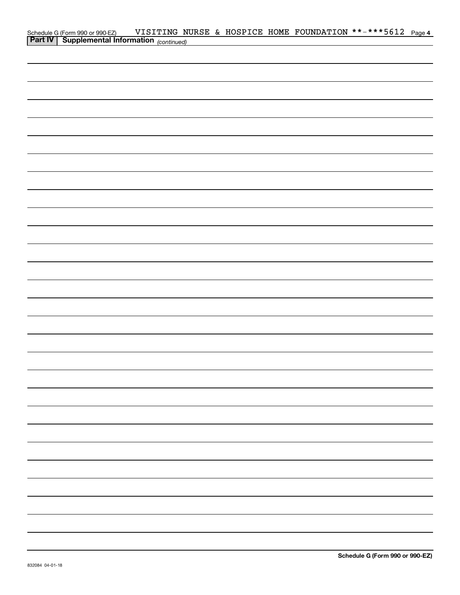| Schedule G (Form 990 or 990-EZ) VISITING NURSE & HOSPICE HOME FOUNDATION **-***5612 Page 4<br><b>Part IV</b> Supplemental Information <sub>(continued)</sub> |  |  |  |  |
|--------------------------------------------------------------------------------------------------------------------------------------------------------------|--|--|--|--|
|                                                                                                                                                              |  |  |  |  |
|                                                                                                                                                              |  |  |  |  |
|                                                                                                                                                              |  |  |  |  |
|                                                                                                                                                              |  |  |  |  |
|                                                                                                                                                              |  |  |  |  |
|                                                                                                                                                              |  |  |  |  |
|                                                                                                                                                              |  |  |  |  |
|                                                                                                                                                              |  |  |  |  |
|                                                                                                                                                              |  |  |  |  |
|                                                                                                                                                              |  |  |  |  |
|                                                                                                                                                              |  |  |  |  |
|                                                                                                                                                              |  |  |  |  |
|                                                                                                                                                              |  |  |  |  |
|                                                                                                                                                              |  |  |  |  |
|                                                                                                                                                              |  |  |  |  |
|                                                                                                                                                              |  |  |  |  |
|                                                                                                                                                              |  |  |  |  |
|                                                                                                                                                              |  |  |  |  |
|                                                                                                                                                              |  |  |  |  |
|                                                                                                                                                              |  |  |  |  |
|                                                                                                                                                              |  |  |  |  |
|                                                                                                                                                              |  |  |  |  |
|                                                                                                                                                              |  |  |  |  |
|                                                                                                                                                              |  |  |  |  |
|                                                                                                                                                              |  |  |  |  |
|                                                                                                                                                              |  |  |  |  |
|                                                                                                                                                              |  |  |  |  |
|                                                                                                                                                              |  |  |  |  |
|                                                                                                                                                              |  |  |  |  |
|                                                                                                                                                              |  |  |  |  |
|                                                                                                                                                              |  |  |  |  |
|                                                                                                                                                              |  |  |  |  |
|                                                                                                                                                              |  |  |  |  |
|                                                                                                                                                              |  |  |  |  |
|                                                                                                                                                              |  |  |  |  |
|                                                                                                                                                              |  |  |  |  |
|                                                                                                                                                              |  |  |  |  |
|                                                                                                                                                              |  |  |  |  |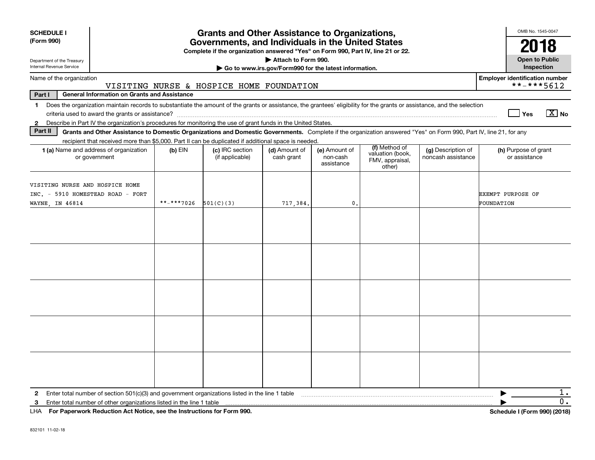| <b>SCHEDULE I</b><br>(Form 990)<br>Department of the Treasury<br>Internal Revenue Service                                                                                                                                                                                                                                |                                                     |            | <b>Grants and Other Assistance to Organizations,</b><br>Governments, and Individuals in the United States<br>Complete if the organization answered "Yes" on Form 990, Part IV, line 21 or 22. | Attach to Form 990.<br>Go to www.irs.gov/Form990 for the latest information. |                                         |                                                                |                                          | OMB No. 1545-0047<br>2018<br><b>Open to Public</b><br>Inspection |
|--------------------------------------------------------------------------------------------------------------------------------------------------------------------------------------------------------------------------------------------------------------------------------------------------------------------------|-----------------------------------------------------|------------|-----------------------------------------------------------------------------------------------------------------------------------------------------------------------------------------------|------------------------------------------------------------------------------|-----------------------------------------|----------------------------------------------------------------|------------------------------------------|------------------------------------------------------------------|
| Name of the organization                                                                                                                                                                                                                                                                                                 |                                                     |            |                                                                                                                                                                                               |                                                                              |                                         |                                                                |                                          | <b>Employer identification number</b>                            |
| Part I                                                                                                                                                                                                                                                                                                                   | <b>General Information on Grants and Assistance</b> |            | VISITING NURSE & HOSPICE HOME FOUNDATION                                                                                                                                                      |                                                                              |                                         |                                                                |                                          | **-***5612                                                       |
| Does the organization maintain records to substantiate the amount of the grants or assistance, the grantees' eligibility for the grants or assistance, and the selection<br>$\mathbf 1$<br>Describe in Part IV the organization's procedures for monitoring the use of grant funds in the United States.<br>$\mathbf{2}$ |                                                     |            |                                                                                                                                                                                               |                                                                              |                                         |                                                                |                                          | $X$ No<br>Yes                                                    |
| Part II                                                                                                                                                                                                                                                                                                                  |                                                     |            | Grants and Other Assistance to Domestic Organizations and Domestic Governments. Complete if the organization answered "Yes" on Form 990, Part IV, line 21, for any                            |                                                                              |                                         |                                                                |                                          |                                                                  |
| <b>1 (a)</b> Name and address of organization<br>or government                                                                                                                                                                                                                                                           |                                                     | $(b)$ EIN  | recipient that received more than \$5,000. Part II can be duplicated if additional space is needed.<br>(c) IRC section<br>(if applicable)                                                     | (d) Amount of<br>cash grant                                                  | (e) Amount of<br>non-cash<br>assistance | (f) Method of<br>valuation (book,<br>FMV, appraisal,<br>other) | (g) Description of<br>noncash assistance | (h) Purpose of grant<br>or assistance                            |
| VISITING NURSE AND HOSPICE HOME<br>INC. - 5910 HOMESTEAD ROAD - FORT<br>WAYNE, IN 46814                                                                                                                                                                                                                                  |                                                     | **_***7026 | 501(C)(3)                                                                                                                                                                                     | 717,384.                                                                     | 0.                                      |                                                                |                                          | <b>EXEMPT PURPOSE OF</b><br>FOUNDATION                           |
|                                                                                                                                                                                                                                                                                                                          |                                                     |            |                                                                                                                                                                                               |                                                                              |                                         |                                                                |                                          |                                                                  |
|                                                                                                                                                                                                                                                                                                                          |                                                     |            |                                                                                                                                                                                               |                                                                              |                                         |                                                                |                                          |                                                                  |
|                                                                                                                                                                                                                                                                                                                          |                                                     |            |                                                                                                                                                                                               |                                                                              |                                         |                                                                |                                          |                                                                  |
|                                                                                                                                                                                                                                                                                                                          |                                                     |            |                                                                                                                                                                                               |                                                                              |                                         |                                                                |                                          |                                                                  |
|                                                                                                                                                                                                                                                                                                                          |                                                     |            |                                                                                                                                                                                               |                                                                              |                                         |                                                                |                                          |                                                                  |
| Enter total number of section 501(c)(3) and government organizations listed in the line 1 table<br>$\mathbf{2}$                                                                                                                                                                                                          |                                                     |            |                                                                                                                                                                                               |                                                                              |                                         |                                                                |                                          | 1.                                                               |
| Enter total number of other organizations listed in the line 1 table<br>3<br>LHA For Paperwork Reduction Act Notice, see the Instructions for Form 990.                                                                                                                                                                  |                                                     |            |                                                                                                                                                                                               |                                                                              |                                         |                                                                |                                          | 0.<br>Schedule I (Form 990) (2018)                               |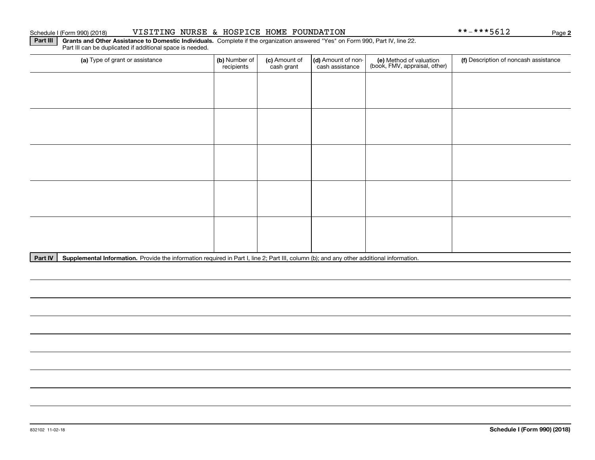#### **Schedule I (Form 990) (2018)**

| Schedule I (Form 990) (2018) | NURSE<br>VISITING | HOSPICE<br>HOME<br>oc. | FOUNDATION | $    -$<br>.<br>$***-$<br>⊿⊥סכי<br>$\mathbf{r}$ | Paqe |  |
|------------------------------|-------------------|------------------------|------------|-------------------------------------------------|------|--|
|------------------------------|-------------------|------------------------|------------|-------------------------------------------------|------|--|

**Part III | Grants and Other Assistance to Domestic Individuals. Complete if the organization answered "Yes" on Form 990, Part IV, line 22.** Part III can be duplicated if additional space is needed.

| (a) Type of grant or assistance | (b) Number of<br>recipients | (c) Amount of<br>cash grant | (d) Amount of non-<br>cash assistance | (e) Method of valuation<br>(book, FMV, appraisal, other) | (f) Description of noncash assistance |
|---------------------------------|-----------------------------|-----------------------------|---------------------------------------|----------------------------------------------------------|---------------------------------------|
|                                 |                             |                             |                                       |                                                          |                                       |
|                                 |                             |                             |                                       |                                                          |                                       |
|                                 |                             |                             |                                       |                                                          |                                       |
|                                 |                             |                             |                                       |                                                          |                                       |
|                                 |                             |                             |                                       |                                                          |                                       |
|                                 |                             |                             |                                       |                                                          |                                       |
|                                 |                             |                             |                                       |                                                          |                                       |
|                                 |                             |                             |                                       |                                                          |                                       |
|                                 |                             |                             |                                       |                                                          |                                       |
|                                 |                             |                             |                                       |                                                          |                                       |

Part IV | Supplemental Information. Provide the information required in Part I, line 2; Part III, column (b); and any other additional information.

 $***-***5612$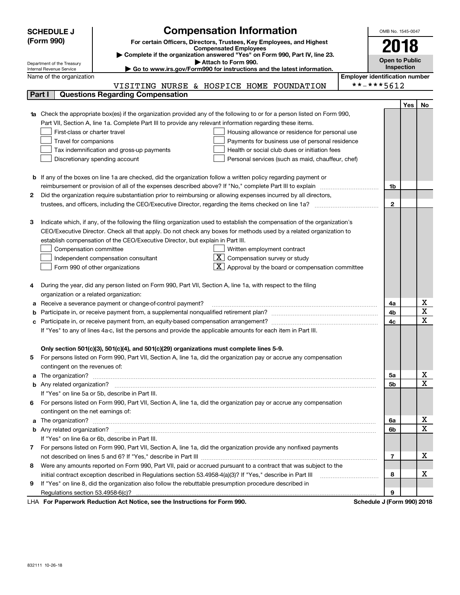|    | <b>SCHEDULE J</b>                       | <b>Compensation Information</b>                                                                                                                                                                                                    | OMB No. 1545-0047                     |            |              |  |
|----|-----------------------------------------|------------------------------------------------------------------------------------------------------------------------------------------------------------------------------------------------------------------------------------|---------------------------------------|------------|--------------|--|
|    | (Form 990)                              | For certain Officers, Directors, Trustees, Key Employees, and Highest                                                                                                                                                              |                                       | 2018       |              |  |
|    |                                         | <b>Compensated Employees</b>                                                                                                                                                                                                       |                                       |            |              |  |
|    | Department of the Treasury              | Complete if the organization answered "Yes" on Form 990, Part IV, line 23.<br>Attach to Form 990.                                                                                                                                  | <b>Open to Public</b>                 |            |              |  |
|    | Internal Revenue Service                | ► Go to www.irs.gov/Form990 for instructions and the latest information.                                                                                                                                                           |                                       | Inspection |              |  |
|    | Name of the organization                |                                                                                                                                                                                                                                    | <b>Employer identification number</b> |            |              |  |
|    |                                         | VISITING NURSE & HOSPICE HOME FOUNDATION                                                                                                                                                                                           | **-***5612                            |            |              |  |
|    | Part I                                  | <b>Questions Regarding Compensation</b>                                                                                                                                                                                            |                                       |            |              |  |
|    |                                         |                                                                                                                                                                                                                                    |                                       | Yes        | No           |  |
| 1a |                                         | Check the appropriate box(es) if the organization provided any of the following to or for a person listed on Form 990,                                                                                                             |                                       |            |              |  |
|    |                                         | Part VII, Section A, line 1a. Complete Part III to provide any relevant information regarding these items.                                                                                                                         |                                       |            |              |  |
|    | First-class or charter travel           | Housing allowance or residence for personal use                                                                                                                                                                                    |                                       |            |              |  |
|    | Travel for companions                   | Payments for business use of personal residence                                                                                                                                                                                    |                                       |            |              |  |
|    |                                         | Health or social club dues or initiation fees<br>Tax indemnification and gross-up payments                                                                                                                                         |                                       |            |              |  |
|    |                                         | Discretionary spending account<br>Personal services (such as maid, chauffeur, chef)                                                                                                                                                |                                       |            |              |  |
|    |                                         |                                                                                                                                                                                                                                    |                                       |            |              |  |
|    |                                         | <b>b</b> If any of the boxes on line 1a are checked, did the organization follow a written policy regarding payment or<br>reimbursement or provision of all of the expenses described above? If "No," complete Part III to explain | 1b                                    |            |              |  |
|    |                                         | Did the organization require substantiation prior to reimbursing or allowing expenses incurred by all directors,                                                                                                                   |                                       |            |              |  |
| 2  |                                         |                                                                                                                                                                                                                                    | $\mathbf{2}$                          |            |              |  |
|    |                                         |                                                                                                                                                                                                                                    |                                       |            |              |  |
| з  |                                         | Indicate which, if any, of the following the filing organization used to establish the compensation of the organization's                                                                                                          |                                       |            |              |  |
|    |                                         | CEO/Executive Director. Check all that apply. Do not check any boxes for methods used by a related organization to                                                                                                                 |                                       |            |              |  |
|    |                                         | establish compensation of the CEO/Executive Director, but explain in Part III.                                                                                                                                                     |                                       |            |              |  |
|    | Compensation committee                  | Written employment contract                                                                                                                                                                                                        |                                       |            |              |  |
|    |                                         | $\lfloor \underline{X} \rfloor$ Compensation survey or study<br>Independent compensation consultant                                                                                                                                |                                       |            |              |  |
|    |                                         | $\lfloor x \rfloor$ Approval by the board or compensation committee<br>Form 990 of other organizations                                                                                                                             |                                       |            |              |  |
|    |                                         |                                                                                                                                                                                                                                    |                                       |            |              |  |
| 4  |                                         | During the year, did any person listed on Form 990, Part VII, Section A, line 1a, with respect to the filing                                                                                                                       |                                       |            |              |  |
|    | organization or a related organization: |                                                                                                                                                                                                                                    |                                       |            |              |  |
| а  |                                         | Receive a severance payment or change-of-control payment?                                                                                                                                                                          | 4a                                    |            | х            |  |
| b  |                                         |                                                                                                                                                                                                                                    | 4b                                    |            | X            |  |
|    |                                         |                                                                                                                                                                                                                                    | 4c                                    |            | $\mathbf x$  |  |
|    |                                         | If "Yes" to any of lines 4a-c, list the persons and provide the applicable amounts for each item in Part III.                                                                                                                      |                                       |            |              |  |
|    |                                         |                                                                                                                                                                                                                                    |                                       |            |              |  |
|    |                                         | Only section 501(c)(3), 501(c)(4), and 501(c)(29) organizations must complete lines 5-9.                                                                                                                                           |                                       |            |              |  |
|    |                                         | For persons listed on Form 990, Part VII, Section A, line 1a, did the organization pay or accrue any compensation                                                                                                                  |                                       |            |              |  |
|    | contingent on the revenues of:          |                                                                                                                                                                                                                                    |                                       |            |              |  |
| a  |                                         |                                                                                                                                                                                                                                    | 5а                                    |            | х            |  |
|    |                                         |                                                                                                                                                                                                                                    | 5b                                    |            | $\mathbf{x}$ |  |
|    |                                         | If "Yes" on line 5a or 5b, describe in Part III.                                                                                                                                                                                   |                                       |            |              |  |
| 6  |                                         | For persons listed on Form 990, Part VII, Section A, line 1a, did the organization pay or accrue any compensation                                                                                                                  |                                       |            |              |  |
|    | contingent on the net earnings of:      |                                                                                                                                                                                                                                    |                                       |            |              |  |
| a  |                                         |                                                                                                                                                                                                                                    | 6a                                    |            | х            |  |
|    |                                         |                                                                                                                                                                                                                                    | 6b                                    |            | $\mathbf X$  |  |
|    |                                         | If "Yes" on line 6a or 6b, describe in Part III.                                                                                                                                                                                   |                                       |            |              |  |
| 7  |                                         | For persons listed on Form 990, Part VII, Section A, line 1a, did the organization provide any nonfixed payments                                                                                                                   |                                       |            |              |  |
|    |                                         |                                                                                                                                                                                                                                    | $\overline{7}$                        |            | х            |  |
| 8  |                                         | Were any amounts reported on Form 990, Part VII, paid or accrued pursuant to a contract that was subject to the                                                                                                                    |                                       |            |              |  |
|    |                                         | initial contract exception described in Regulations section 53.4958-4(a)(3)? If "Yes," describe in Part III                                                                                                                        | 8                                     |            | х            |  |
| 9  |                                         | If "Yes" on line 8, did the organization also follow the rebuttable presumption procedure described in                                                                                                                             |                                       |            |              |  |
|    |                                         | Ast National and the Instructions for Form 000                                                                                                                                                                                     | 9<br>Calcella LIFerry 00010040        |            |              |  |

LHA For Paperwork Reduction Act Notice, see the Instructions for Form 990. Schedule J (Form 990) 2018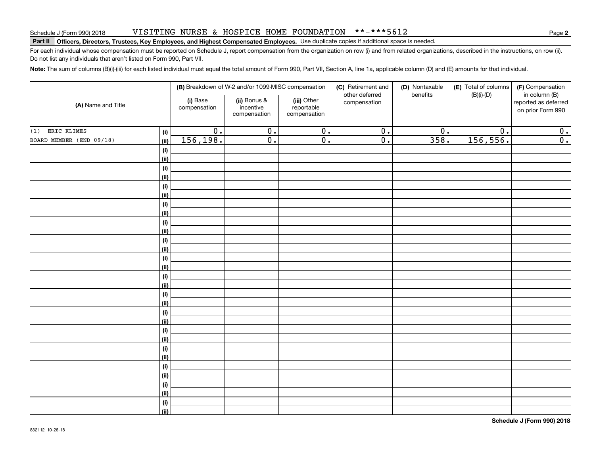#### VISITING NURSE & HOSPICE HOME FOUNDATION \*\*-\*\*\*5612

# **Part II Officers, Directors, Trustees, Key Employees, and Highest Compensated Employees.**  Schedule J (Form 990) 2018 Page Use duplicate copies if additional space is needed.

For each individual whose compensation must be reported on Schedule J, report compensation from the organization on row (i) and from related organizations, described in the instructions, on row (ii). Do not list any individuals that aren't listed on Form 990, Part VII.

**Note:**  The sum of columns (B)(i)-(iii) for each listed individual must equal the total amount of Form 990, Part VII, Section A, line 1a, applicable column (D) and (E) amounts for that individual.

|                                  |                          | (B) Breakdown of W-2 and/or 1099-MISC compensation |                                           | (C) Retirement and             | (D) Nontaxable   | (E) Total of columns | (F) Compensation                                           |
|----------------------------------|--------------------------|----------------------------------------------------|-------------------------------------------|--------------------------------|------------------|----------------------|------------------------------------------------------------|
| (A) Name and Title               | (i) Base<br>compensation | (ii) Bonus &<br>incentive<br>compensation          | (iii) Other<br>reportable<br>compensation | other deferred<br>compensation | benefits         | $(B)(i)$ - $(D)$     | in column (B)<br>reported as deferred<br>on prior Form 990 |
| ERIC KLIMES<br>(1)               | $\overline{0}$ .<br>(i)  | $\overline{0}$ .                                   | $\overline{0}$ .                          | $\overline{0}$ .               | $\overline{0}$ . | $\overline{0}$ .     | $\overline{0}$ .                                           |
| BOARD MEMBER (END 09/18)<br>(ii) | 156,198.                 | $\overline{0}$ .                                   | $\overline{0}$ .                          | $\overline{0}$ .               | 358.             | 156, 556.            | $\overline{0}$ .                                           |
|                                  | $(\sf{i})$               |                                                    |                                           |                                |                  |                      |                                                            |
|                                  | (ii)                     |                                                    |                                           |                                |                  |                      |                                                            |
|                                  | $(\sf{i})$               |                                                    |                                           |                                |                  |                      |                                                            |
|                                  | (ii)                     |                                                    |                                           |                                |                  |                      |                                                            |
|                                  | $(\sf{i})$               |                                                    |                                           |                                |                  |                      |                                                            |
|                                  | (ii)                     |                                                    |                                           |                                |                  |                      |                                                            |
|                                  | (i)                      |                                                    |                                           |                                |                  |                      |                                                            |
| (ii)                             |                          |                                                    |                                           |                                |                  |                      |                                                            |
|                                  | (i)                      |                                                    |                                           |                                |                  |                      |                                                            |
| (ii)                             |                          |                                                    |                                           |                                |                  |                      |                                                            |
|                                  | (i)                      |                                                    |                                           |                                |                  |                      |                                                            |
| (ii)                             |                          |                                                    |                                           |                                |                  |                      |                                                            |
|                                  | $(\sf{i})$               |                                                    |                                           |                                |                  |                      |                                                            |
| (ii)                             |                          |                                                    |                                           |                                |                  |                      |                                                            |
|                                  | $(\sf{i})$               |                                                    |                                           |                                |                  |                      |                                                            |
| (ii)                             |                          |                                                    |                                           |                                |                  |                      |                                                            |
|                                  | $(\sf{i})$               |                                                    |                                           |                                |                  |                      |                                                            |
| (ii)                             | (i)                      |                                                    |                                           |                                |                  |                      |                                                            |
| (ii)                             |                          |                                                    |                                           |                                |                  |                      |                                                            |
|                                  | (i)                      |                                                    |                                           |                                |                  |                      |                                                            |
| (ii)                             |                          |                                                    |                                           |                                |                  |                      |                                                            |
|                                  | (i)                      |                                                    |                                           |                                |                  |                      |                                                            |
| (ii)                             |                          |                                                    |                                           |                                |                  |                      |                                                            |
|                                  | (i)                      |                                                    |                                           |                                |                  |                      |                                                            |
| (ii)                             |                          |                                                    |                                           |                                |                  |                      |                                                            |
|                                  | (i)                      |                                                    |                                           |                                |                  |                      |                                                            |
| (ii)                             |                          |                                                    |                                           |                                |                  |                      |                                                            |
|                                  | $(\sf{i})$               |                                                    |                                           |                                |                  |                      |                                                            |
|                                  | (ii)                     |                                                    |                                           |                                |                  |                      |                                                            |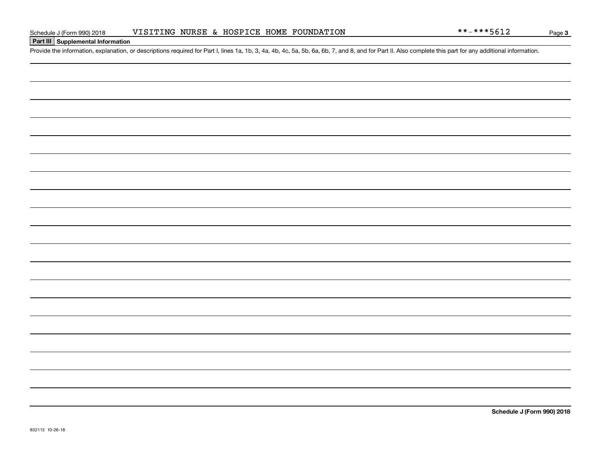### **Part III Supplemental Information**

Schedule J (Form 990) 2018 VISITING NURSE & HOSPICE HOME FOUNDATION  $***-**5612$ <br>Part III Supplemental Information<br>Provide the information, explanation, or descriptions required for Part I, lines 1a, 1b, 3, 4a, 4b, 4c, 5a, 5

**Schedule J (Form 990) 2018**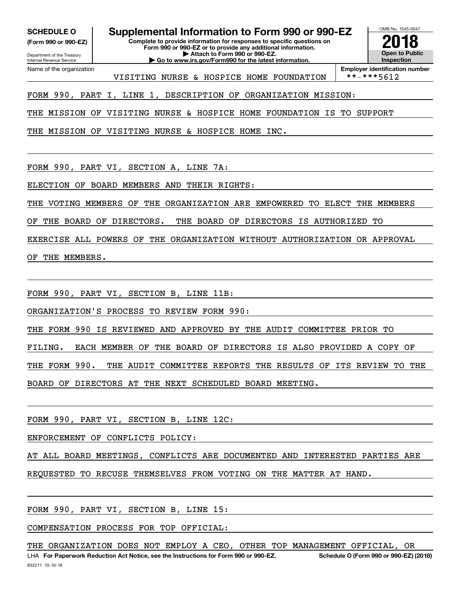Department of the Treasury **(Form 990 or 990-EZ)**

Name of the organization

Internal Revenue Service

**SCHEDULE O Supplemental Information to Form 990 or 990-EZ**

**Complete to provide information for responses to specific questions on Form 990 or 990-EZ or to provide any additional information. | Attach to Form 990 or 990-EZ. | Go to www.irs.gov/Form990 for the latest information.**



**Employer identification number**<br>\*\*-\*\*\*5612

VISITING NURSE & HOSPICE HOME FOUNDATION

FORM 990, PART I, LINE 1, DESCRIPTION OF ORGANIZATION MISSION:

THE MISSION OF VISITING NURSE & HOSPICE HOME FOUNDATION IS TO SUPPORT

THE MISSION OF VISITING NURSE & HOSPICE HOME INC.

FORM 990, PART VI, SECTION A, LINE 7A:

ELECTION OF BOARD MEMBERS AND THEIR RIGHTS:

THE VOTING MEMBERS OF THE ORGANIZATION ARE EMPOWERED TO ELECT THE MEMBERS

OF THE BOARD OF DIRECTORS. THE BOARD OF DIRECTORS IS AUTHORIZED TO

EXERCISE ALL POWERS OF THE ORGANIZATION WITHOUT AUTHORIZATION OR APPROVAL

OF THE MEMBERS.

FORM 990, PART VI, SECTION B, LINE 11B:

ORGANIZATION'S PROCESS TO REVIEW FORM 990:

THE FORM 990 IS REVIEWED AND APPROVED BY THE AUDIT COMMITTEE PRIOR TO

FILING. EACH MEMBER OF THE BOARD OF DIRECTORS IS ALSO PROVIDED A COPY OF

THE FORM 990. THE AUDIT COMMITTEE REPORTS THE RESULTS OF ITS REVIEW TO THE

BOARD OF DIRECTORS AT THE NEXT SCHEDULED BOARD MEETING.

FORM 990, PART VI, SECTION B, LINE 12C:

ENFORCEMENT OF CONFLICTS POLICY:

AT ALL BOARD MEETINGS, CONFLICTS ARE DOCUMENTED AND INTERESTED PARTIES ARE

REQUESTED TO RECUSE THEMSELVES FROM VOTING ON THE MATTER AT HAND.

FORM 990, PART VI, SECTION B, LINE 15:

COMPENSATION PROCESS FOR TOP OFFICIAL:

THE ORGANIZATION DOES NOT EMPLOY A CEO, OTHER TOP MANAGEMENT OFFICIAL, OR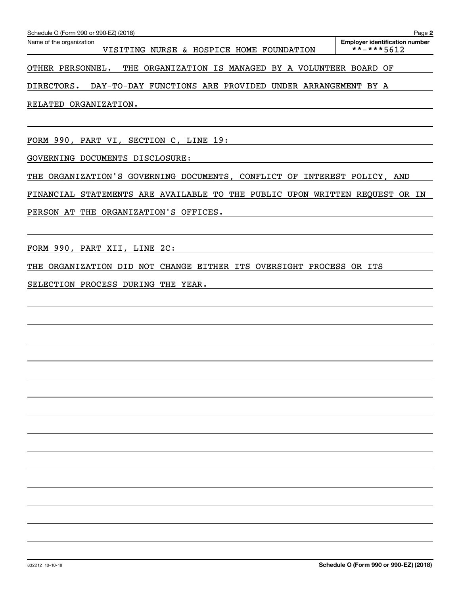| Name of the organization<br>VISITING NURSE & HOSPICE HOME FOUNDATION    | <b>Employer identification number</b><br>**-***5612 |
|-------------------------------------------------------------------------|-----------------------------------------------------|
| OTHER PERSONNEL.<br>THE ORGANIZATION IS MANAGED BY A VOLUNTEER BOARD OF |                                                     |
| DIRECTORS.<br>DAY-TO-DAY FUNCTIONS ARE PROVIDED UNDER ARRANGEMENT BY A  |                                                     |
| RELATED ORGANIZATION.                                                   |                                                     |
|                                                                         |                                                     |
| FORM 990, PART VI, SECTION C, LINE 19:                                  |                                                     |

GOVERNING DOCUMENTS DISCLOSURE:

THE ORGANIZATION'S GOVERNING DOCUMENTS, CONFLICT OF INTEREST POLICY, AND

FINANCIAL STATEMENTS ARE AVAILABLE TO THE PUBLIC UPON WRITTEN REQUEST OR IN

PERSON AT THE ORGANIZATION'S OFFICES.

FORM 990, PART XII, LINE 2C:

THE ORGANIZATION DID NOT CHANGE EITHER ITS OVERSIGHT PROCESS OR ITS

SELECTION PROCESS DURING THE YEAR.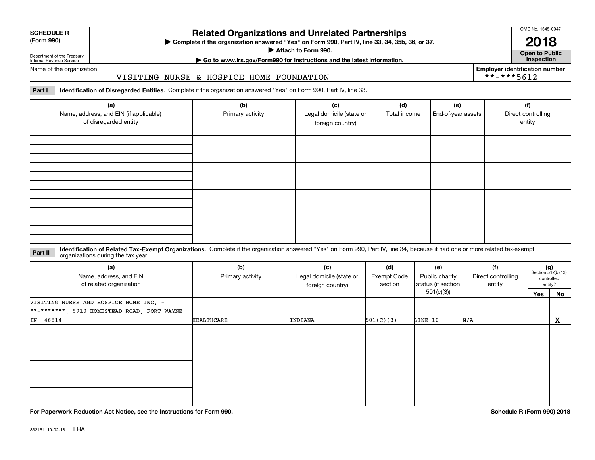| <b>SCHEDULE R</b> |    |  |
|-------------------|----|--|
|                   | AA |  |

**(Form 990)**

### **Related Organizations and Unrelated Partnerships**

**Complete if the organization answered "Yes" on Form 990, Part IV, line 33, 34, 35b, 36, or 37.** |

**Attach to Form 990.**  |

OMB No. 1545-0047

**Open to Public 2018**

**Employer identification number**

 $***-***5612$ 

Department of the Treasury Internal Revenue Service

## **| Go to www.irs.gov/Form990 for instructions and the latest information. Inspection**

Name of the organization

#### VISITING NURSE & HOSPICE HOME FOUNDATION

**Part I Identification of Disregarded Entities.**  Complete if the organization answered "Yes" on Form 990, Part IV, line 33.

| (a)<br>Name, address, and EIN (if applicable)<br>of disregarded entity | (b)<br>Primary activity | (c)<br>Legal domicile (state or<br>foreign country) | (d)<br>Total income | (e)<br>End-of-year assets | (f)<br>Direct controlling<br>entity |
|------------------------------------------------------------------------|-------------------------|-----------------------------------------------------|---------------------|---------------------------|-------------------------------------|
|                                                                        |                         |                                                     |                     |                           |                                     |
|                                                                        |                         |                                                     |                     |                           |                                     |
|                                                                        |                         |                                                     |                     |                           |                                     |
|                                                                        |                         |                                                     |                     |                           |                                     |

#### **Identification of Related Tax-Exempt Organizations.** Complete if the organization answered "Yes" on Form 990, Part IV, line 34, because it had one or more related tax-exempt **Part II** organizations during the tax year.

| (a)<br>Name, address, and EIN<br>of related organization | (b)<br>Primary activity | (c)<br>Legal domicile (state or<br>foreign country) | (d)<br>Exempt Code<br>section | (e)<br>Public charity<br>status (if section | (f)<br>Direct controlling<br>entity | $(g)$<br>Section 512(b)(13) | controlled<br>entity? |
|----------------------------------------------------------|-------------------------|-----------------------------------------------------|-------------------------------|---------------------------------------------|-------------------------------------|-----------------------------|-----------------------|
|                                                          |                         |                                                     |                               | 501(c)(3))                                  |                                     | Yes                         | No                    |
| VISITING NURSE AND HOSPICE HOME INC. -                   |                         |                                                     |                               |                                             |                                     |                             |                       |
| **-*******, 5910 HOMESTEAD ROAD, FORT WAYNE,             |                         |                                                     |                               |                                             |                                     |                             |                       |
| IN 46814                                                 | <b>HEALTHCARE</b>       | INDIANA                                             | 501(C)(3)                     | LINE 10                                     | N/A                                 |                             | x                     |
|                                                          |                         |                                                     |                               |                                             |                                     |                             |                       |
|                                                          |                         |                                                     |                               |                                             |                                     |                             |                       |
|                                                          |                         |                                                     |                               |                                             |                                     |                             |                       |

**For Paperwork Reduction Act Notice, see the Instructions for Form 990. Schedule R (Form 990) 2018**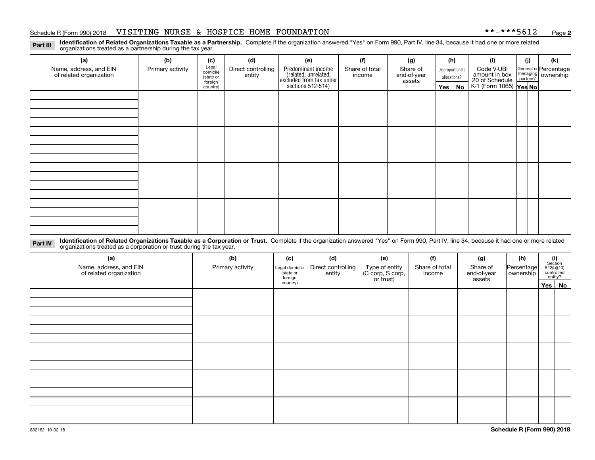#### Schedule R (Form 990) 2018 VISITING NURSE & HOSPICE HOME FOUNDATION \* \*-\* \* \* 5 6 1 2 <sub>Page</sub>

**2**

**Identification of Related Organizations Taxable as a Partnership.** Complete if the organization answered "Yes" on Form 990, Part IV, line 34, because it had one or more related **Part III** organizations treated as a partnership during the tax year.

| (a)                     | (b)              | (c)                  | (d)                | (e)                                                                 | (f)            | (g)                   | (h)              | (i)                                               | (j) | (k)                   |
|-------------------------|------------------|----------------------|--------------------|---------------------------------------------------------------------|----------------|-----------------------|------------------|---------------------------------------------------|-----|-----------------------|
| Name, address, and EIN  | Primary activity | Legal<br>domicile    | Direct controlling | Predominant income                                                  | Share of total | Share of              | Disproportionate | Code V-UBI                                        |     | General or Percentage |
| of related organization |                  | (state or<br>foreign | entity             | related, unrelated,<br>excluded from tax under<br>sections 512-514) | income         | end-of-year<br>assets | allocations?     | amount in box                                     |     | managing ownership    |
|                         |                  | country)             |                    |                                                                     |                |                       | Yes   No         | 20 of Schedule Partner?<br>K-1 (Form 1065) Yes No |     |                       |
|                         |                  |                      |                    |                                                                     |                |                       |                  |                                                   |     |                       |
|                         |                  |                      |                    |                                                                     |                |                       |                  |                                                   |     |                       |
|                         |                  |                      |                    |                                                                     |                |                       |                  |                                                   |     |                       |
|                         |                  |                      |                    |                                                                     |                |                       |                  |                                                   |     |                       |
|                         |                  |                      |                    |                                                                     |                |                       |                  |                                                   |     |                       |
|                         |                  |                      |                    |                                                                     |                |                       |                  |                                                   |     |                       |
|                         |                  |                      |                    |                                                                     |                |                       |                  |                                                   |     |                       |
|                         |                  |                      |                    |                                                                     |                |                       |                  |                                                   |     |                       |
|                         |                  |                      |                    |                                                                     |                |                       |                  |                                                   |     |                       |
|                         |                  |                      |                    |                                                                     |                |                       |                  |                                                   |     |                       |
|                         |                  |                      |                    |                                                                     |                |                       |                  |                                                   |     |                       |
|                         |                  |                      |                    |                                                                     |                |                       |                  |                                                   |     |                       |
|                         |                  |                      |                    |                                                                     |                |                       |                  |                                                   |     |                       |
|                         |                  |                      |                    |                                                                     |                |                       |                  |                                                   |     |                       |
|                         |                  |                      |                    |                                                                     |                |                       |                  |                                                   |     |                       |
|                         |                  |                      |                    |                                                                     |                |                       |                  |                                                   |     |                       |
|                         |                  |                      |                    |                                                                     |                |                       |                  |                                                   |     |                       |

**Identification of Related Organizations Taxable as a Corporation or Trust.** Complete if the organization answered "Yes" on Form 990, Part IV, line 34, because it had one or more related **Part IV** organizations treated as a corporation or trust during the tax year.

| (a)<br>Name, address, and EIN<br>of related organization | (b)<br>Primary activity | (c)<br>Legal domicile<br>(state or<br>foreign | (d)<br>Direct controlling<br>entity | (e)<br>Type of entity<br>(C corp, S corp,<br>or trust) | (f)<br>Share of total<br>income | (g)<br>Share of<br>end-of-year<br>assets | (h)<br>Percentage<br>ownership | $\begin{array}{c} \textbf{(i)}\\ \text{Section}\\ 512 \text{(b)} \text{(13)}\\ \text{controlled}\\ \text{entity?} \end{array}$ |
|----------------------------------------------------------|-------------------------|-----------------------------------------------|-------------------------------------|--------------------------------------------------------|---------------------------------|------------------------------------------|--------------------------------|--------------------------------------------------------------------------------------------------------------------------------|
|                                                          |                         | country)                                      |                                     |                                                        |                                 |                                          |                                | Yes No                                                                                                                         |
|                                                          |                         |                                               |                                     |                                                        |                                 |                                          |                                |                                                                                                                                |
|                                                          |                         |                                               |                                     |                                                        |                                 |                                          |                                |                                                                                                                                |
|                                                          |                         |                                               |                                     |                                                        |                                 |                                          |                                |                                                                                                                                |
|                                                          |                         |                                               |                                     |                                                        |                                 |                                          |                                |                                                                                                                                |
|                                                          |                         |                                               |                                     |                                                        |                                 |                                          |                                |                                                                                                                                |
|                                                          |                         |                                               |                                     |                                                        |                                 |                                          |                                |                                                                                                                                |
|                                                          |                         |                                               |                                     |                                                        |                                 |                                          |                                |                                                                                                                                |
|                                                          |                         |                                               |                                     |                                                        |                                 |                                          |                                |                                                                                                                                |
|                                                          |                         |                                               |                                     |                                                        |                                 |                                          |                                |                                                                                                                                |
|                                                          |                         |                                               |                                     |                                                        |                                 |                                          |                                |                                                                                                                                |
|                                                          |                         |                                               |                                     |                                                        |                                 |                                          |                                |                                                                                                                                |
|                                                          |                         |                                               |                                     |                                                        |                                 |                                          |                                |                                                                                                                                |
|                                                          |                         |                                               |                                     |                                                        |                                 |                                          |                                |                                                                                                                                |
|                                                          |                         |                                               |                                     |                                                        |                                 |                                          |                                |                                                                                                                                |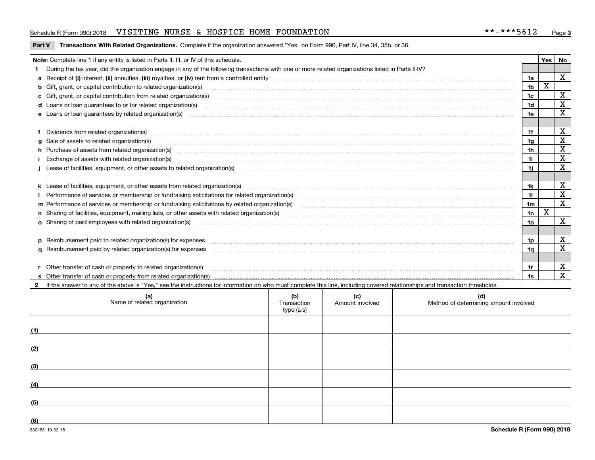#### Schedule R (Form 990) 2018 VISITING NURSE & HOSPICE HOME FOUNDATION \* \*-\* \* \* 5 6 1 2 <sub>Page</sub>

#### **Part V** T**ransactions With Related Organizations.** Complete if the organization answered "Yes" on Form 990, Part IV, line 34, 35b, or 36.

| Note: Complete line 1 if any entity is listed in Parts II, III, or IV of this schedule.                                                                                                                                        |     | Yes | No          |
|--------------------------------------------------------------------------------------------------------------------------------------------------------------------------------------------------------------------------------|-----|-----|-------------|
| During the tax year, did the organization engage in any of the following transactions with one or more related organizations listed in Parts II-IV?                                                                            |     |     |             |
|                                                                                                                                                                                                                                | 1a  |     | X           |
| b Gift, grant, or capital contribution to related organization(s) material contracts and contribution to related organization(s) material contribution to related organization(s) material contribution (s) and contribution ( | 1b  | х   |             |
| c Gift, grant, or capital contribution from related organization(s)                                                                                                                                                            | 1c  |     | X           |
|                                                                                                                                                                                                                                | 1d  |     | х           |
| e Loans or loan quarantees by related organization(s)                                                                                                                                                                          | 1e. |     | X           |
|                                                                                                                                                                                                                                |     |     |             |
| f Dividends from related organization(s) manufactured contains and contained a series of the contact of the contact of the contact of the contact of the contact of the contact of the contact of the contact of the contact o | 1f  |     | X           |
| g Sale of assets to related organization(s) www.assettion.com/www.assettion.com/www.assettion.com/www.assettion.com/www.assettion.com/www.assettion.com/www.assettion.com/www.assettion.com/www.assettion.com/www.assettion.co | 1g  |     | X           |
| h Purchase of assets from related organization(s) manufactured and content to the content of the content of the content of the content of the content of the content of the content of the content of the content of the conte | 1h  |     | X           |
| Exchange of assets with related organization(s) encontraction and contact and contact and contact and contact and contact and contact and contact and contact and contact and contact and contact and contact and contact and  | 1i  |     | X           |
| Lease of facilities, equipment, or other assets to related organization(s) The manuform manuform manuform manuform manuform manuform manuform manuform manuform manuform manuform manuform manuform manuform manuform manuform | 1i. |     | X           |
|                                                                                                                                                                                                                                |     |     |             |
|                                                                                                                                                                                                                                | 1k  |     | х           |
| Performance of services or membership or fundraising solicitations for related organization(s)                                                                                                                                 | 11  |     | X           |
| m Performance of services or membership or fundraising solicitations by related organization(s)                                                                                                                                | 1m  |     | $\mathbf X$ |
|                                                                                                                                                                                                                                | 1n  | X   |             |
| <b>o</b> Sharing of paid employees with related organization(s)                                                                                                                                                                | 1o  |     | X           |
|                                                                                                                                                                                                                                |     |     |             |
|                                                                                                                                                                                                                                | 1p. |     | х           |
|                                                                                                                                                                                                                                | 1a  |     | х           |
|                                                                                                                                                                                                                                |     |     |             |
| r Other transfer of cash or property to related organization(s)                                                                                                                                                                | 1r  |     | х           |
|                                                                                                                                                                                                                                | 1s  |     | X           |

**2**If the answer to any of the above is "Yes," see the instructions for information on who must complete this line, including covered relationships and transaction thresholds.

|     | (a)<br>Name of related organization | (b)<br>Transaction<br>type (a-s) | (c)<br>Amount involved | (d)<br>Method of determining amount involved |
|-----|-------------------------------------|----------------------------------|------------------------|----------------------------------------------|
| (1) |                                     |                                  |                        |                                              |
| (2) |                                     |                                  |                        |                                              |
| (3) |                                     |                                  |                        |                                              |
| (4) |                                     |                                  |                        |                                              |
| (5) |                                     |                                  |                        |                                              |
| (6) |                                     |                                  |                        |                                              |

 $\overline{\phantom{a}}$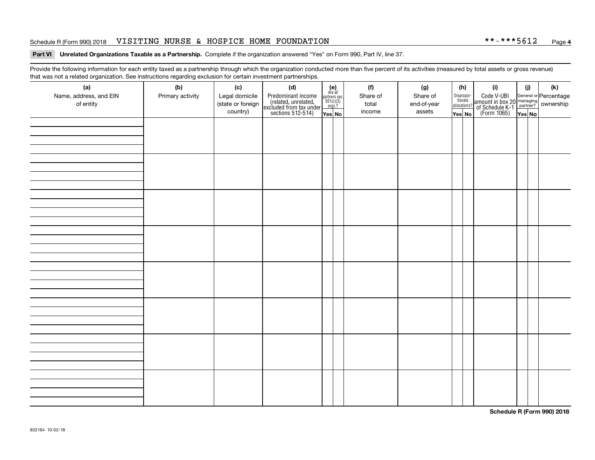#### Schedule R (Form 990) 2018 VISITING NURSE & HOSPICE HOME FOUNDATION \* \*-\* \* \* 5 6 1 2 <sub>Page</sub>

#### **Part VI Unrelated Organizations Taxable as a Partnership. Complete if the organization answered "Yes" on Form 990, Part IV, line 37.**

Provide the following information for each entity taxed as a partnership through which the organization conducted more than five percent of its activities (measured by total assets or gross revenue) that was not a related organization. See instructions regarding exclusion for certain investment partnerships.

| that was not a related eigenization. Occupations regarding exclusion for cortain investment partnerships.<br>(a)<br>Name, address, and EIN<br>of entity | (b)<br>Primary activity | (c)<br>Legal domicile<br>(state or foreign<br>country) | (d)<br>Predominant income<br>(related, unrelated,<br>excluded from tax under<br>sections 512-514) | (e)<br>Are all<br>$\begin{array}{c}\n\text{partners} & \text{sec.} \\ 501(c)(3) & \text{orgs.?} \\ \end{array}$<br>Yes No | (f)<br>Share of<br>total<br>income | (g)<br>Share of<br>end-of-year<br>assets | Yes No | (h)<br>$\fbox{\parbox{0.5cm}{\begin{tabular}{ l l } \hline Disproportion\\ tionate\\ all locations? \hline \end{tabular}}}$ | (i)<br>Code V-UBI<br>amount in box 20 managing<br>of Schedule K-1<br>(Form 1065)<br>The Nest No | (i) | (k) |
|---------------------------------------------------------------------------------------------------------------------------------------------------------|-------------------------|--------------------------------------------------------|---------------------------------------------------------------------------------------------------|---------------------------------------------------------------------------------------------------------------------------|------------------------------------|------------------------------------------|--------|-----------------------------------------------------------------------------------------------------------------------------|-------------------------------------------------------------------------------------------------|-----|-----|
|                                                                                                                                                         |                         |                                                        |                                                                                                   |                                                                                                                           |                                    |                                          |        |                                                                                                                             |                                                                                                 |     |     |
|                                                                                                                                                         |                         |                                                        |                                                                                                   |                                                                                                                           |                                    |                                          |        |                                                                                                                             |                                                                                                 |     |     |
|                                                                                                                                                         |                         |                                                        |                                                                                                   |                                                                                                                           |                                    |                                          |        |                                                                                                                             |                                                                                                 |     |     |
|                                                                                                                                                         |                         |                                                        |                                                                                                   |                                                                                                                           |                                    |                                          |        |                                                                                                                             |                                                                                                 |     |     |
|                                                                                                                                                         |                         |                                                        |                                                                                                   |                                                                                                                           |                                    |                                          |        |                                                                                                                             |                                                                                                 |     |     |
|                                                                                                                                                         |                         |                                                        |                                                                                                   |                                                                                                                           |                                    |                                          |        |                                                                                                                             |                                                                                                 |     |     |
|                                                                                                                                                         |                         |                                                        |                                                                                                   |                                                                                                                           |                                    |                                          |        |                                                                                                                             |                                                                                                 |     |     |
|                                                                                                                                                         |                         |                                                        |                                                                                                   |                                                                                                                           |                                    |                                          |        |                                                                                                                             |                                                                                                 |     |     |

**Schedule R (Form 990) 2018**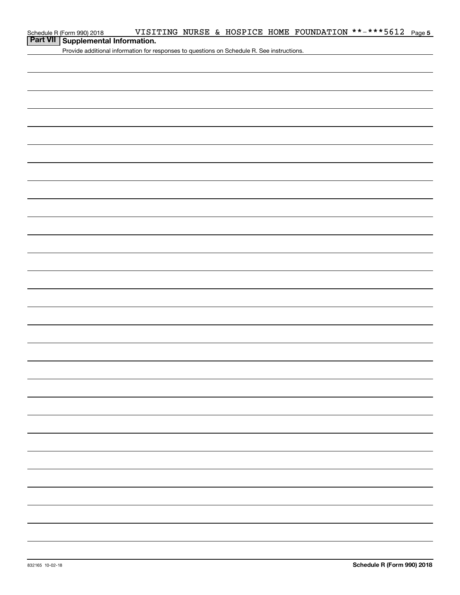| Schedule R (Form 990) 2018 |  |  | VISITING NURSE & HOSPICE HOME FOUNDATION **-***5612 $_{\text{Page}}$ |  |
|----------------------------|--|--|----------------------------------------------------------------------|--|
| $R = 1$ $M = 1$            |  |  |                                                                      |  |

### **Part VII Supplemental Information.**

Provide additional information for responses to questions on Schedule R. See instructions.

**5**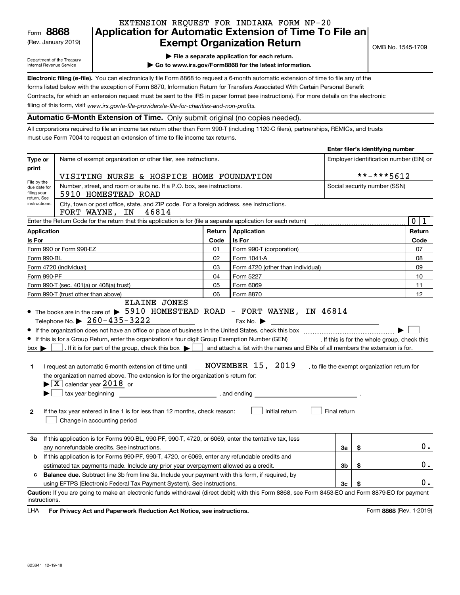(Rev. January 2019)

### **Application for Automatic Extension of Time To File an Exempt Organization Return** EXTENSION REQUEST FOR INDIANA FORM NP-20

Department of the Treasury Internal Revenue Service

**| File a separate application for each return.**

**| Go to www.irs.gov/Form8868 for the latest information.**

**Electronic filing (e-file).**  You can electronically file Form 8868 to request a 6-month automatic extension of time to file any of the filing of this form, visit www.irs.gov/e-file-providers/e-file-for-charities-and-non-profits. forms listed below with the exception of Form 8870, Information Return for Transfers Associated With Certain Personal Benefit Contracts, for which an extension request must be sent to the IRS in paper format (see instructions). For more details on the electronic

**Automatic 6-Month Extension of Time.** Only submit original (no copies needed).

All corporations required to file an income tax return other than Form 990-T (including 1120-C filers), partnerships, REMICs, and trusts must use Form 7004 to request an extension of time to file income tax returns.

|                                                                                                              |                                                                                                                                                                                                                                                                                                                                                                                                                                                                                                                                                                                                                                                                                                                                                                          |                                         |                                                                                                                                                                                                     |              | Enter filer's identifying number |                             |  |
|--------------------------------------------------------------------------------------------------------------|--------------------------------------------------------------------------------------------------------------------------------------------------------------------------------------------------------------------------------------------------------------------------------------------------------------------------------------------------------------------------------------------------------------------------------------------------------------------------------------------------------------------------------------------------------------------------------------------------------------------------------------------------------------------------------------------------------------------------------------------------------------------------|-----------------------------------------|-----------------------------------------------------------------------------------------------------------------------------------------------------------------------------------------------------|--------------|----------------------------------|-----------------------------|--|
| Type or<br>print                                                                                             | Name of exempt organization or other filer, see instructions.                                                                                                                                                                                                                                                                                                                                                                                                                                                                                                                                                                                                                                                                                                            | Employer identification number (EIN) or |                                                                                                                                                                                                     |              |                                  |                             |  |
|                                                                                                              | **-***5612<br>VISITING NURSE & HOSPICE HOME FOUNDATION                                                                                                                                                                                                                                                                                                                                                                                                                                                                                                                                                                                                                                                                                                                   |                                         |                                                                                                                                                                                                     |              |                                  |                             |  |
| File by the<br>due date for<br>filing your                                                                   | Number, street, and room or suite no. If a P.O. box, see instructions.<br>5910 HOMESTEAD ROAD                                                                                                                                                                                                                                                                                                                                                                                                                                                                                                                                                                                                                                                                            |                                         | Social security number (SSN)                                                                                                                                                                        |              |                                  |                             |  |
| return, See<br>instructions.                                                                                 | City, town or post office, state, and ZIP code. For a foreign address, see instructions.<br>46814<br>FORT WAYNE, IN                                                                                                                                                                                                                                                                                                                                                                                                                                                                                                                                                                                                                                                      |                                         |                                                                                                                                                                                                     |              |                                  |                             |  |
|                                                                                                              | Enter the Return Code for the return that this application is for (file a separate application for each return)                                                                                                                                                                                                                                                                                                                                                                                                                                                                                                                                                                                                                                                          |                                         |                                                                                                                                                                                                     |              |                                  | $\mathbf 0$<br>$\mathbf{1}$ |  |
| <b>Application</b>                                                                                           |                                                                                                                                                                                                                                                                                                                                                                                                                                                                                                                                                                                                                                                                                                                                                                          | Return                                  | Application                                                                                                                                                                                         |              |                                  | Return                      |  |
| Is For                                                                                                       |                                                                                                                                                                                                                                                                                                                                                                                                                                                                                                                                                                                                                                                                                                                                                                          | Code                                    | Is For                                                                                                                                                                                              |              |                                  | Code                        |  |
|                                                                                                              | Form 990 or Form 990-EZ                                                                                                                                                                                                                                                                                                                                                                                                                                                                                                                                                                                                                                                                                                                                                  | 01                                      | Form 990-T (corporation)                                                                                                                                                                            |              |                                  | 07                          |  |
| Form 990-BL                                                                                                  |                                                                                                                                                                                                                                                                                                                                                                                                                                                                                                                                                                                                                                                                                                                                                                          | 02                                      | Form 1041-A                                                                                                                                                                                         |              |                                  | 08                          |  |
|                                                                                                              | Form 4720 (individual)                                                                                                                                                                                                                                                                                                                                                                                                                                                                                                                                                                                                                                                                                                                                                   | 03                                      | Form 4720 (other than individual)                                                                                                                                                                   |              |                                  | 09                          |  |
| Form 990-PF                                                                                                  |                                                                                                                                                                                                                                                                                                                                                                                                                                                                                                                                                                                                                                                                                                                                                                          | 04                                      | Form 5227                                                                                                                                                                                           |              |                                  | 10                          |  |
|                                                                                                              | Form 990-T (sec. 401(a) or 408(a) trust)                                                                                                                                                                                                                                                                                                                                                                                                                                                                                                                                                                                                                                                                                                                                 | 05                                      | Form 6069                                                                                                                                                                                           |              |                                  | 11                          |  |
|                                                                                                              | Form 990-T (trust other than above)<br><b>ELAINE JONES</b>                                                                                                                                                                                                                                                                                                                                                                                                                                                                                                                                                                                                                                                                                                               | 06                                      | Form 8870                                                                                                                                                                                           |              |                                  | 12                          |  |
| $box \blacktriangleright$  <br>1.<br>$\mathbf{2}$                                                            | • The books are in the care of > 5910 HOMESTEAD ROAD - FORT WAYNE, IN 46814<br>Telephone No. $\triangleright$ 260-435-3222<br>If this is for a Group Return, enter the organization's four digit Group Exemption Number (GEN) _________. If this is for the whole group, check this<br>. If it is for part of the group, check this box $\blacktriangleright$<br>I request an automatic 6-month extension of time until<br>the organization named above. The extension is for the organization's return for:<br>$\triangleright$ $\lfloor$ X $\rfloor$ calendar year 2018 or<br>tax year beginning<br>$\begin{array}{ccc} \hline \end{array}$ , and ending<br>If the tax year entered in line 1 is for less than 12 months, check reason:<br>Change in accounting period |                                         | Fax No. $\blacktriangleright$<br>and attach a list with the names and EINs of all members the extension is for.<br>NOVEMBER 15, 2019 , to file the exempt organization return for<br>Initial return | Final return |                                  |                             |  |
| 3a                                                                                                           | If this application is for Forms 990-BL, 990-PF, 990-T, 4720, or 6069, enter the tentative tax, less<br>any nonrefundable credits. See instructions.                                                                                                                                                                                                                                                                                                                                                                                                                                                                                                                                                                                                                     |                                         |                                                                                                                                                                                                     | За           | \$                               | $0$ .                       |  |
| b                                                                                                            | If this application is for Forms 990-PF, 990-T, 4720, or 6069, enter any refundable credits and                                                                                                                                                                                                                                                                                                                                                                                                                                                                                                                                                                                                                                                                          |                                         |                                                                                                                                                                                                     |              |                                  |                             |  |
|                                                                                                              | \$<br>estimated tax payments made. Include any prior year overpayment allowed as a credit.<br>3b                                                                                                                                                                                                                                                                                                                                                                                                                                                                                                                                                                                                                                                                         |                                         |                                                                                                                                                                                                     |              |                                  |                             |  |
| <b>Balance due.</b> Subtract line 3b from line 3a. Include your payment with this form, if required, by<br>c |                                                                                                                                                                                                                                                                                                                                                                                                                                                                                                                                                                                                                                                                                                                                                                          |                                         |                                                                                                                                                                                                     |              |                                  |                             |  |
|                                                                                                              | using EFTPS (Electronic Federal Tax Payment System). See instructions.<br>3c<br>\$                                                                                                                                                                                                                                                                                                                                                                                                                                                                                                                                                                                                                                                                                       |                                         |                                                                                                                                                                                                     |              |                                  | 0.                          |  |
| instructions.                                                                                                | Caution: If you are going to make an electronic funds withdrawal (direct debit) with this Form 8868, see Form 8453-EO and Form 8879-EO for payment                                                                                                                                                                                                                                                                                                                                                                                                                                                                                                                                                                                                                       |                                         |                                                                                                                                                                                                     |              |                                  |                             |  |

**HA** For Privacy Act and Paperwork Reduction Act Notice, see instructions. **But a struction of the Community Community** Form 8868 (Rev. 1-2019) LHA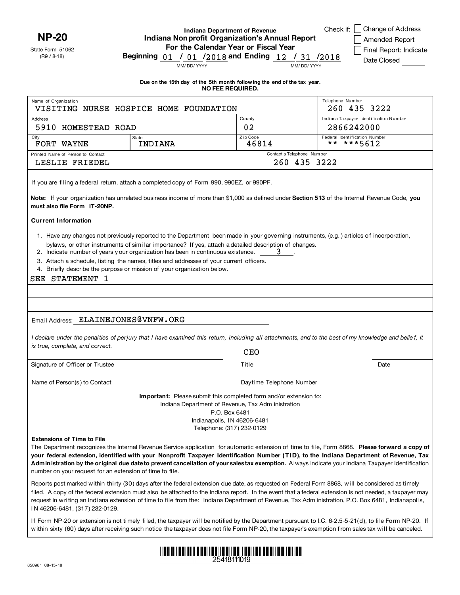**NP-20**

State Form 51062 (R9 / 8-18)

### **Indiana Department of Revenue Indiana Nonprofit Organization's Annual Report For the Calendar Year or Fiscal Year**

|      | Check if: Change of Address |
|------|-----------------------------|
|      | Amended Report              |
| 0.10 | Final Report: Indicate      |

**Beginning** 01 / 01 /2018 and Ending 12 / 31 /2018

| Date Closed |  |
|-------------|--|
|             |  |

MM/ DD/ YYYY MM/ DD/ YYYY

**Due on the 15th day of the 5th month follow ing the end of the tax year. NO FEE REQUIRED.**

| Name of Organization<br>VISITING NURSE HOSPICE HOME FOUNDATION                                                                                                                                                                                                                                                                                                                                                                                                                                                                                 |                                                                                                                                                                                                                                                                                                                                                                                                                                                                                                            |                                                                           | Telephone Number           | 260 435 3222                           |
|------------------------------------------------------------------------------------------------------------------------------------------------------------------------------------------------------------------------------------------------------------------------------------------------------------------------------------------------------------------------------------------------------------------------------------------------------------------------------------------------------------------------------------------------|------------------------------------------------------------------------------------------------------------------------------------------------------------------------------------------------------------------------------------------------------------------------------------------------------------------------------------------------------------------------------------------------------------------------------------------------------------------------------------------------------------|---------------------------------------------------------------------------|----------------------------|----------------------------------------|
| Address                                                                                                                                                                                                                                                                                                                                                                                                                                                                                                                                        |                                                                                                                                                                                                                                                                                                                                                                                                                                                                                                            | County                                                                    |                            | Indiana Taxpayer Identification Number |
| 5910 HOMESTEAD ROAD                                                                                                                                                                                                                                                                                                                                                                                                                                                                                                                            |                                                                                                                                                                                                                                                                                                                                                                                                                                                                                                            | 02                                                                        |                            | 2866242000                             |
| City                                                                                                                                                                                                                                                                                                                                                                                                                                                                                                                                           | State                                                                                                                                                                                                                                                                                                                                                                                                                                                                                                      | Zip Code                                                                  |                            | Federal Identification Number          |
| FORT WAYNE                                                                                                                                                                                                                                                                                                                                                                                                                                                                                                                                     | INDIANA                                                                                                                                                                                                                                                                                                                                                                                                                                                                                                    | 46814                                                                     |                            | ** ***5612                             |
| Printed Name of Person to Contact                                                                                                                                                                                                                                                                                                                                                                                                                                                                                                              |                                                                                                                                                                                                                                                                                                                                                                                                                                                                                                            |                                                                           | Contact's Telephone Number |                                        |
| LESLIE FRIEDEL                                                                                                                                                                                                                                                                                                                                                                                                                                                                                                                                 |                                                                                                                                                                                                                                                                                                                                                                                                                                                                                                            |                                                                           | 260 435 3222               |                                        |
| If you are filing a federal return, attach a completed copy of Form 990, 990EZ, or 990PF.<br>Note: If your organization has unrelated business income of more than \$1,000 as defined under Section 513 of the Internal Revenue Code, you<br>must also file Form IT-20NP.                                                                                                                                                                                                                                                                      |                                                                                                                                                                                                                                                                                                                                                                                                                                                                                                            |                                                                           |                            |                                        |
| <b>Current Information</b>                                                                                                                                                                                                                                                                                                                                                                                                                                                                                                                     |                                                                                                                                                                                                                                                                                                                                                                                                                                                                                                            |                                                                           |                            |                                        |
| SEE STATEMENT 1<br>Email Address: ELAINEJONES@VNFW.ORG                                                                                                                                                                                                                                                                                                                                                                                                                                                                                         | 1. Have any changes not previously reported to the Department been made in your governing instruments, (e.g.) articles of incorporation,<br>bylaws, or other instruments of similar importance? If yes, attach a detailed description of changes.<br>2. Indicate number of years y our organization has been in continuous existence.<br>3. Attach a schedule, listing the names, titles and addresses of your current officers.<br>4. Briefly describe the purpose or mission of your organization below. |                                                                           | 3                          |                                        |
| I declare under the penalties of perjury that I have examined this return, including all attachments, and to the best of my knowledge and belief, it                                                                                                                                                                                                                                                                                                                                                                                           |                                                                                                                                                                                                                                                                                                                                                                                                                                                                                                            |                                                                           |                            |                                        |
| is true, complete, and correct.                                                                                                                                                                                                                                                                                                                                                                                                                                                                                                                |                                                                                                                                                                                                                                                                                                                                                                                                                                                                                                            | <b>CEO</b>                                                                |                            |                                        |
|                                                                                                                                                                                                                                                                                                                                                                                                                                                                                                                                                |                                                                                                                                                                                                                                                                                                                                                                                                                                                                                                            |                                                                           |                            |                                        |
| Signature of Officer or Trustee                                                                                                                                                                                                                                                                                                                                                                                                                                                                                                                |                                                                                                                                                                                                                                                                                                                                                                                                                                                                                                            | Title                                                                     |                            | Date                                   |
| Name of Person(s) to Contact                                                                                                                                                                                                                                                                                                                                                                                                                                                                                                                   |                                                                                                                                                                                                                                                                                                                                                                                                                                                                                                            |                                                                           | Daytime Telephone Number   |                                        |
|                                                                                                                                                                                                                                                                                                                                                                                                                                                                                                                                                | <b>Important:</b> Please submit this completed form and/or extension to:<br>Indiana Department of Revenue, Tax Adm inistration                                                                                                                                                                                                                                                                                                                                                                             | P.O. Box 6481<br>Indianapolis, IN 46206-6481<br>Telephone: (317) 232-0129 |                            |                                        |
| <b>Extensions of Time to File</b><br>The Department recognizes the Internal Revenue Service application for automatic extension of time to file, Form 8868. Please forward a copy of<br>your federal extension, identified with your Nonprofit Taxpayer Identification Number (TID), to the Indiana Department of Revenue, Tax<br>Administration by the original due date to prevent cancellation of your salestax exemption. Always indicate your Indiana Taxpayer Identification<br>number on your request for an extension of time to file. |                                                                                                                                                                                                                                                                                                                                                                                                                                                                                                            |                                                                           |                            |                                        |
| Reports post marked within thirty (30) days after the federal extension due date, as requested on Federal Form 8868, will be considered as timely<br>filed. A copy of the federal extension must also be attached to the Indiana report. In the event that a federal extension is not needed, a taxpayer may<br>request in writing an Indiana extension of time to file from the: Indiana Department of Revenue, Tax Adm inistration, P.O. Box 6481, Indianapolis,                                                                             |                                                                                                                                                                                                                                                                                                                                                                                                                                                                                                            |                                                                           |                            |                                        |

If Form NP-20 or extension is not timely fi led, the taxpayer wi ll be notified by the Department pursuant to I.C. 6-2.5-5-21(d), to fi le Form NP-20. If w ithin sixty (60) days after receiving such notice the taxpayer does not file Form NP-20, the taxpayer's exemption from sales tax wil l be canceled.



N 46206-6481, (317) 232-0129.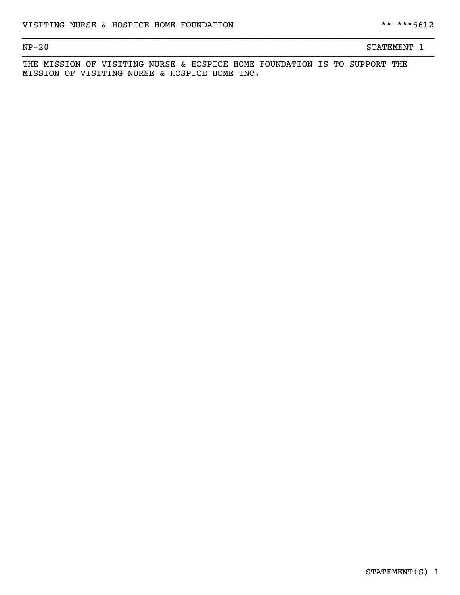~~~~~~~~~~~~~~~~~~~~~~~~~~~~~~~~~~~~~~~~~~~~~~~~~~~~~~~~~~~~~~~~~~~~~~~~~~~~~~

NP-20 STATEMENT 1

THE MISSION OF VISITING NURSE & HOSPICE HOME FOUNDATION IS TO SUPPORT THE MISSION OF VISITING NURSE & HOSPICE HOME INC.

}}}}}}}}}}}}}}}}}}}}}}}}}}}}}}}}}}}}}}}} }}}}}}}}}}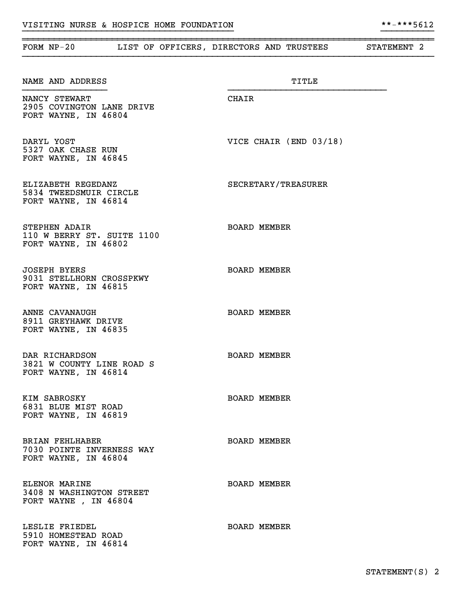| FORM $NP-20$                                                                | LIST OF OFFICERS, DIRECTORS AND TRUSTEES | STATEMENT 2 |
|-----------------------------------------------------------------------------|------------------------------------------|-------------|
| NAME AND ADDRESS                                                            | TITLE                                    |             |
| NANCY STEWART<br>2905 COVINGTON LANE DRIVE<br>FORT WAYNE, IN 46804          | CHAIR                                    |             |
| DARYL YOST<br>5327 OAK CHASE RUN<br>FORT WAYNE, IN 46845                    | VICE CHAIR (END 03/18)                   |             |
| ELIZABETH REGEDANZ<br>5834 TWEEDSMUIR CIRCLE<br>FORT WAYNE, IN 46814        | SECRETARY/TREASURER                      |             |
| STEPHEN ADAIR<br>110 W BERRY ST. SUITE 1100<br>FORT WAYNE, IN 46802         | <b>BOARD MEMBER</b>                      |             |
| <b>JOSEPH BYERS</b><br>9031 STELLHORN CROSSPKWY<br>FORT WAYNE, IN 46815     | <b>BOARD MEMBER</b>                      |             |
| ANNE CAVANAUGH<br>8911 GREYHAWK DRIVE<br>FORT WAYNE, IN 46835               | <b>BOARD MEMBER</b>                      |             |
| DAR RICHARDSON<br>3821 W COUNTY LINE ROAD S<br>FORT WAYNE, IN 46814         | <b>BOARD MEMBER</b>                      |             |
| KIM SABROSKY<br>6831 BLUE MIST ROAD<br>FORT WAYNE, IN 46819                 | <b>BOARD MEMBER</b>                      |             |
| <b>BRIAN FEHLHABER</b><br>7030 POINTE INVERNESS WAY<br>FORT WAYNE, IN 46804 | <b>BOARD MEMBER</b>                      |             |
| ELENOR MARINE<br>3408 N WASHINGTON STREET<br>FORT WAYNE, IN 46804           | <b>BOARD MEMBER</b>                      |             |
| LESLIE FRIEDEL<br>5910 HOMESTEAD ROAD<br>FORT WAYNE, IN 46814               | <b>BOARD MEMBER</b>                      |             |

}}}}}}}}}}}}}}}}}}}}}}}}}}}}}}}}}}}}}}}} }}}}}}}}}}

~~~~~~~~~~~~~~~~~~~~~~~~~~~~~~~~~~~~~~~~~~~~~~~~~~~~~~~~~~~~~~~~~~~~~~~~~~~~~~